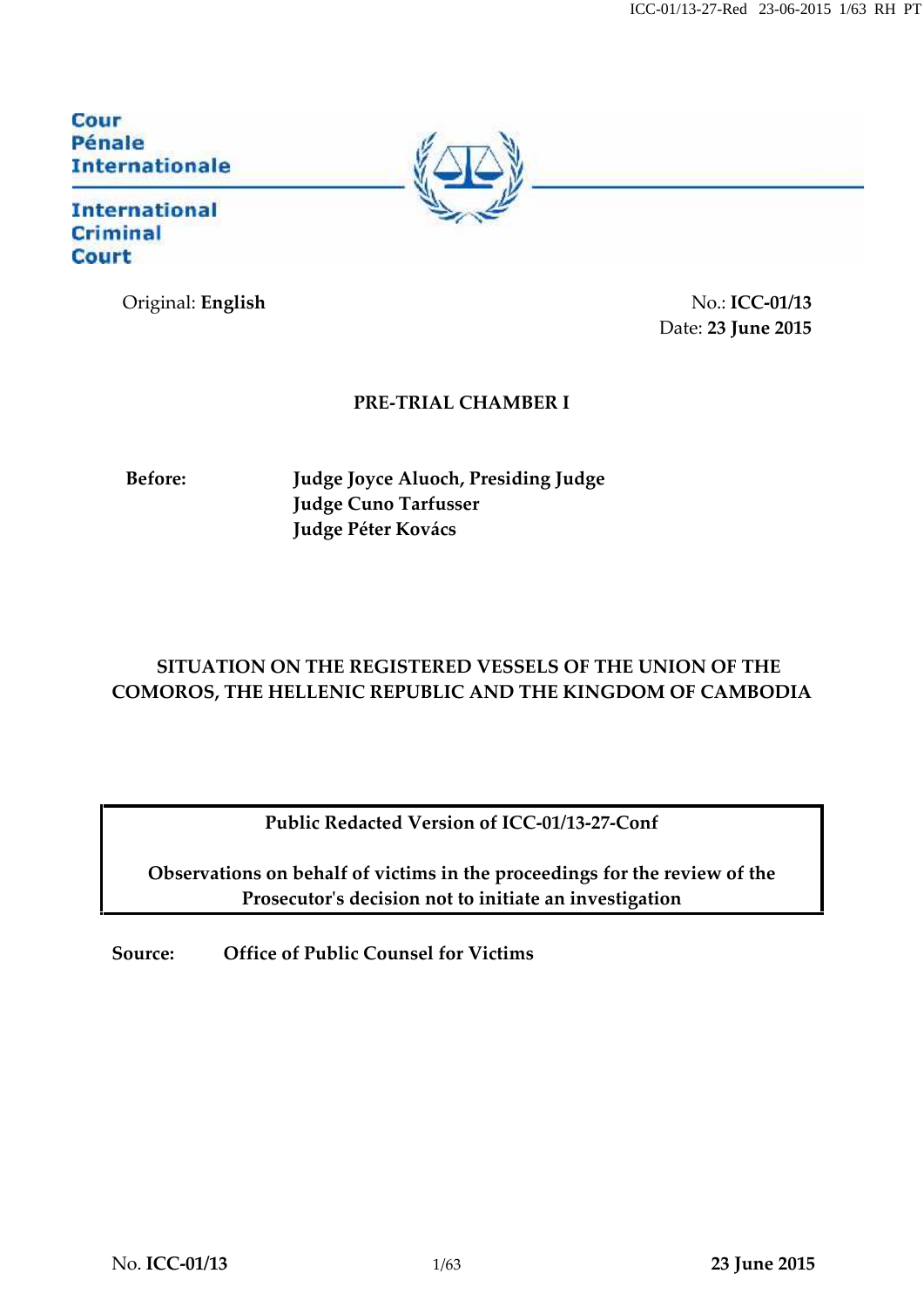Cour Pénale **Internationale** 

### **International Criminal Court**

Original: **English** No.: **ICC-01/13** Date: **23 June 2015**

### **PRE-TRIAL CHAMBER I**

**Before: Judge Joyce Aluoch, Presiding Judge Judge Cuno Tarfusser Judge Péter Kovács**

### **SITUATION ON THE REGISTERED VESSELS OF THE UNION OF THE COMOROS, THE HELLENIC REPUBLIC AND THE KINGDOM OF CAMBODIA**

**Public Redacted Version of ICC-01/13-27-Conf**

**Observations on behalf of victims in the proceedings for the review of the Prosecutor's decision not to initiate an investigation**

**Source: Office of Public Counsel for Victims**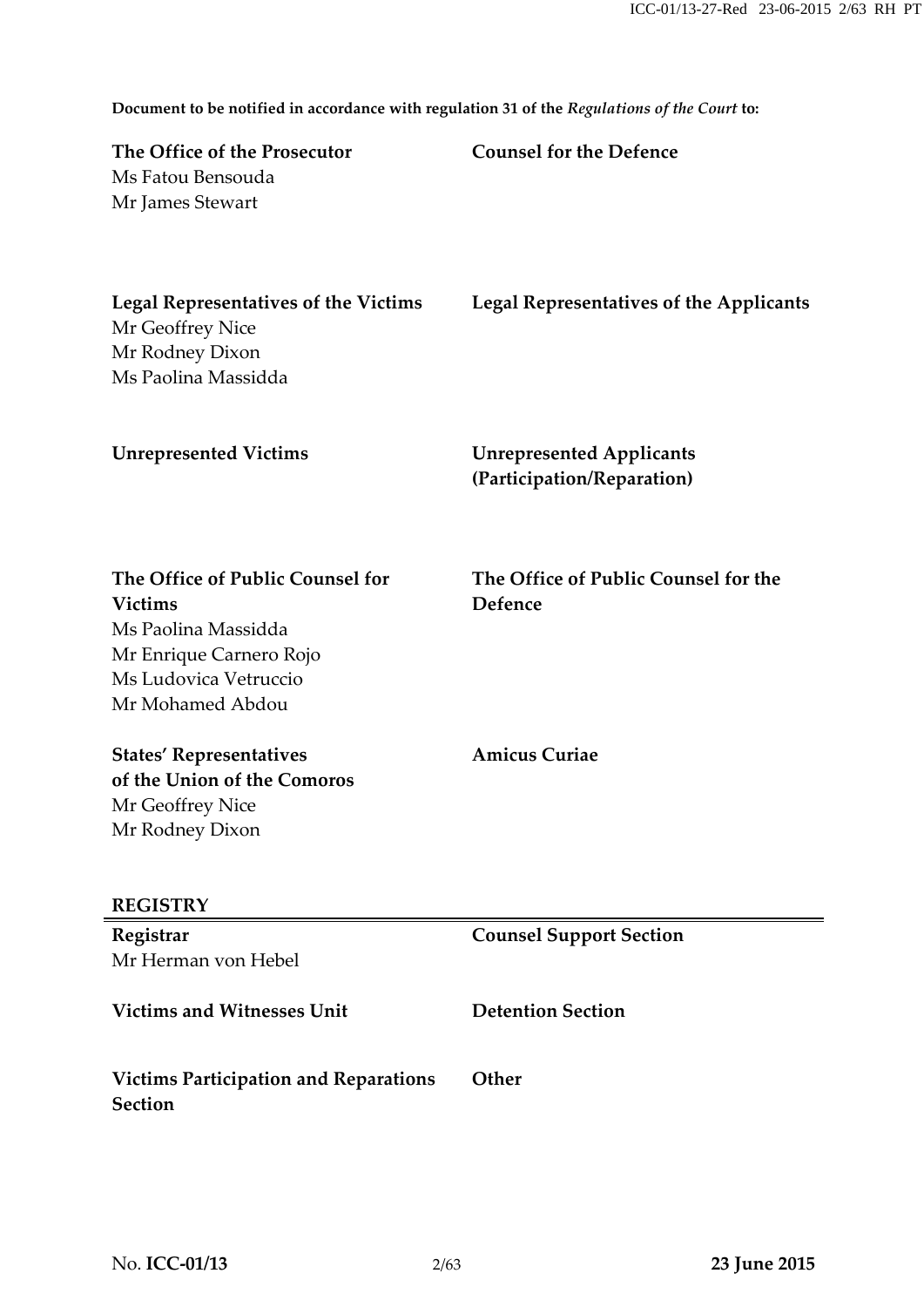**Document to be notified in accordance with regulation 31 of the** *Regulations of the Court* **to:**

| The Office of the Prosecutor | <b>Counsel for the Defence</b> |
|------------------------------|--------------------------------|
| Ms Fatou Bensouda            |                                |
| Mr James Stewart             |                                |

| Legal Representatives of the Victims | Legal Representatives of the Applicants |
|--------------------------------------|-----------------------------------------|
| Mr Geoffrey Nice                     |                                         |
| Mr Rodney Dixon                      |                                         |
| Ms Paolina Massidda                  |                                         |

**Unrepresented Victims Unrepresented Applicants (Participation/Reparation)**

**The Office of Public Counsel for Victims** Ms Paolina Massidda Mr Enrique Carnero Rojo Ms Ludovica Vetruccio Mr Mohamed Abdou

**The Office of Public Counsel for the Defence**

**States' Representatives of the Union of the Comoros** Mr Geoffrey Nice Mr Rodney Dixon

**Amicus Curiae**

#### **REGISTRY**

| Registrar                                                      | <b>Counsel Support Section</b> |
|----------------------------------------------------------------|--------------------------------|
| Mr Herman von Hebel                                            |                                |
| <b>Victims and Witnesses Unit</b>                              | <b>Detention Section</b>       |
| <b>Victims Participation and Reparations</b><br><b>Section</b> | Other                          |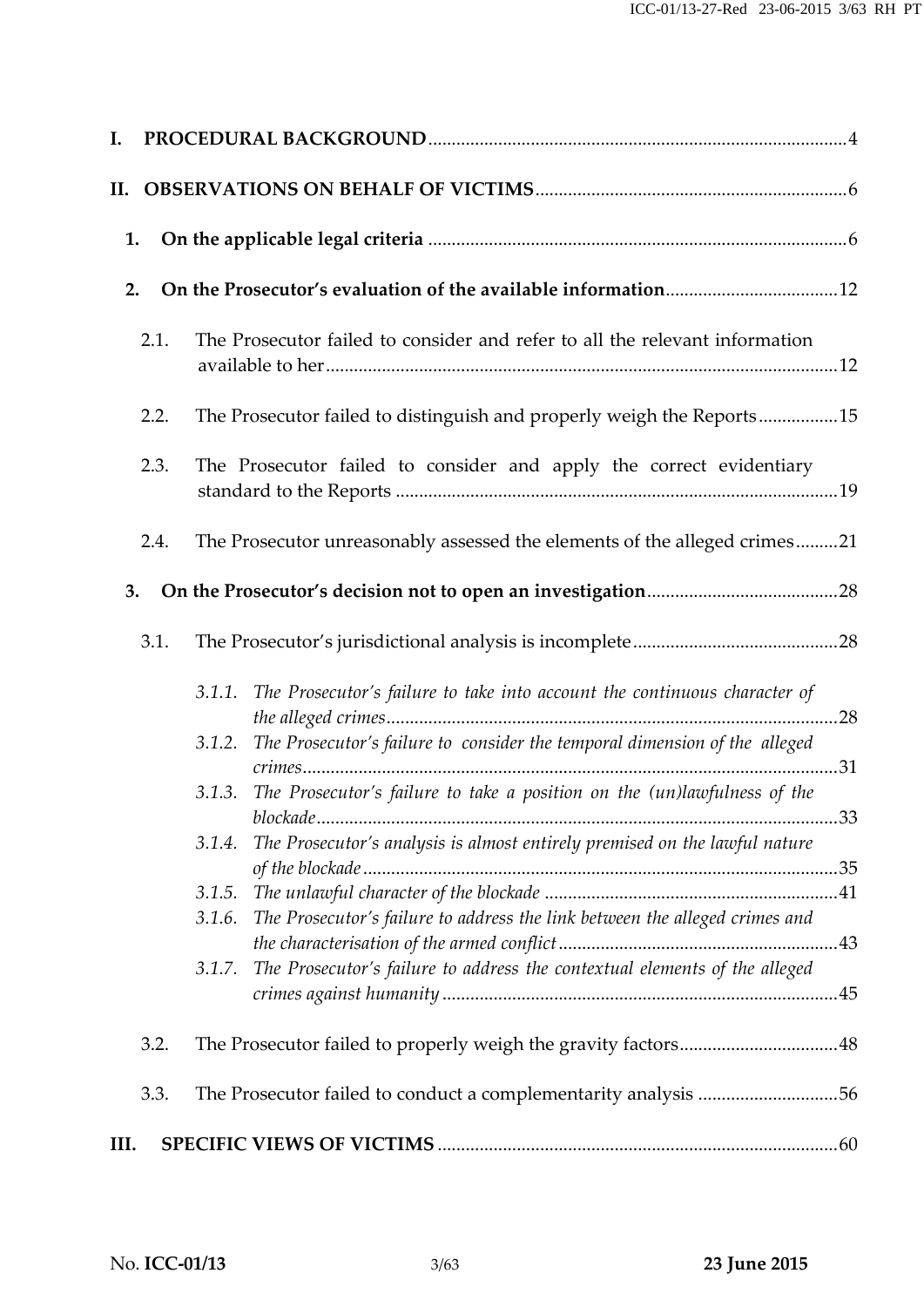| 1.                                                                                    |  |
|---------------------------------------------------------------------------------------|--|
| 2.                                                                                    |  |
| The Prosecutor failed to consider and refer to all the relevant information<br>2.1.   |  |
| The Prosecutor failed to distinguish and properly weigh the Reports15<br>2.2.         |  |
| 2.3.<br>The Prosecutor failed to consider and apply the correct evidentiary           |  |
| The Prosecutor unreasonably assessed the elements of the alleged crimes21<br>2.4.     |  |
| 3.                                                                                    |  |
| 3.1.                                                                                  |  |
| 3.1.1. The Prosecutor's failure to take into account the continuous character of      |  |
| The Prosecutor's failure to consider the temporal dimension of the alleged<br>3.1.2.  |  |
| The Prosecutor's failure to take a position on the (un)lawfulness of the<br>3.1.3.    |  |
| The Prosecutor's analysis is almost entirely premised on the lawful nature<br>3.1.4.  |  |
|                                                                                       |  |
| The Prosecutor's failure to address the link between the alleged crimes and<br>3.1.6. |  |
| The Prosecutor's failure to address the contextual elements of the alleged<br>3.1.7.  |  |
| 3.2.                                                                                  |  |
| The Prosecutor failed to conduct a complementarity analysis 56<br>3.3.                |  |
| III.                                                                                  |  |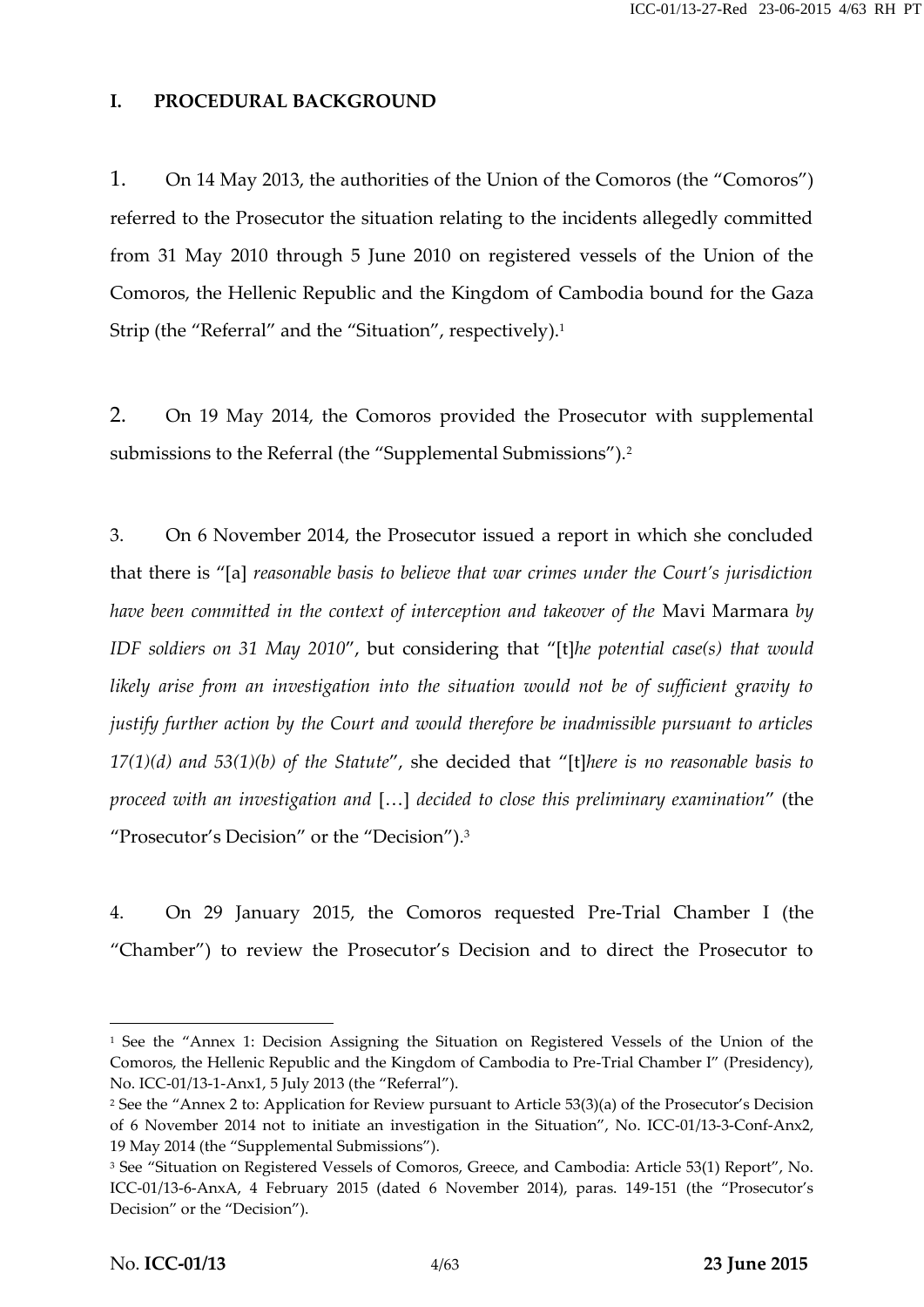### **I. PROCEDURAL BACKGROUND**

1. On 14 May 2013, the authorities of the Union of the Comoros (the "Comoros") referred to the Prosecutor the situation relating to the incidents allegedly committed from 31 May 2010 through 5 June 2010 on registered vessels of the Union of the Comoros, the Hellenic Republic and the Kingdom of Cambodia bound for the Gaza Strip (the "Referral" and the "Situation", respectively).<sup>1</sup>

2. On 19 May 2014, the Comoros provided the Prosecutor with supplemental submissions to the Referral (the "Supplemental Submissions").<sup>2</sup>

3. On 6 November 2014, the Prosecutor issued a report in which she concluded that there is "[a] *reasonable basis to believe that war crimes under the Court's jurisdiction have been committed in the context of interception and takeover of the* Mavi Marmara *by IDF soldiers on 31 May 2010*", but considering that "[t]*he potential case(s) that would likely arise from an investigation into the situation would not be of sufficient gravity to justify further action by the Court and would therefore be inadmissible pursuant to articles 17(1)(d) and 53(1)(b) of the Statute*", she decided that "[t]*here is no reasonable basis to proceed with an investigation and* […] *decided to close this preliminary examination*" (the "Prosecutor's Decision" or the "Decision").<sup>3</sup>

4. On 29 January 2015, the Comoros requested Pre-Trial Chamber I (the "Chamber") to review the Prosecutor's Decision and to direct the Prosecutor to

<sup>&</sup>lt;sup>1</sup> See the "Annex 1: Decision Assigning the Situation on Registered Vessels of the Union of the Comoros, the Hellenic Republic and the Kingdom of Cambodia to Pre-Trial Chamber I" (Presidency), No. ICC-01/13-1-Anx1, 5 July 2013 (the "Referral").

<sup>2</sup> See the "Annex 2 to: Application for Review pursuant to Article 53(3)(a) of the Prosecutor's Decision of 6 November 2014 not to initiate an investigation in the Situation", No. ICC-01/13-3-Conf-Anx2, 19 May 2014 (the "Supplemental Submissions").

<sup>3</sup> See "Situation on Registered Vessels of Comoros, Greece, and Cambodia: Article 53(1) Report", No. ICC-01/13-6-AnxA, 4 February 2015 (dated 6 November 2014), paras. 149-151 (the "Prosecutor's Decision" or the "Decision").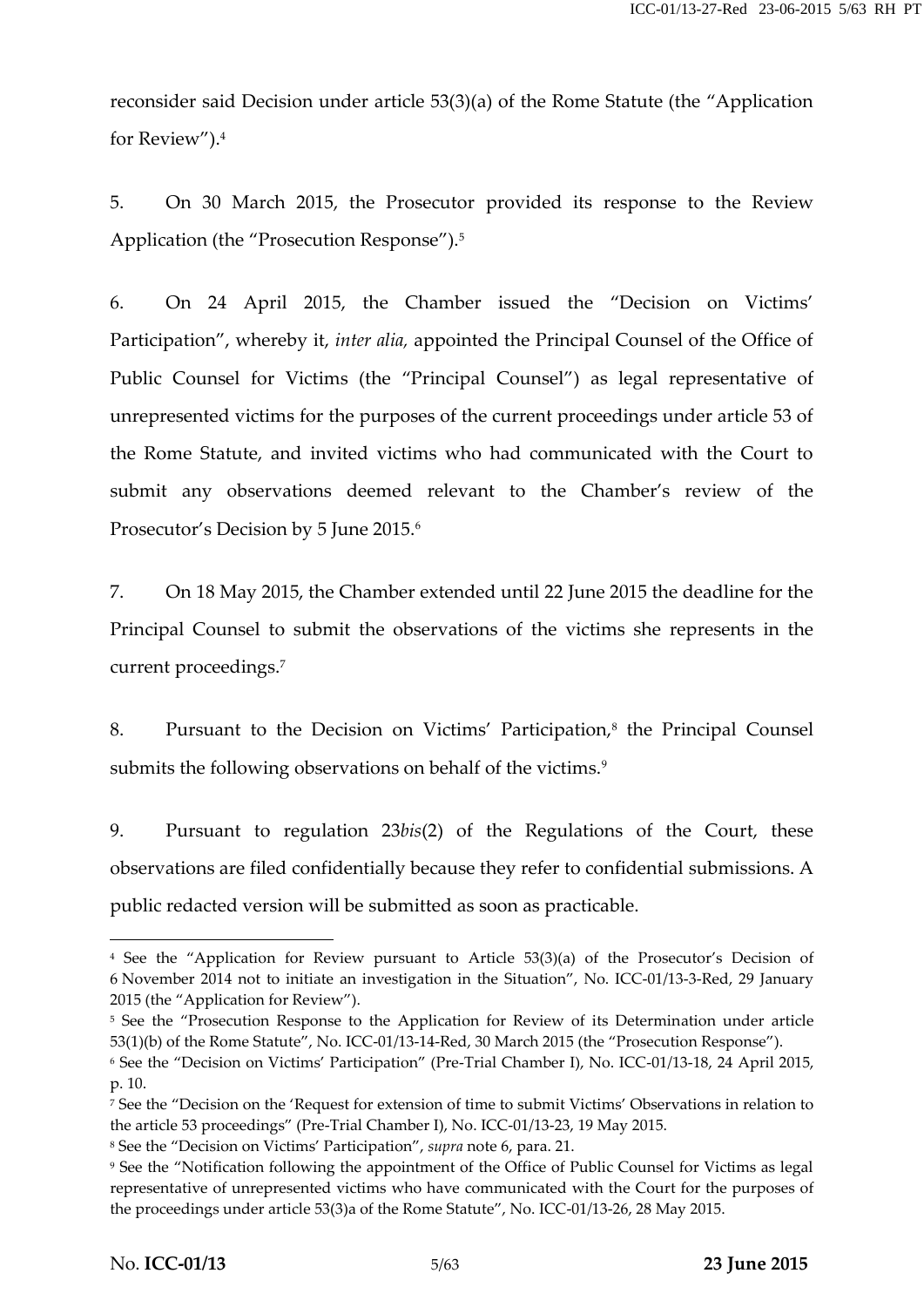reconsider said Decision under article 53(3)(a) of the Rome Statute (the "Application for Review").<sup>4</sup>

5. On 30 March 2015, the Prosecutor provided its response to the Review Application (the "Prosecution Response").<sup>5</sup>

6. On 24 April 2015, the Chamber issued the "Decision on Victims' Participation", whereby it, *inter alia,* appointed the Principal Counsel of the Office of Public Counsel for Victims (the "Principal Counsel") as legal representative of unrepresented victims for the purposes of the current proceedings under article 53 of the Rome Statute, and invited victims who had communicated with the Court to submit any observations deemed relevant to the Chamber's review of the Prosecutor's Decision by 5 June 2015.<sup>6</sup>

7. On 18 May 2015, the Chamber extended until 22 June 2015 the deadline for the Principal Counsel to submit the observations of the victims she represents in the current proceedings.<sup>7</sup>

8. Pursuant to the Decision on Victims' Participation,<sup>8</sup> the Principal Counsel submits the following observations on behalf of the victims.<sup>9</sup>

9. Pursuant to regulation 23*bis*(2) of the Regulations of the Court, these observations are filed confidentially because they refer to confidential submissions. A public redacted version will be submitted as soon as practicable.

<sup>4</sup> See the "Application for Review pursuant to Article 53(3)(a) of the Prosecutor's Decision of 6 November 2014 not to initiate an investigation in the Situation", No. ICC-01/13-3-Red, 29 January 2015 (the "Application for Review").

<sup>&</sup>lt;sup>5</sup> See the "Prosecution Response to the Application for Review of its Determination under article 53(1)(b) of the Rome Statute", No. ICC-01/13-14-Red, 30 March 2015 (the "Prosecution Response").

<sup>6</sup> See the "Decision on Victims' Participation" (Pre-Trial Chamber I), No. ICC-01/13-18, 24 April 2015, p. 10.

<sup>7</sup> See the "Decision on the 'Request for extension of time to submit Victims' Observations in relation to the article 53 proceedings" (Pre-Trial Chamber I), No. ICC-01/13-23, 19 May 2015.

<sup>8</sup> See the "Decision on Victims' Participation", *supra* note 6, para. 21.

<sup>9</sup> See the "Notification following the appointment of the Office of Public Counsel for Victims as legal representative of unrepresented victims who have communicated with the Court for the purposes of the proceedings under article 53(3)a of the Rome Statute", No. ICC-01/13-26, 28 May 2015.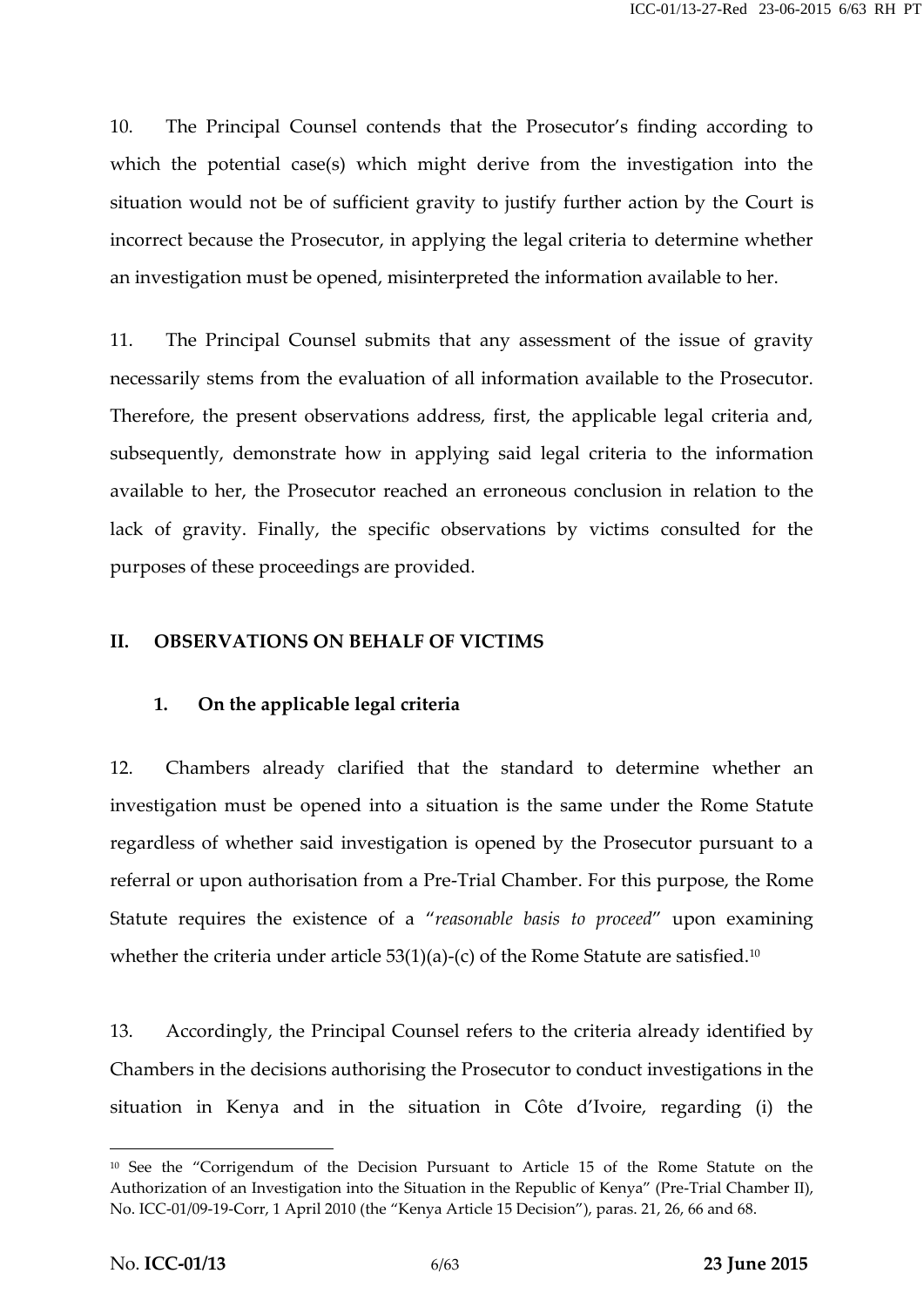10. The Principal Counsel contends that the Prosecutor's finding according to which the potential case(s) which might derive from the investigation into the situation would not be of sufficient gravity to justify further action by the Court is incorrect because the Prosecutor, in applying the legal criteria to determine whether an investigation must be opened, misinterpreted the information available to her.

11. The Principal Counsel submits that any assessment of the issue of gravity necessarily stems from the evaluation of all information available to the Prosecutor. Therefore, the present observations address, first, the applicable legal criteria and, subsequently, demonstrate how in applying said legal criteria to the information available to her, the Prosecutor reached an erroneous conclusion in relation to the lack of gravity. Finally, the specific observations by victims consulted for the purposes of these proceedings are provided.

#### **II. OBSERVATIONS ON BEHALF OF VICTIMS**

### **1. On the applicable legal criteria**

12. Chambers already clarified that the standard to determine whether an investigation must be opened into a situation is the same under the Rome Statute regardless of whether said investigation is opened by the Prosecutor pursuant to a referral or upon authorisation from a Pre-Trial Chamber. For this purpose, the Rome Statute requires the existence of a "*reasonable basis to proceed*" upon examining whether the criteria under article  $53(1)(a)-(c)$  of the Rome Statute are satisfied.<sup>10</sup>

13. Accordingly, the Principal Counsel refers to the criteria already identified by Chambers in the decisions authorising the Prosecutor to conduct investigations in the situation in Kenya and in the situation in Côte d'Ivoire, regarding (i) the

<sup>10</sup> See the "Corrigendum of the Decision Pursuant to Article 15 of the Rome Statute on the Authorization of an Investigation into the Situation in the Republic of Kenya" (Pre-Trial Chamber II), No. ICC-01/09-19-Corr, 1 April 2010 (the "Kenya Article 15 Decision"), paras. 21, 26, 66 and 68.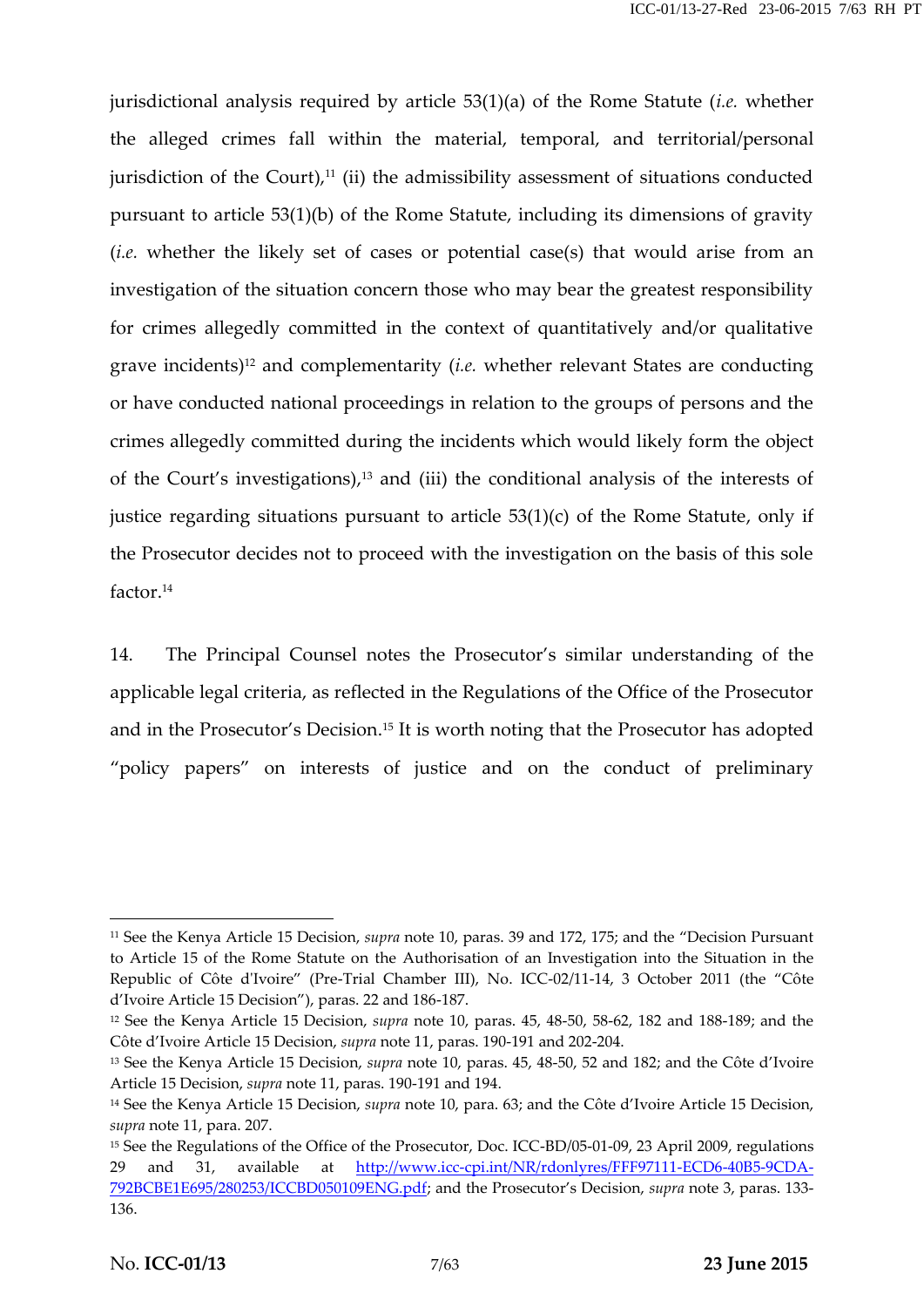jurisdictional analysis required by article 53(1)(a) of the Rome Statute (*i.e.* whether the alleged crimes fall within the material, temporal, and territorial/personal jurisdiction of the Court), $11$  (ii) the admissibility assessment of situations conducted pursuant to article 53(1)(b) of the Rome Statute, including its dimensions of gravity (*i.e.* whether the likely set of cases or potential case(s) that would arise from an investigation of the situation concern those who may bear the greatest responsibility for crimes allegedly committed in the context of quantitatively and/or qualitative grave incidents) <sup>12</sup> and complementarity (*i.e.* whether relevant States are conducting or have conducted national proceedings in relation to the groups of persons and the crimes allegedly committed during the incidents which would likely form the object of the Court's investigations) $i<sup>13</sup>$  and (iii) the conditional analysis of the interests of justice regarding situations pursuant to article 53(1)(c) of the Rome Statute, only if the Prosecutor decides not to proceed with the investigation on the basis of this sole factor.<sup>14</sup>

14. The Principal Counsel notes the Prosecutor's similar understanding of the applicable legal criteria, as reflected in the Regulations of the Office of the Prosecutor and in the Prosecutor's Decision.<sup>15</sup> It is worth noting that the Prosecutor has adopted "policy papers" on interests of justice and on the conduct of preliminary

<sup>11</sup> See the Kenya Article 15 Decision, *supra* note 10, paras. 39 and 172, 175; and the "Decision Pursuant to Article 15 of the Rome Statute on the Authorisation of an Investigation into the Situation in the Republic of Côte d'Ivoire" (Pre-Trial Chamber III), No. ICC-02/11-14, 3 October 2011 (the "Côte d'Ivoire Article 15 Decision"), paras. 22 and 186-187.

<sup>12</sup> See the Kenya Article 15 Decision, *supra* note 10, paras. 45, 48-50, 58-62, 182 and 188-189; and the Côte d'Ivoire Article 15 Decision, *supra* note 11, paras. 190-191 and 202-204.

<sup>13</sup> See the Kenya Article 15 Decision, *supra* note 10, paras. 45, 48-50, 52 and 182; and the Côte d'Ivoire Article 15 Decision, *supra* note 11, paras. 190-191 and 194.

<sup>14</sup> See the Kenya Article 15 Decision, *supra* note 10, para. 63; and the Côte d'Ivoire Article 15 Decision, *supra* note 11, para. 207.

<sup>&</sup>lt;sup>15</sup> See the Regulations of the Office of the Prosecutor, Doc. ICC-BD/05-01-09, 23 April 2009, regulations 29 and 31, available at http://www.icc-cpi.int/NR/rdonlyres/FFF97111-ECD6-40B5-9CDA-792BCBE1E695/280253/ICCBD050109ENG.pdf; and the Prosecutor's Decision, *supra* note 3, paras. 133- 136.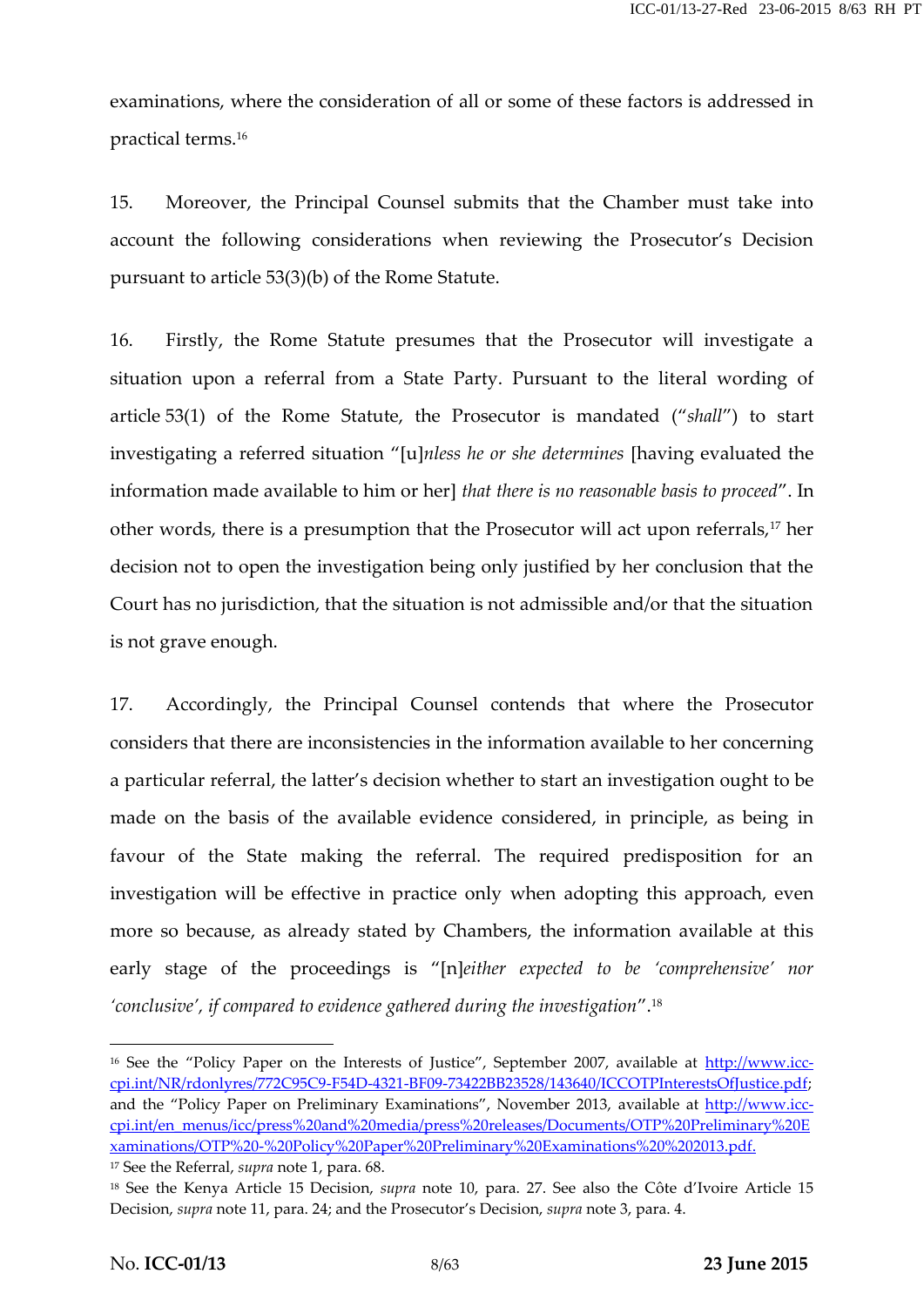examinations, where the consideration of all or some of these factors is addressed in practical terms.<sup>16</sup>

15. Moreover, the Principal Counsel submits that the Chamber must take into account the following considerations when reviewing the Prosecutor's Decision pursuant to article 53(3)(b) of the Rome Statute.

16. Firstly, the Rome Statute presumes that the Prosecutor will investigate a situation upon a referral from a State Party. Pursuant to the literal wording of article 53(1) of the Rome Statute, the Prosecutor is mandated ("*shall*") to start investigating a referred situation "[u]*nless he or she determines* [having evaluated the information made available to him or her] *that there is no reasonable basis to proceed*". In other words, there is a presumption that the Prosecutor will act upon referrals,<sup>17</sup> her decision not to open the investigation being only justified by her conclusion that the Court has no jurisdiction, that the situation is not admissible and/or that the situation is not grave enough.

17. Accordingly, the Principal Counsel contends that where the Prosecutor considers that there are inconsistencies in the information available to her concerning a particular referral, the latter's decision whether to start an investigation ought to be made on the basis of the available evidence considered, in principle, as being in favour of the State making the referral. The required predisposition for an investigation will be effective in practice only when adopting this approach, even more so because, as already stated by Chambers, the information available at this early stage of the proceedings is "[n]*either expected to be 'comprehensive' nor 'conclusive', if compared to evidence gathered during the investigation*".<sup>18</sup>

<sup>&</sup>lt;sup>16</sup> See the "Policy Paper on the Interests of Justice", September 2007, available at http://www.icccpi.int/NR/rdonlyres/772C95C9-F54D-4321-BF09-73422BB23528/143640/ICCOTPInterestsOfJustice.pdf; and the "Policy Paper on Preliminary Examinations", November 2013, available at http://www.icc cpi.int/en\_menus/icc/press%20and%20media/press%20releases/Documents/OTP%20Preliminary%20E xaminations/OTP%20-%20Policy%20Paper%20Preliminary%20Examinations%20%202013.pdf. <sup>17</sup> See the Referral, *supra* note 1, para. 68.

<sup>18</sup> See the Kenya Article 15 Decision, *supra* note 10, para. 27. See also the Côte d'Ivoire Article 15 Decision, *supra* note 11, para. 24; and the Prosecutor's Decision, *supra* note 3, para. 4.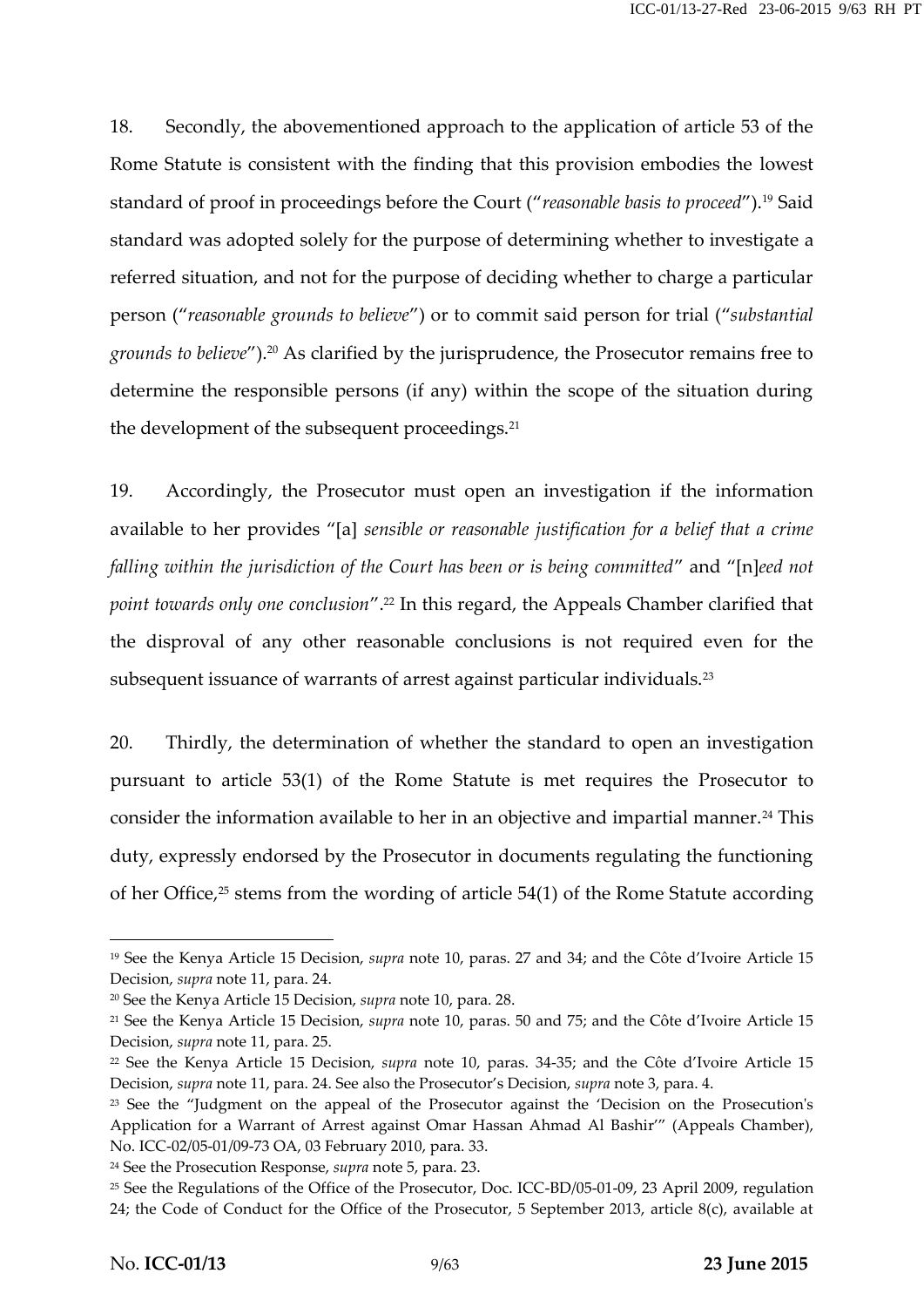18. Secondly, the abovementioned approach to the application of article 53 of the Rome Statute is consistent with the finding that this provision embodies the lowest standard of proof in proceedings before the Court ("*reasonable basis to proceed*").<sup>19</sup> Said standard was adopted solely for the purpose of determining whether to investigate a referred situation, and not for the purpose of deciding whether to charge a particular person ("*reasonable grounds to believe*") or to commit said person for trial ("*substantial grounds to believe*").<sup>20</sup> As clarified by the jurisprudence, the Prosecutor remains free to determine the responsible persons (if any) within the scope of the situation during the development of the subsequent proceedings.<sup>21</sup>

19. Accordingly, the Prosecutor must open an investigation if the information available to her provides "[a] *sensible or reasonable justification for a belief that a crime falling within the jurisdiction of the Court has been or is being committed*" and "[n]*eed not point towards only one conclusion*".<sup>22</sup> In this regard, the Appeals Chamber clarified that the disproval of any other reasonable conclusions is not required even for the subsequent issuance of warrants of arrest against particular individuals.<sup>23</sup>

20. Thirdly, the determination of whether the standard to open an investigation pursuant to article 53(1) of the Rome Statute is met requires the Prosecutor to consider the information available to her in an objective and impartial manner.<sup>24</sup> This duty, expressly endorsed by the Prosecutor in documents regulating the functioning of her Office,<sup>25</sup> stems from the wording of article 54(1) of the Rome Statute according

<sup>19</sup> See the Kenya Article 15 Decision, *supra* note 10, paras. 27 and 34; and the Côte d'Ivoire Article 15 Decision, *supra* note 11, para. 24.

<sup>20</sup> See the Kenya Article 15 Decision, *supra* note 10, para. 28.

<sup>21</sup> See the Kenya Article 15 Decision, *supra* note 10, paras. 50 and 75; and the Côte d'Ivoire Article 15 Decision, *supra* note 11, para. 25.

<sup>22</sup> See the Kenya Article 15 Decision, *supra* note 10, paras. 34-35; and the Côte d'Ivoire Article 15 Decision, *supra* note 11, para. 24. See also the Prosecutor's Decision, *supra* note 3, para. 4.

<sup>&</sup>lt;sup>23</sup> See the "Judgment on the appeal of the Prosecutor against the 'Decision on the Prosecution's Application for a Warrant of Arrest against Omar Hassan Ahmad Al Bashir'" (Appeals Chamber), No. ICC-02/05-01/09-73 OA, 03 February 2010, para. 33.

<sup>24</sup> See the Prosecution Response, *supra* note 5, para. 23.

<sup>&</sup>lt;sup>25</sup> See the Regulations of the Office of the Prosecutor, Doc. ICC-BD/05-01-09, 23 April 2009, regulation 24; the Code of Conduct for the Office of the Prosecutor, 5 September 2013, article 8(c), available at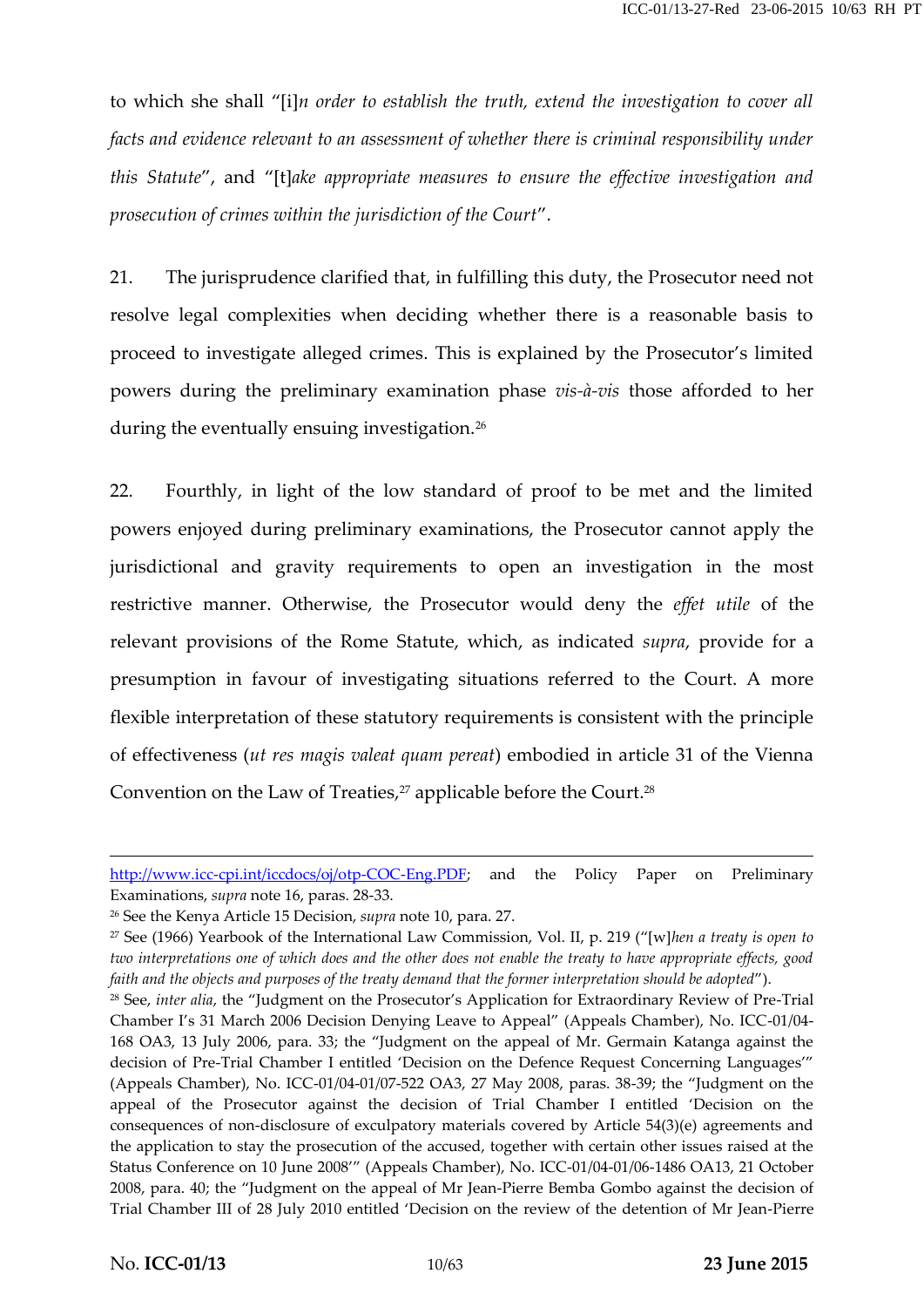to which she shall "[i]*n order to establish the truth, extend the investigation to cover all facts and evidence relevant to an assessment of whether there is criminal responsibility under this Statute*", and "[t]*ake appropriate measures to ensure the effective investigation and prosecution of crimes within the jurisdiction of the Court*".

21. The jurisprudence clarified that, in fulfilling this duty, the Prosecutor need not resolve legal complexities when deciding whether there is a reasonable basis to proceed to investigate alleged crimes. This is explained by the Prosecutor's limited powers during the preliminary examination phase *vis-à-vis* those afforded to her during the eventually ensuing investigation.<sup>26</sup>

22. Fourthly, in light of the low standard of proof to be met and the limited powers enjoyed during preliminary examinations, the Prosecutor cannot apply the jurisdictional and gravity requirements to open an investigation in the most restrictive manner. Otherwise, the Prosecutor would deny the *effet utile* of the relevant provisions of the Rome Statute, which, as indicated *supra*, provide for a presumption in favour of investigating situations referred to the Court. A more flexible interpretation of these statutory requirements is consistent with the principle of effectiveness (*ut res magis valeat quam pereat*) embodied in article 31 of the Vienna Convention on the Law of Treaties,<sup>27</sup> applicable before the Court.<sup>28</sup>

http://www.icc-cpi.int/iccdocs/oj/otp-COC-Eng.PDF; and the Policy Paper on Preliminary Examinations, *supra* note 16, paras. 28-33.

<sup>26</sup> See the Kenya Article 15 Decision, *supra* note 10, para. 27.

<sup>27</sup> See (1966) Yearbook of the International Law Commission, Vol. II, p. 219 ("[w]*hen a treaty is open to two interpretations one of which does and the other does not enable the treaty to have appropriate effects, good faith and the objects and purposes of the treaty demand that the former interpretation should be adopted*").

<sup>&</sup>lt;sup>28</sup> See, *inter alia*, the "Judgment on the Prosecutor's Application for Extraordinary Review of Pre-Trial Chamber I's 31 March 2006 Decision Denying Leave to Appeal" (Appeals Chamber), No. ICC-01/04- 168 OA3, 13 July 2006, para. 33; the "Judgment on the appeal of Mr. Germain Katanga against the decision of Pre-Trial Chamber I entitled 'Decision on the Defence Request Concerning Languages'" (Appeals Chamber), No. ICC-01/04-01/07-522 OA3, 27 May 2008, paras. 38-39; the "Judgment on the appeal of the Prosecutor against the decision of Trial Chamber I entitled 'Decision on the consequences of non-disclosure of exculpatory materials covered by Article 54(3)(e) agreements and the application to stay the prosecution of the accused, together with certain other issues raised at the Status Conference on 10 June 2008'" (Appeals Chamber), No. ICC-01/04-01/06-1486 OA13, 21 October 2008, para. 40; the "Judgment on the appeal of Mr Jean-Pierre Bemba Gombo against the decision of Trial Chamber III of 28 July 2010 entitled 'Decision on the review of the detention of Mr Jean-Pierre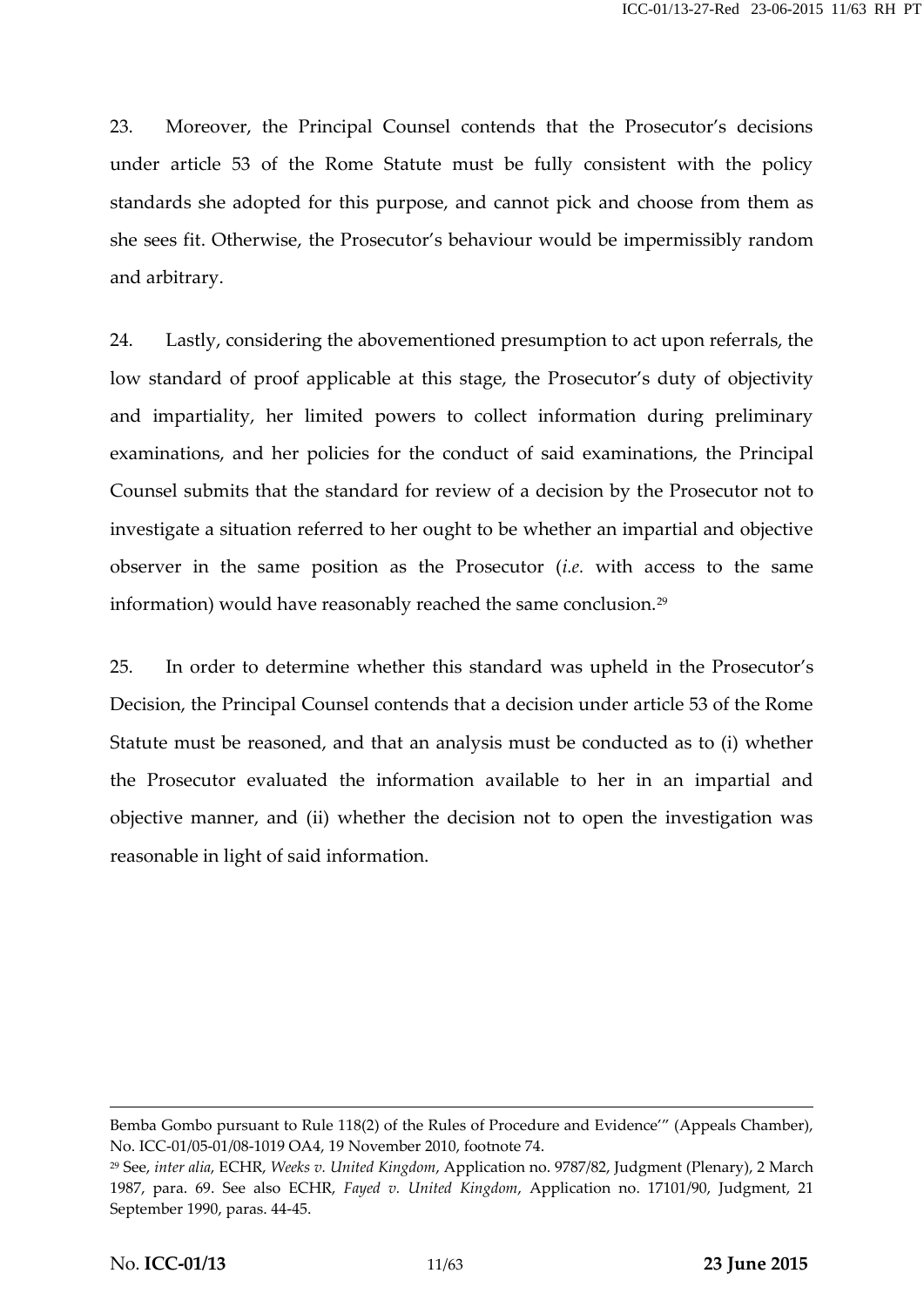23. Moreover, the Principal Counsel contends that the Prosecutor's decisions under article 53 of the Rome Statute must be fully consistent with the policy standards she adopted for this purpose, and cannot pick and choose from them as she sees fit. Otherwise, the Prosecutor's behaviour would be impermissibly random and arbitrary.

24. Lastly, considering the abovementioned presumption to act upon referrals, the low standard of proof applicable at this stage, the Prosecutor's duty of objectivity and impartiality, her limited powers to collect information during preliminary examinations, and her policies for the conduct of said examinations, the Principal Counsel submits that the standard for review of a decision by the Prosecutor not to investigate a situation referred to her ought to be whether an impartial and objective observer in the same position as the Prosecutor (*i.e.* with access to the same information) would have reasonably reached the same conclusion.<sup>29</sup>

25. In order to determine whether this standard was upheld in the Prosecutor's Decision, the Principal Counsel contends that a decision under article 53 of the Rome Statute must be reasoned, and that an analysis must be conducted as to (i) whether the Prosecutor evaluated the information available to her in an impartial and objective manner, and (ii) whether the decision not to open the investigation was reasonable in light of said information.

Bemba Gombo pursuant to Rule 118(2) of the Rules of Procedure and Evidence'" (Appeals Chamber), No. ICC-01/05-01/08-1019 OA4, 19 November 2010, footnote 74.

<sup>29</sup> See, *inter alia*, ECHR, *Weeks v. United Kingdom*, Application no. 9787/82, Judgment (Plenary), 2 March 1987, para. 69. See also ECHR, *Fayed v. United Kingdom*, Application no. 17101/90, Judgment, 21 September 1990, paras. 44-45.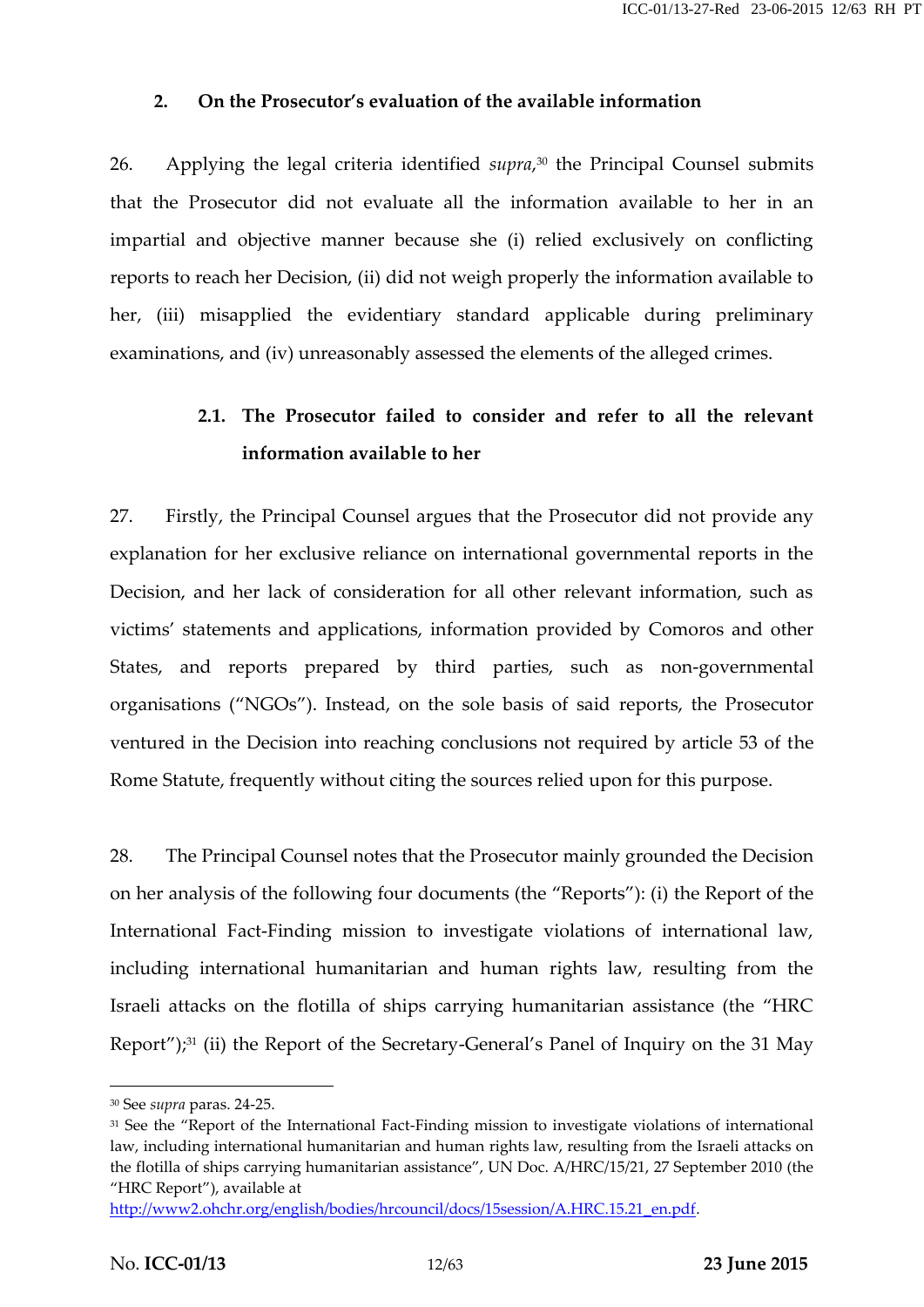#### **2. On the Prosecutor's evaluation of the available information**

26. Applying the legal criteria identified *supra*,<sup>30</sup> the Principal Counsel submits that the Prosecutor did not evaluate all the information available to her in an impartial and objective manner because she (i) relied exclusively on conflicting reports to reach her Decision, (ii) did not weigh properly the information available to her, (iii) misapplied the evidentiary standard applicable during preliminary examinations, and (iv) unreasonably assessed the elements of the alleged crimes.

# **2.1. The Prosecutor failed to consider and refer to all the relevant information available to her**

27. Firstly, the Principal Counsel argues that the Prosecutor did not provide any explanation for her exclusive reliance on international governmental reports in the Decision, and her lack of consideration for all other relevant information, such as victims' statements and applications, information provided by Comoros and other States, and reports prepared by third parties, such as non-governmental organisations ("NGOs"). Instead, on the sole basis of said reports, the Prosecutor ventured in the Decision into reaching conclusions not required by article 53 of the Rome Statute, frequently without citing the sources relied upon for this purpose.

28. The Principal Counsel notes that the Prosecutor mainly grounded the Decision on her analysis of the following four documents (the "Reports"): (i) the Report of the International Fact-Finding mission to investigate violations of international law, including international humanitarian and human rights law, resulting from the Israeli attacks on the flotilla of ships carrying humanitarian assistance (the "HRC Report");<sup>31</sup> (ii) the Report of the Secretary-General's Panel of Inquiry on the 31 May

<sup>30</sup> See *supra* paras. 24-25.

<sup>&</sup>lt;sup>31</sup> See the "Report of the International Fact-Finding mission to investigate violations of international law, including international humanitarian and human rights law, resulting from the Israeli attacks on the flotilla of ships carrying humanitarian assistance", UN Doc. A/HRC/15/21, 27 September 2010 (the "HRC Report"), available at

http://www2.ohchr.org/english/bodies/hrcouncil/docs/15session/A.HRC.15.21\_en.pdf.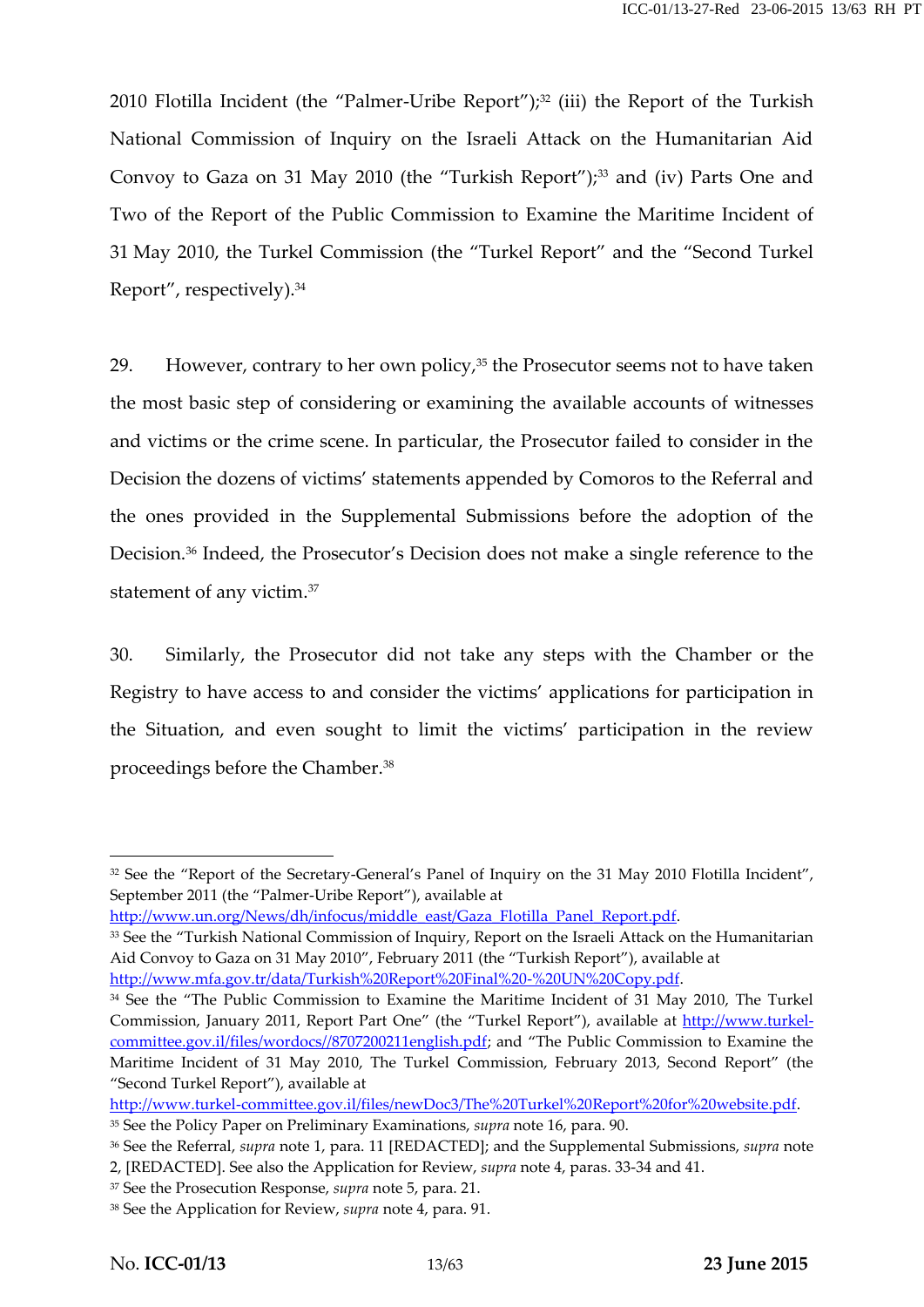2010 Flotilla Incident (the "Palmer-Uribe Report"); $32$  (iii) the Report of the Turkish National Commission of Inquiry on the Israeli Attack on the Humanitarian Aid Convoy to Gaza on 31 May 2010 (the "Turkish Report"); $33$  and (iv) Parts One and Two of the Report of the Public Commission to Examine the Maritime Incident of 31 May 2010, the Turkel Commission (the "Turkel Report" and the "Second Turkel Report", respectively).<sup>34</sup>

29. However, contrary to her own policy, $35$  the Prosecutor seems not to have taken the most basic step of considering or examining the available accounts of witnesses and victims or the crime scene. In particular, the Prosecutor failed to consider in the Decision the dozens of victims' statements appended by Comoros to the Referral and the ones provided in the Supplemental Submissions before the adoption of the Decision.<sup>36</sup> Indeed, the Prosecutor's Decision does not make a single reference to the statement of any victim.<sup>37</sup>

30. Similarly, the Prosecutor did not take any steps with the Chamber or the Registry to have access to and consider the victims' applications for participation in the Situation, and even sought to limit the victims' participation in the review proceedings before the Chamber.<sup>38</sup>

<sup>&</sup>lt;sup>32</sup> See the "Report of the Secretary-General's Panel of Inquiry on the 31 May 2010 Flotilla Incident", September 2011 (the "Palmer-Uribe Report"), available at

http://www.un.org/News/dh/infocus/middle\_east/Gaza\_Flotilla\_Panel\_Report.pdf.

<sup>33</sup> See the "Turkish National Commission of Inquiry, Report on the Israeli Attack on the Humanitarian Aid Convoy to Gaza on 31 May 2010", February 2011 (the "Turkish Report"), available at http://www.mfa.gov.tr/data/Turkish%20Report%20Final%20-%20UN%20Copy.pdf.

<sup>&</sup>lt;sup>34</sup> See the "The Public Commission to Examine the Maritime Incident of 31 May 2010, The Turkel Commission, January 2011, Report Part One" (the "Turkel Report"), available at http://www.turkelcommittee.gov.il/files/wordocs//8707200211english.pdf; and "The Public Commission to Examine the Maritime Incident of 31 May 2010, The Turkel Commission, February 2013, Second Report" (the "Second Turkel Report"), available at

http://www.turkel-committee.gov.il/files/newDoc3/The%20Turkel%20Report%20for%20website.pdf.

<sup>35</sup> See the Policy Paper on Preliminary Examinations, *supra* note 16, para. 90.

<sup>36</sup> See the Referral, *supra* note 1, para. 11 [REDACTED]; and the Supplemental Submissions, *supra* note

<sup>2,</sup> [REDACTED]. See also the Application for Review, *supra* note 4, paras. 33-34 and 41.

<sup>37</sup> See the Prosecution Response, *supra* note 5, para. 21.

<sup>38</sup> See the Application for Review, *supra* note 4, para. 91.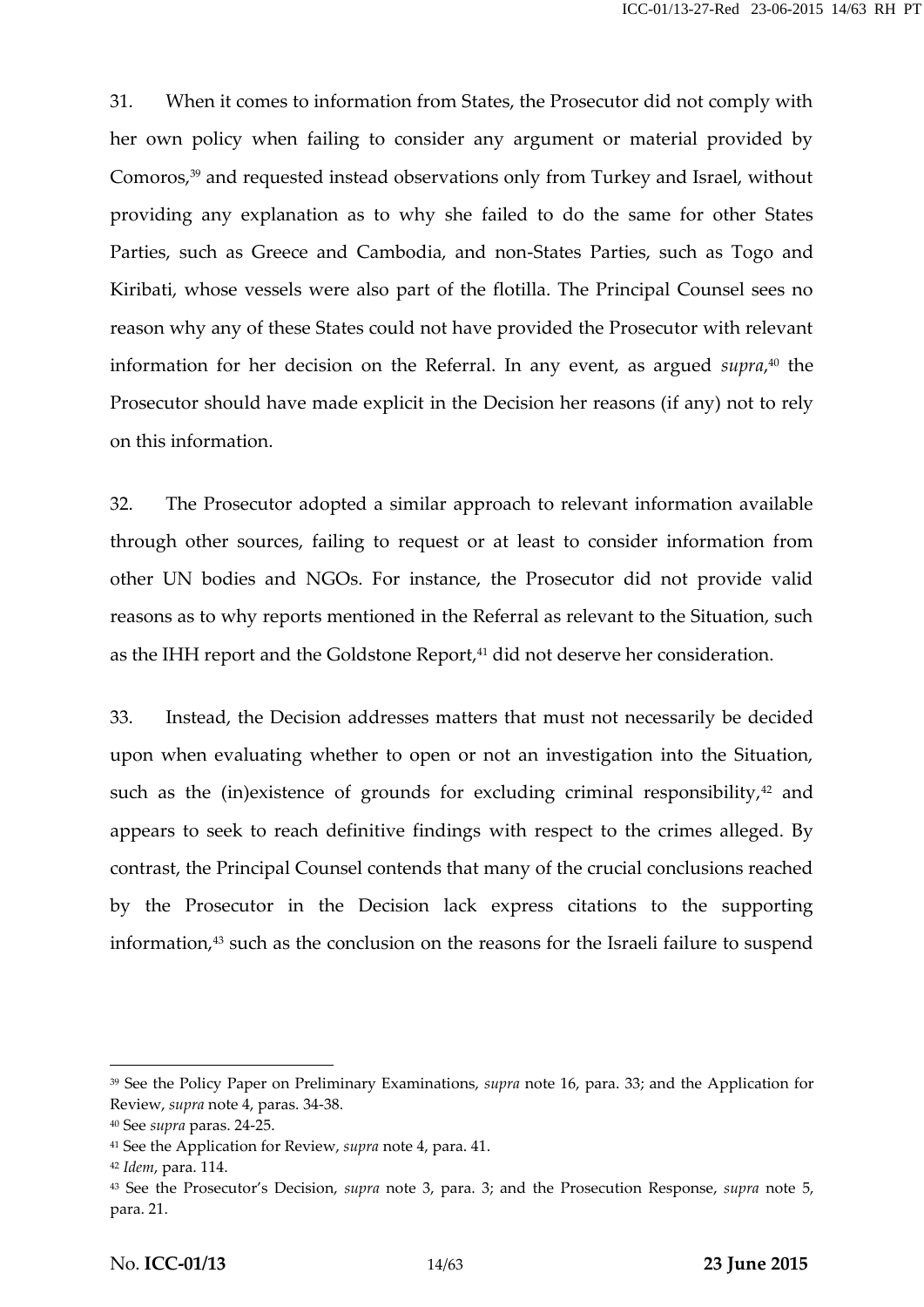31. When it comes to information from States, the Prosecutor did not comply with her own policy when failing to consider any argument or material provided by Comoros,<sup>39</sup> and requested instead observations only from Turkey and Israel, without providing any explanation as to why she failed to do the same for other States Parties, such as Greece and Cambodia, and non-States Parties, such as Togo and Kiribati, whose vessels were also part of the flotilla. The Principal Counsel sees no reason why any of these States could not have provided the Prosecutor with relevant information for her decision on the Referral. In any event, as argued *supra*,<sup>40</sup> the Prosecutor should have made explicit in the Decision her reasons (if any) not to rely on this information.

32. The Prosecutor adopted a similar approach to relevant information available through other sources, failing to request or at least to consider information from other UN bodies and NGOs. For instance, the Prosecutor did not provide valid reasons as to why reports mentioned in the Referral as relevant to the Situation, such as the IHH report and the Goldstone Report,<sup>41</sup> did not deserve her consideration.

33. Instead, the Decision addresses matters that must not necessarily be decided upon when evaluating whether to open or not an investigation into the Situation, such as the (in)existence of grounds for excluding criminal responsibility, $42$  and appears to seek to reach definitive findings with respect to the crimes alleged. By contrast, the Principal Counsel contends that many of the crucial conclusions reached by the Prosecutor in the Decision lack express citations to the supporting information,<sup>43</sup> such as the conclusion on the reasons for the Israeli failure to suspend

<sup>39</sup> See the Policy Paper on Preliminary Examinations, *supra* note 16, para. 33; and the Application for Review, *supra* note 4, paras. 34-38.

<sup>40</sup> See *supra* paras. 24-25.

<sup>41</sup> See the Application for Review, *supra* note 4, para. 41.

<sup>42</sup> *Idem*, para. 114.

<sup>43</sup> See the Prosecutor's Decision, *supra* note 3, para. 3; and the Prosecution Response, *supra* note 5, para. 21.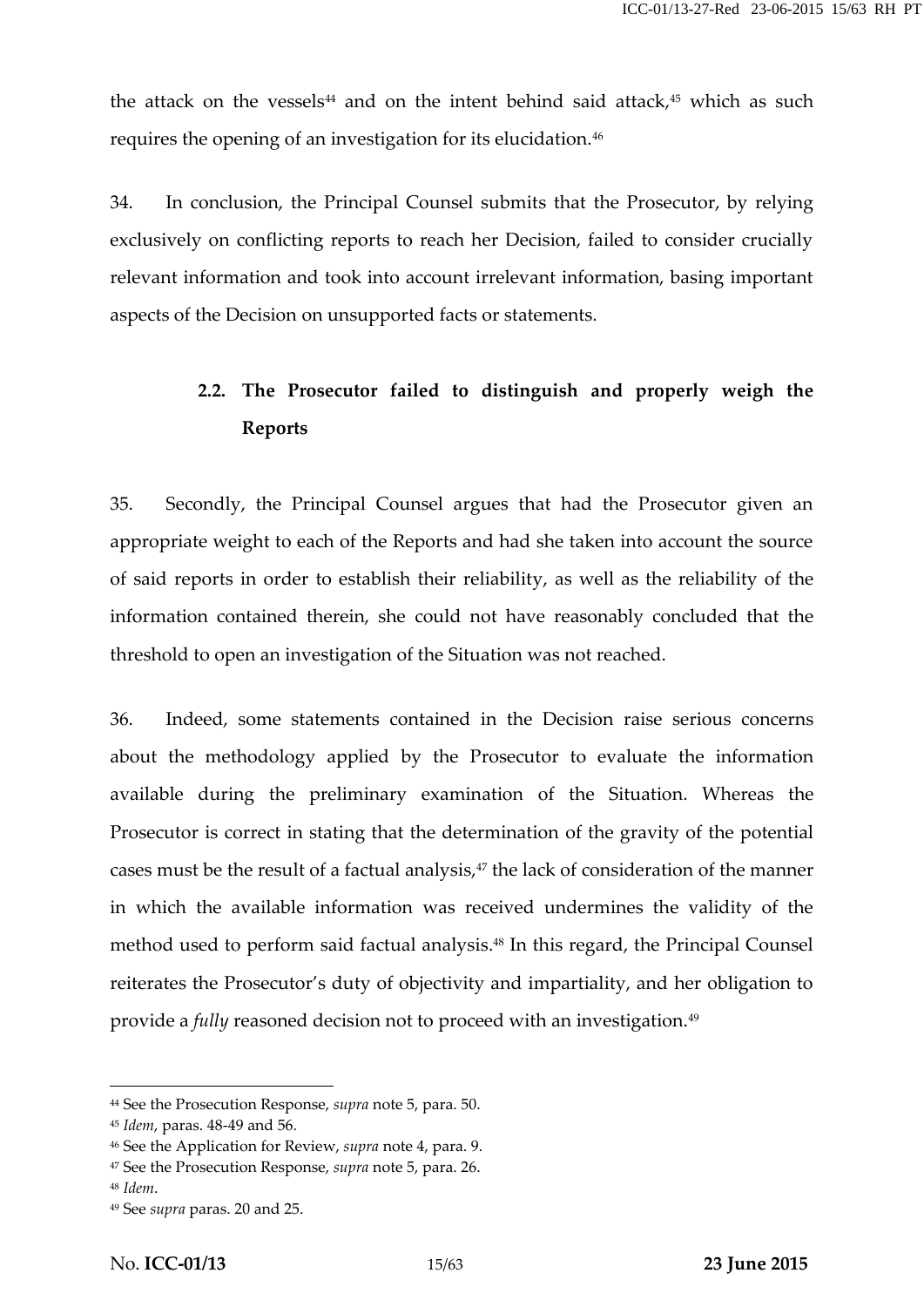the attack on the vessels<sup>44</sup> and on the intent behind said attack, $45$  which as such requires the opening of an investigation for its elucidation.<sup>46</sup>

34. In conclusion, the Principal Counsel submits that the Prosecutor, by relying exclusively on conflicting reports to reach her Decision, failed to consider crucially relevant information and took into account irrelevant information, basing important aspects of the Decision on unsupported facts or statements.

## **2.2. The Prosecutor failed to distinguish and properly weigh the Reports**

35. Secondly, the Principal Counsel argues that had the Prosecutor given an appropriate weight to each of the Reports and had she taken into account the source of said reports in order to establish their reliability, as well as the reliability of the information contained therein, she could not have reasonably concluded that the threshold to open an investigation of the Situation was not reached.

36. Indeed, some statements contained in the Decision raise serious concerns about the methodology applied by the Prosecutor to evaluate the information available during the preliminary examination of the Situation. Whereas the Prosecutor is correct in stating that the determination of the gravity of the potential cases must be the result of a factual analysis,<sup>47</sup> the lack of consideration of the manner in which the available information was received undermines the validity of the method used to perform said factual analysis.<sup>48</sup> In this regard, the Principal Counsel reiterates the Prosecutor's duty of objectivity and impartiality, and her obligation to provide a *fully* reasoned decision not to proceed with an investigation.<sup>49</sup>

<sup>44</sup> See the Prosecution Response, *supra* note 5, para. 50.

<sup>45</sup> *Idem*, paras. 48-49 and 56.

<sup>46</sup> See the Application for Review, *supra* note 4, para. 9.

<sup>47</sup> See the Prosecution Response, *supra* note 5, para. 26.

<sup>48</sup> *Idem*.

<sup>49</sup> See *supra* paras. 20 and 25.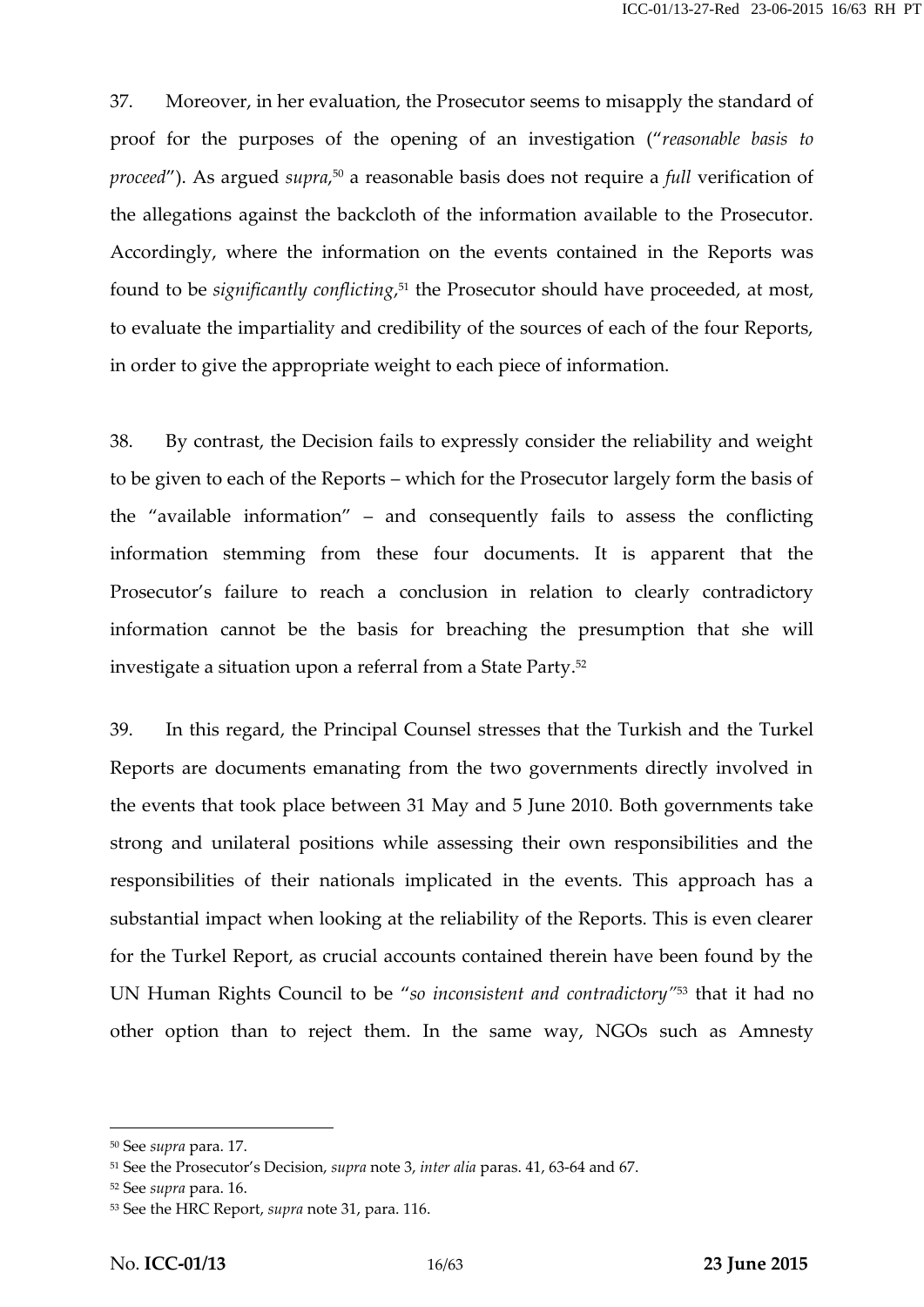37. Moreover, in her evaluation, the Prosecutor seems to misapply the standard of proof for the purposes of the opening of an investigation ("*reasonable basis to proceed"*). As argued *supra*,<sup>50</sup> a reasonable basis does not require a *full* verification of the allegations against the backcloth of the information available to the Prosecutor. Accordingly, where the information on the events contained in the Reports was found to be *significantly conflicting*,<sup>51</sup> the Prosecutor should have proceeded, at most, to evaluate the impartiality and credibility of the sources of each of the four Reports, in order to give the appropriate weight to each piece of information.

38. By contrast, the Decision fails to expressly consider the reliability and weight to be given to each of the Reports – which for the Prosecutor largely form the basis of the "available information" – and consequently fails to assess the conflicting information stemming from these four documents. It is apparent that the Prosecutor's failure to reach a conclusion in relation to clearly contradictory information cannot be the basis for breaching the presumption that she will investigate a situation upon a referral from a State Party.<sup>52</sup>

39. In this regard, the Principal Counsel stresses that the Turkish and the Turkel Reports are documents emanating from the two governments directly involved in the events that took place between 31 May and 5 June 2010. Both governments take strong and unilateral positions while assessing their own responsibilities and the responsibilities of their nationals implicated in the events. This approach has a substantial impact when looking at the reliability of the Reports. This is even clearer for the Turkel Report, as crucial accounts contained therein have been found by the UN Human Rights Council to be "*so inconsistent and contradictory"* <sup>53</sup> that it had no other option than to reject them. In the same way, NGOs such as Amnesty

<sup>50</sup> See *supra* para. 17.

<sup>51</sup> See the Prosecutor's Decision, *supra* note 3, *inter alia* paras. 41, 63-64 and 67.

<sup>52</sup> See *supra* para. 16.

<sup>53</sup> See the HRC Report, *supra* note 31, para. 116.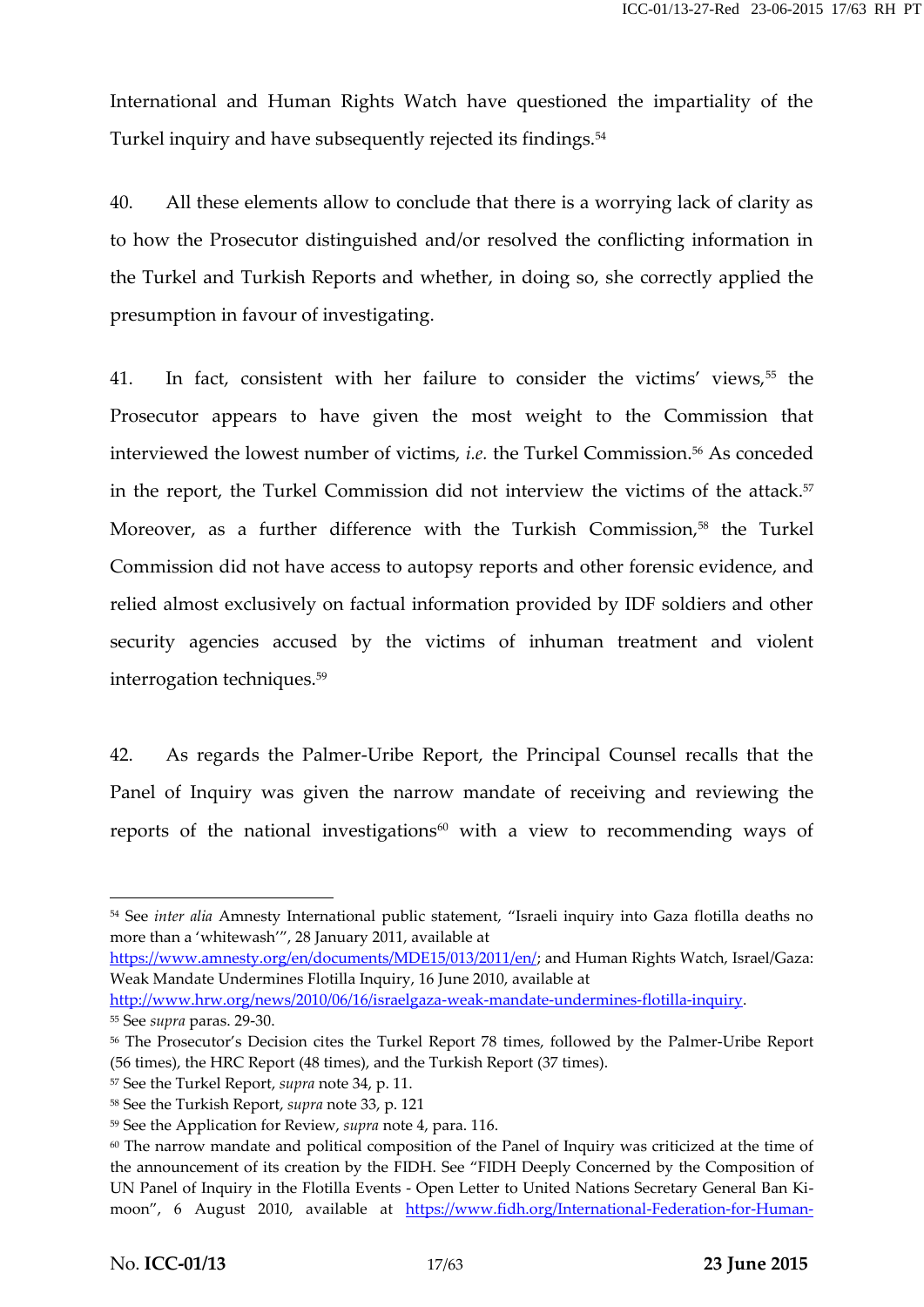International and Human Rights Watch have questioned the impartiality of the Turkel inquiry and have subsequently rejected its findings.<sup>54</sup>

40. All these elements allow to conclude that there is a worrying lack of clarity as to how the Prosecutor distinguished and/or resolved the conflicting information in the Turkel and Turkish Reports and whether, in doing so, she correctly applied the presumption in favour of investigating.

41. In fact, consistent with her failure to consider the victims' views,<sup>55</sup> the Prosecutor appears to have given the most weight to the Commission that interviewed the lowest number of victims, *i.e.* the Turkel Commission.<sup>56</sup> As conceded in the report, the Turkel Commission did not interview the victims of the attack.<sup>57</sup> Moreover, as a further difference with the Turkish Commission,<sup>58</sup> the Turkel Commission did not have access to autopsy reports and other forensic evidence, and relied almost exclusively on factual information provided by IDF soldiers and other security agencies accused by the victims of inhuman treatment and violent interrogation techniques.<sup>59</sup>

42. As regards the Palmer-Uribe Report, the Principal Counsel recalls that the Panel of Inquiry was given the narrow mandate of receiving and reviewing the reports of the national investigations $60$  with a view to recommending ways of

https://www.amnesty.org/en/documents/MDE15/013/2011/en/; and Human Rights Watch, Israel/Gaza: Weak Mandate Undermines Flotilla Inquiry, 16 June 2010, available at

<sup>54</sup> See *inter alia* Amnesty International public statement, "Israeli inquiry into Gaza flotilla deaths no more than a 'whitewash'", 28 January 2011, available at

http://www.hrw.org/news/2010/06/16/israelgaza-weak-mandate-undermines-flotilla-inquiry. <sup>55</sup> See *supra* paras. 29-30.

<sup>56</sup> The Prosecutor's Decision cites the Turkel Report 78 times, followed by the Palmer-Uribe Report (56 times), the HRC Report (48 times), and the Turkish Report (37 times).

<sup>57</sup> See the Turkel Report, *supra* note 34, p. 11.

<sup>58</sup> See the Turkish Report, *supra* note 33, p. 121

<sup>59</sup> See the Application for Review, *supra* note 4, para. 116.

<sup>&</sup>lt;sup>60</sup> The narrow mandate and political composition of the Panel of Inquiry was criticized at the time of the announcement of its creation by the FIDH. See "FIDH Deeply Concerned by the Composition of UN Panel of Inquiry in the Flotilla Events -Open Letter to United Nations Secretary General Ban Ki moon", 6 August 2010, available at https://www.fidh.org/International-Federation-for-Human-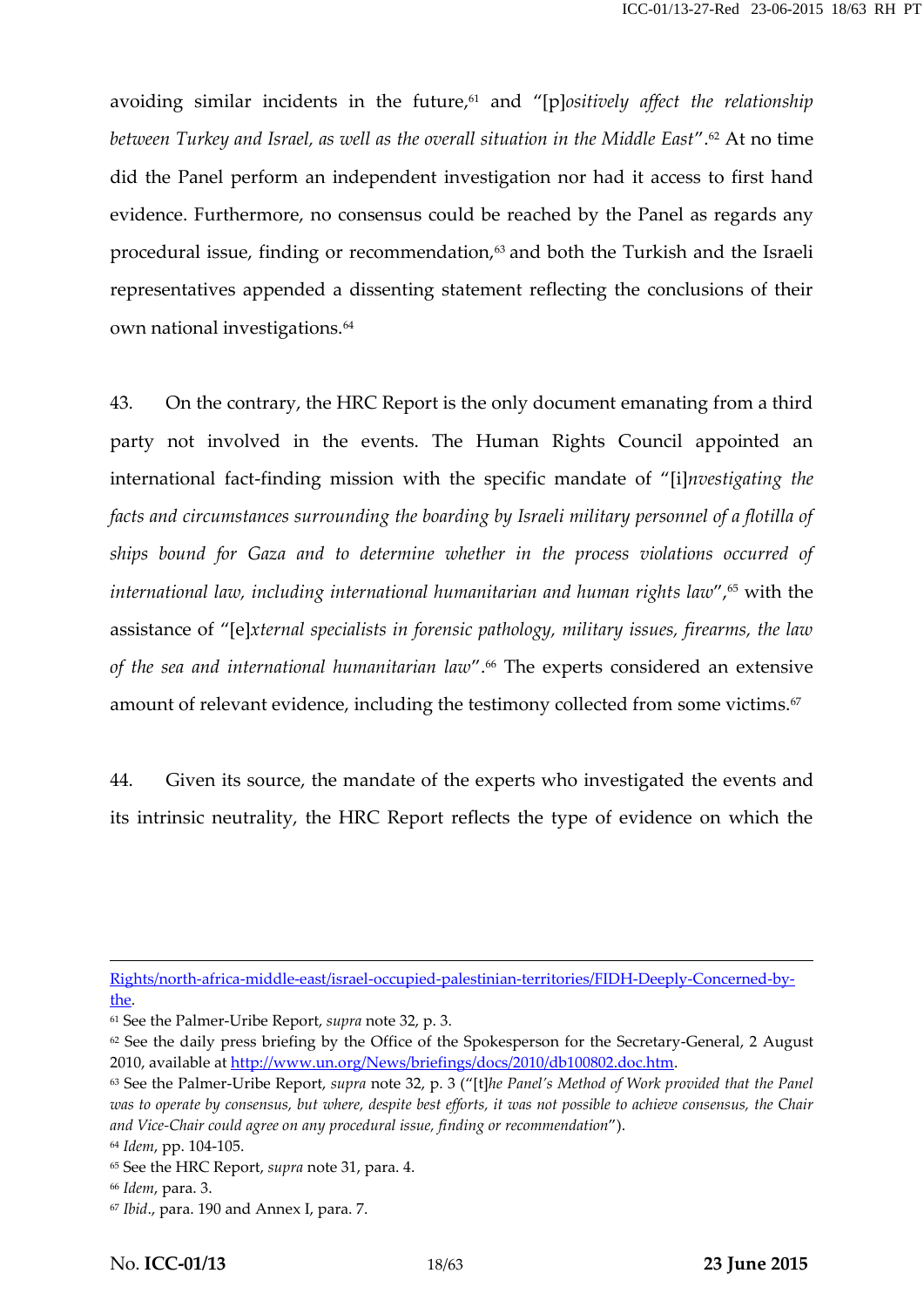avoiding similar incidents in the future,<sup>61</sup> and "[p]ositively affect the relationship *between Turkey and Israel, as well as the overall situation in the Middle East*".<sup>62</sup> At no time did the Panel perform an independent investigation nor had it access to first hand evidence. Furthermore, no consensus could be reached by the Panel as regards any procedural issue, finding or recommendation, $63$  and both the Turkish and the Israeli representatives appended a dissenting statement reflecting the conclusions of their own national investigations.<sup>64</sup>

43. On the contrary, the HRC Report is the only document emanating from a third party not involved in the events. The Human Rights Council appointed an international fact-finding mission with the specific mandate of "[i]*nvestigating the facts and circumstances surrounding the boarding by Israeli military personnel of a flotilla of ships bound for Gaza and to determine whether in the process violations occurred of* international law, including international humanitarian and human rights law",<sup>65</sup> with the assistance of "[e]*xternal specialists in forensic pathology, military issues, firearms, the law of the sea and international humanitarian law*".<sup>66</sup> The experts considered an extensive amount of relevant evidence, including the testimony collected from some victims.<sup>67</sup>

44. Given its source, the mandate of the experts who investigated the events and its intrinsic neutrality, the HRC Report reflects the type of evidence on which the

Rights/north-africa-middle-east/israel-occupied-palestinian-territories/FIDH-Deeply-Concerned-bythe.

<sup>61</sup> See the Palmer-Uribe Report, *supra* note 32, p. 3.

<sup>&</sup>lt;sup>62</sup> See the daily press briefing by the Office of the Spokesperson for the Secretary-General, 2 August 2010, available at http://www.un.org/News/briefings/docs/2010/db100802.doc.htm.

<sup>63</sup> See the Palmer-Uribe Report, *supra* note 32, p. 3 ("[t]*he Panel's Method of Work provided that the Panel was to operate by consensus, but where, despite best efforts, it was not possible to achieve consensus, the Chair and Vice-Chair could agree on any procedural issue, finding or recommendation*").

<sup>64</sup> *Idem*, pp. 104-105. <sup>65</sup> See the HRC Report, *supra* note 31, para. 4.

<sup>66</sup> *Idem*, para. 3.

<sup>67</sup> *Ibid*., para. 190 and Annex I, para. 7.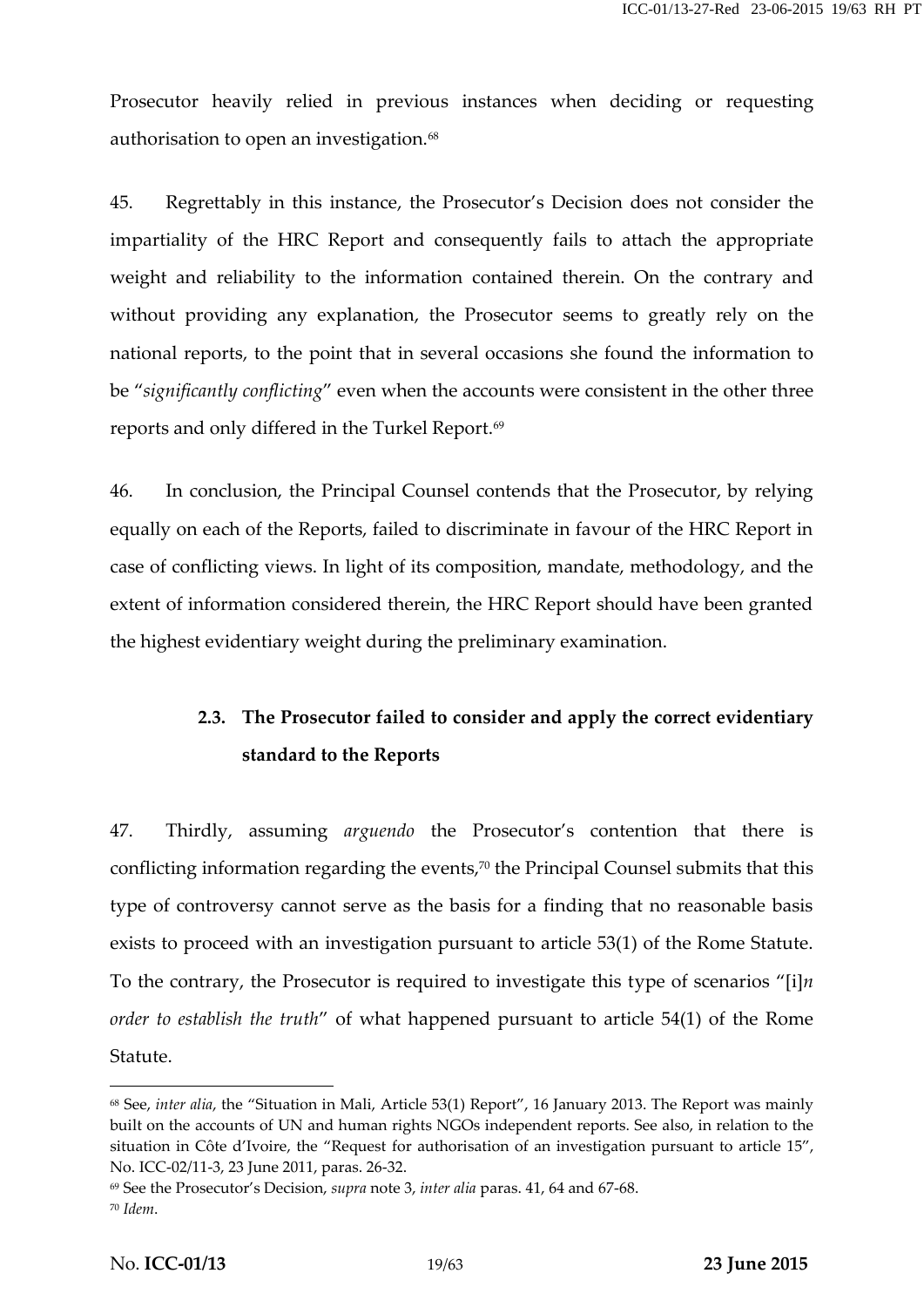Prosecutor heavily relied in previous instances when deciding or requesting authorisation to open an investigation.<sup>68</sup>

45. Regrettably in this instance, the Prosecutor's Decision does not consider the impartiality of the HRC Report and consequently fails to attach the appropriate weight and reliability to the information contained therein. On the contrary and without providing any explanation, the Prosecutor seems to greatly rely on the national reports, to the point that in several occasions she found the information to be "*significantly conflicting*" even when the accounts were consistent in the other three reports and only differed in the Turkel Report.<sup>69</sup>

46. In conclusion, the Principal Counsel contends that the Prosecutor, by relying equally on each of the Reports, failed to discriminate in favour of the HRC Report in case of conflicting views. In light of its composition, mandate, methodology, and the extent of information considered therein, the HRC Report should have been granted the highest evidentiary weight during the preliminary examination.

### **2.3. The Prosecutor failed to consider and apply the correct evidentiary standard to the Reports**

47. Thirdly, assuming *arguendo* the Prosecutor's contention that there is conflicting information regarding the events, $70$  the Principal Counsel submits that this type of controversy cannot serve as the basis for a finding that no reasonable basis exists to proceed with an investigation pursuant to article 53(1) of the Rome Statute. To the contrary, the Prosecutor is required to investigate this type of scenarios "[i]*n order to establish the truth*" of what happened pursuant to article 54(1) of the Rome Statute.

<sup>68</sup> See, *inter alia*, the "Situation in Mali, Article 53(1) Report", 16 January 2013. The Report was mainly built on the accounts of UN and human rights NGOs independent reports. See also, in relation to the situation in Côte d'Ivoire, the "Request for authorisation of an investigation pursuant to article 15", No. ICC-02/11-3, 23 June 2011, paras. 26-32.

<sup>69</sup> See the Prosecutor's Decision, *supra* note 3, *inter alia* paras. 41, 64 and 67-68.

<sup>70</sup> *Idem*.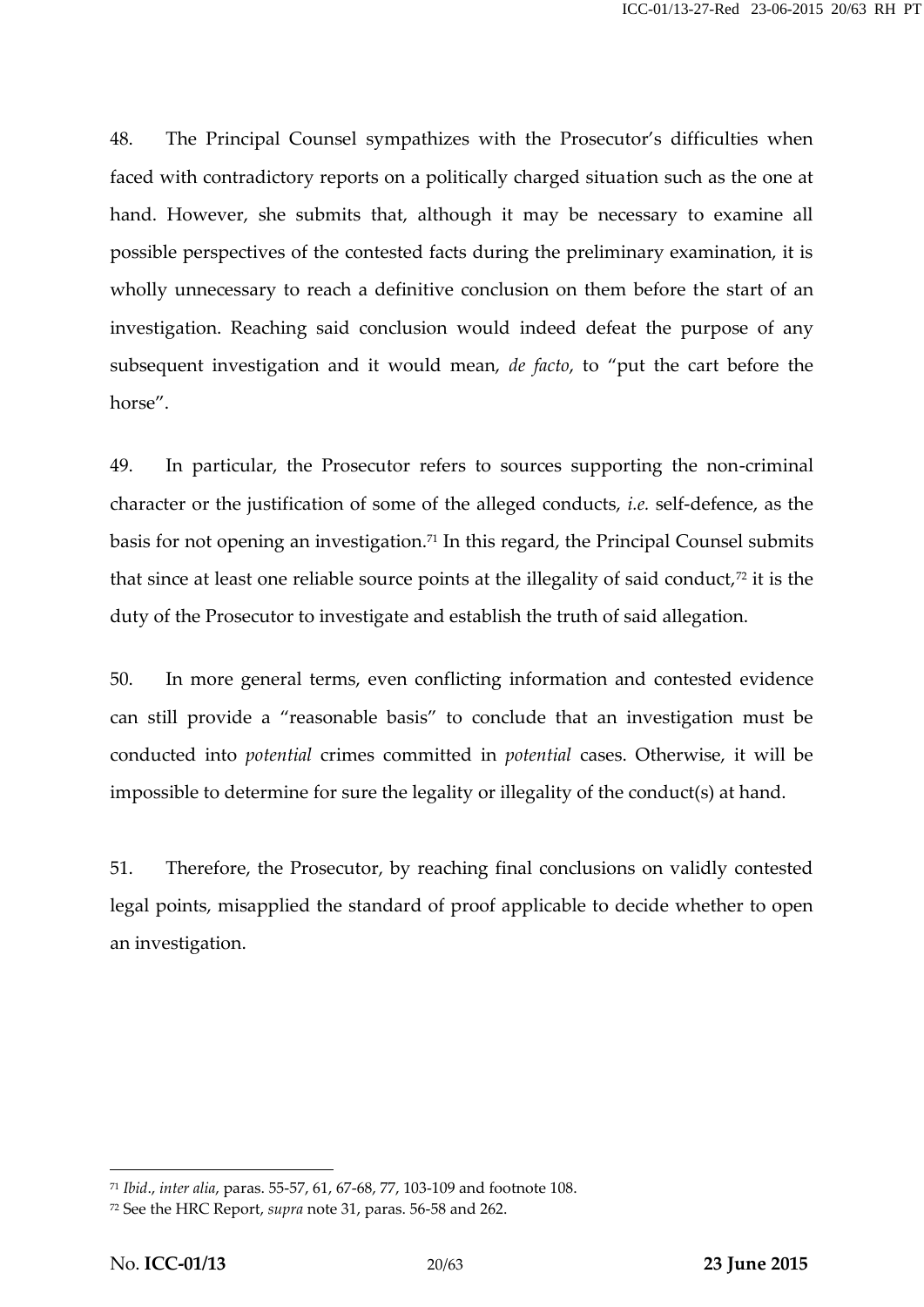48. The Principal Counsel sympathizes with the Prosecutor's difficulties when faced with contradictory reports on a politically charged situation such as the one at hand. However, she submits that, although it may be necessary to examine all possible perspectives of the contested facts during the preliminary examination, it is wholly unnecessary to reach a definitive conclusion on them before the start of an investigation. Reaching said conclusion would indeed defeat the purpose of any subsequent investigation and it would mean, *de facto*, to "put the cart before the horse".

49. In particular, the Prosecutor refers to sources supporting the non-criminal character or the justification of some of the alleged conducts, *i.e.* self-defence, as the basis for not opening an investigation.<sup>71</sup> In this regard, the Principal Counsel submits that since at least one reliable source points at the illegality of said conduct, $72$  it is the duty of the Prosecutor to investigate and establish the truth of said allegation.

50. In more general terms, even conflicting information and contested evidence can still provide a "reasonable basis" to conclude that an investigation must be conducted into *potential* crimes committed in *potential* cases. Otherwise, it will be impossible to determine for sure the legality or illegality of the conduct(s) at hand.

51. Therefore, the Prosecutor, by reaching final conclusions on validly contested legal points, misapplied the standard of proof applicable to decide whether to open an investigation.

<sup>71</sup> *Ibid*., *inter alia*, paras. 55-57, 61, 67-68, 77, 103-109 and footnote 108.

<sup>72</sup> See the HRC Report, *supra* note 31, paras. 56-58 and 262.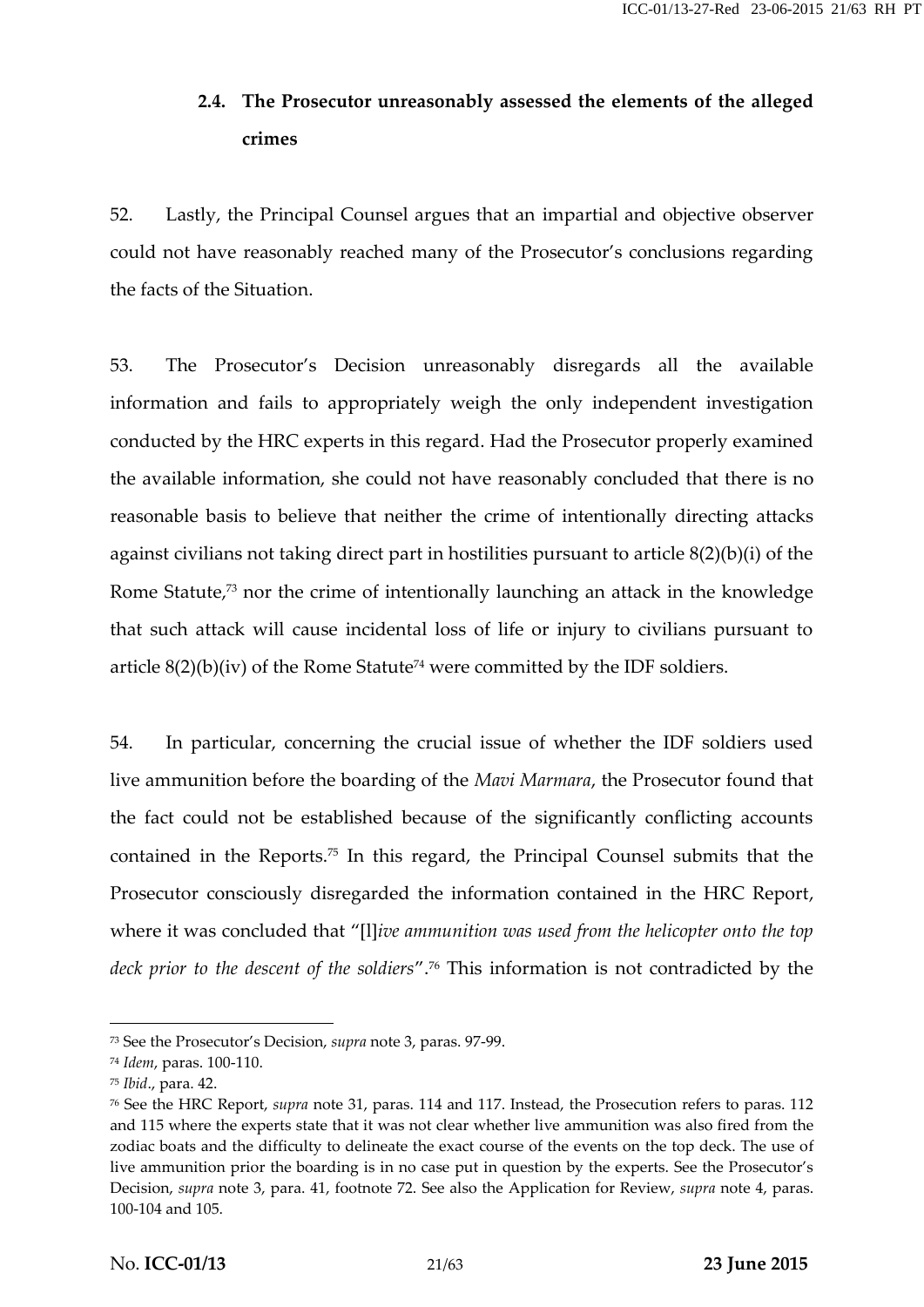## **2.4. The Prosecutor unreasonably assessed the elements of the alleged crimes**

52. Lastly, the Principal Counsel argues that an impartial and objective observer could not have reasonably reached many of the Prosecutor's conclusions regarding the facts of the Situation.

53. The Prosecutor's Decision unreasonably disregards all the available information and fails to appropriately weigh the only independent investigation conducted by the HRC experts in this regard. Had the Prosecutor properly examined the available information, she could not have reasonably concluded that there is no reasonable basis to believe that neither the crime of intentionally directing attacks against civilians not taking direct part in hostilities pursuant to article 8(2)(b)(i) of the Rome Statute,<sup>73</sup> nor the crime of intentionally launching an attack in the knowledge that such attack will cause incidental loss of life or injury to civilians pursuant to article  $8(2)(b)(iv)$  of the Rome Statute<sup>74</sup> were committed by the IDF soldiers.

54. In particular, concerning the crucial issue of whether the IDF soldiers used live ammunition before the boarding of the *Mavi Marmara*, the Prosecutor found that the fact could not be established because of the significantly conflicting accounts contained in the Reports.<sup>75</sup> In this regard, the Principal Counsel submits that the Prosecutor consciously disregarded the information contained in the HRC Report, where it was concluded that "[l]*ive ammunition was used from the helicopter onto the top deck prior to the descent of the soldiers*".<sup>76</sup> This information is not contradicted by the

<sup>73</sup> See the Prosecutor's Decision, *supra* note 3, paras. 97-99.

<sup>74</sup> *Idem*, paras. 100-110.

<sup>75</sup> *Ibid*., para. 42.

<sup>76</sup> See the HRC Report, *supra* note 31, paras. 114 and 117. Instead, the Prosecution refers to paras. 112 and 115 where the experts state that it was not clear whether live ammunition was also fired from the zodiac boats and the difficulty to delineate the exact course of the events on the top deck. The use of live ammunition prior the boarding is in no case put in question by the experts. See the Prosecutor's Decision, *supra* note 3, para. 41, footnote 72. See also the Application for Review, *supra* note 4, paras. 100-104 and 105.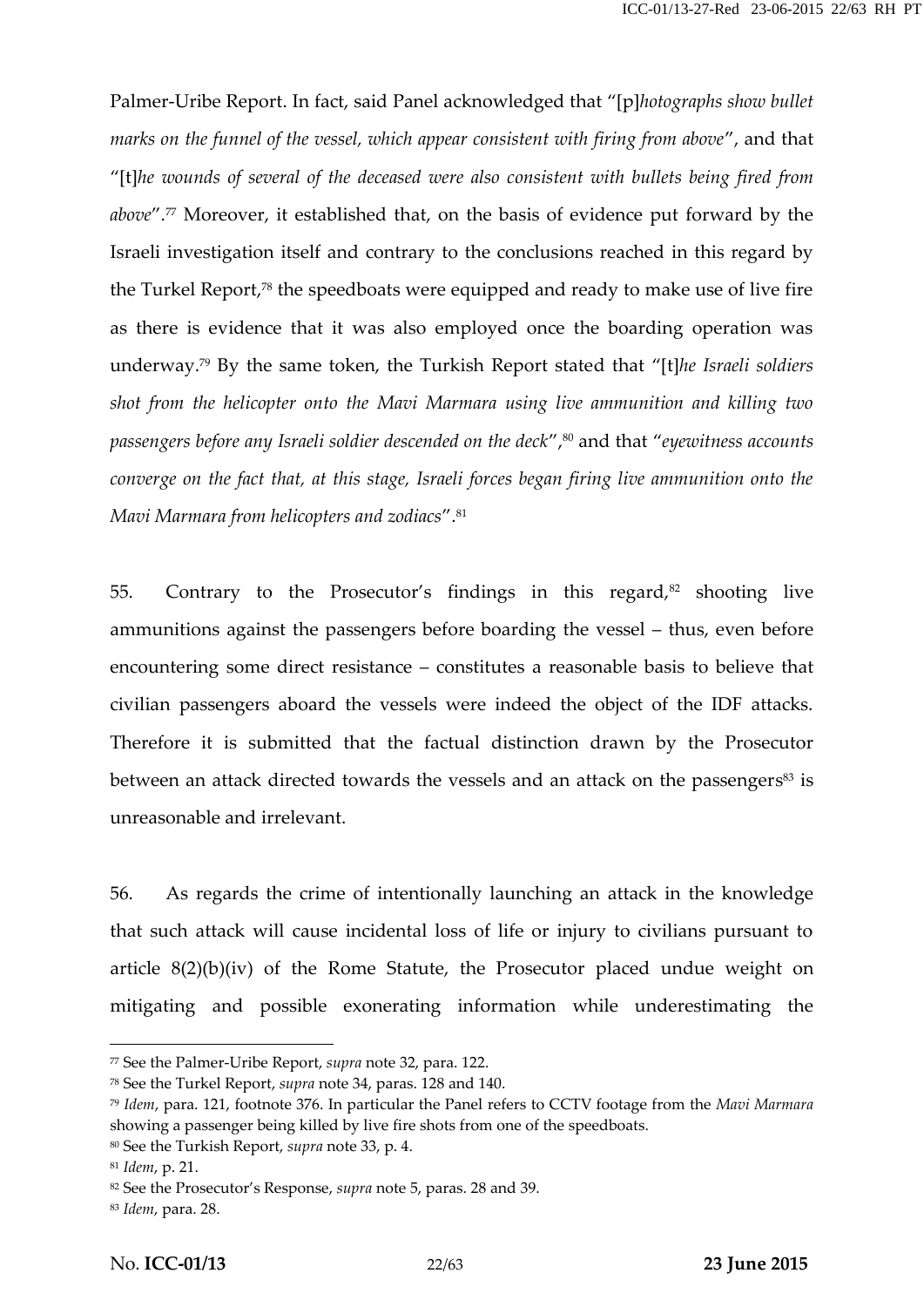Palmer-Uribe Report. In fact, said Panel acknowledged that "[p]*hotographs show bullet marks on the funnel of the vessel, which appear consistent with firing from above*", and that "[t]*he wounds of several of the deceased were also consistent with bullets being fired from above*".<sup>77</sup> Moreover, it established that, on the basis of evidence put forward by the Israeli investigation itself and contrary to the conclusions reached in this regard by the Turkel Report,<sup>78</sup> the speedboats were equipped and ready to make use of live fire as there is evidence that it was also employed once the boarding operation was underway.<sup>79</sup> By the same token, the Turkish Report stated that"[t]*he Israeli soldiers shot from the helicopter onto the Mavi Marmara using live ammunition and killing two passengers before any Israeli soldier descended on the deck*",<sup>80</sup> and that "*eyewitness accounts converge on the fact that, at this stage, Israeli forces began firing live ammunition onto the Mavi Marmara from helicopters and zodiacs*".<sup>81</sup>

55. Contrary to the Prosecutor's findings in this regard, $82$  shooting live ammunitions against the passengers before boarding the vessel – thus, even before encountering some direct resistance – constitutes a reasonable basis to believe that civilian passengers aboard the vessels were indeed the object of the IDF attacks. Therefore it is submitted that the factual distinction drawn by the Prosecutor between an attack directed towards the vessels and an attack on the passengers<sup>83</sup> is unreasonable and irrelevant.

56. As regards the crime of intentionally launching an attack in the knowledge that such attack will cause incidental loss of life or injury to civilians pursuant to article 8(2)(b)(iv) of the Rome Statute, the Prosecutor placed undue weight on mitigating and possible exonerating information while underestimating the

<sup>77</sup> See the Palmer-Uribe Report, *supra* note 32, para. 122.

<sup>78</sup> See the Turkel Report, *supra* note 34, paras. 128 and 140.

<sup>79</sup> *Idem*, para. 121, footnote 376. In particular the Panel refers to CCTV footage from the *Mavi Marmara* showing a passenger being killed by live fire shots from one of the speedboats.

<sup>80</sup> See the Turkish Report, *supra* note 33, p. 4.

<sup>81</sup> *Idem*, p. 21.

<sup>82</sup> See the Prosecutor's Response, *supra* note 5, paras. 28 and 39.

<sup>83</sup> *Idem*, para. 28.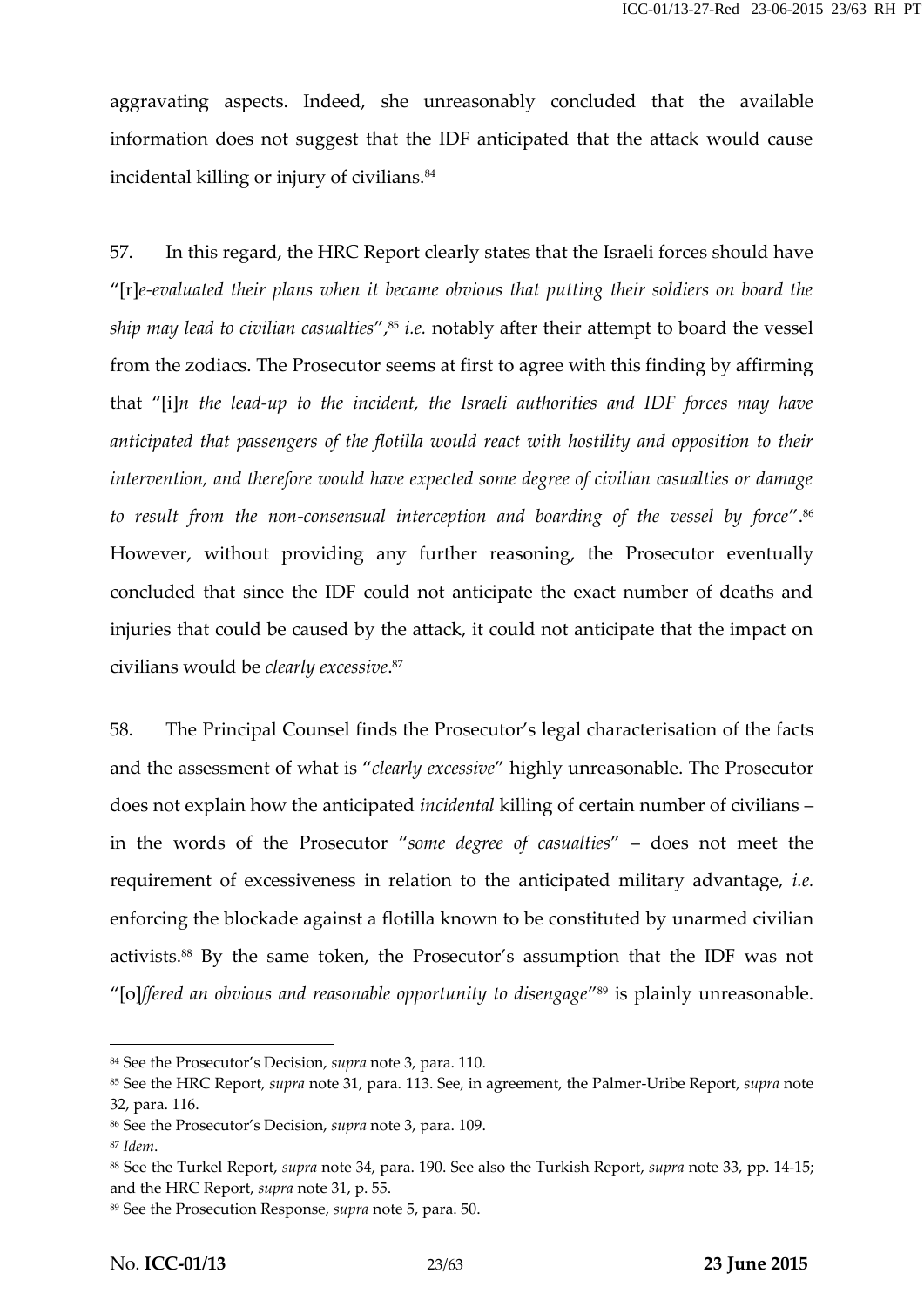aggravating aspects. Indeed, she unreasonably concluded that the available information does not suggest that the IDF anticipated that the attack would cause incidental killing or injury of civilians.<sup>84</sup>

57. In this regard, the HRC Report clearly states that the Israeli forces should have "[r]*e-evaluated their plans when it became obvious that putting their soldiers on board the ship may lead to civilian casualties"*,<sup>85</sup> *i.e.* notably after their attempt to board the vessel from the zodiacs. The Prosecutor seems at first to agree with this finding by affirming that "[i]*n the lead-up to the incident, the Israeli authorities and IDF forces may have anticipated that passengers of the flotilla would react with hostility and opposition to their intervention, and therefore would have expected some degree of civilian casualties or damage to result from the non-consensual interception and boarding of the vessel by force*".<sup>86</sup> However, without providing any further reasoning, the Prosecutor eventually concluded that since the IDF could not anticipate the exact number of deaths and injuries that could be caused by the attack, it could not anticipate that the impact on civilians would be *clearly excessive*.<sup>87</sup>

58. The Principal Counsel finds the Prosecutor's legal characterisation of the facts and the assessment of what is "*clearly excessive*" highly unreasonable. The Prosecutor does not explain how the anticipated *incidental* killing of certain number of civilians – in the words of the Prosecutor "*some degree of casualties*" – does not meet the requirement of excessiveness in relation to the anticipated military advantage, *i.e.* enforcing the blockade against a flotilla known to be constituted by unarmed civilian activists.<sup>88</sup> By the same token, the Prosecutor's assumption that the IDF was not "[o]*ffered an obvious and reasonable opportunity to disengage*" <sup>89</sup> is plainly unreasonable.

<sup>84</sup> See the Prosecutor's Decision, *supra* note 3, para. 110.

<sup>85</sup> See the HRC Report, *supra* note 31, para. 113. See, in agreement, the Palmer-Uribe Report, *supra* note 32, para. 116.

<sup>86</sup> See the Prosecutor's Decision, *supra* note 3, para. 109.

<sup>87</sup> *Idem*.

<sup>88</sup> See the Turkel Report, *supra* note 34, para. 190. See also the Turkish Report, *supra* note 33, pp. 14-15; and the HRC Report, *supra* note 31, p. 55.

<sup>89</sup> See the Prosecution Response, *supra* note 5, para. 50.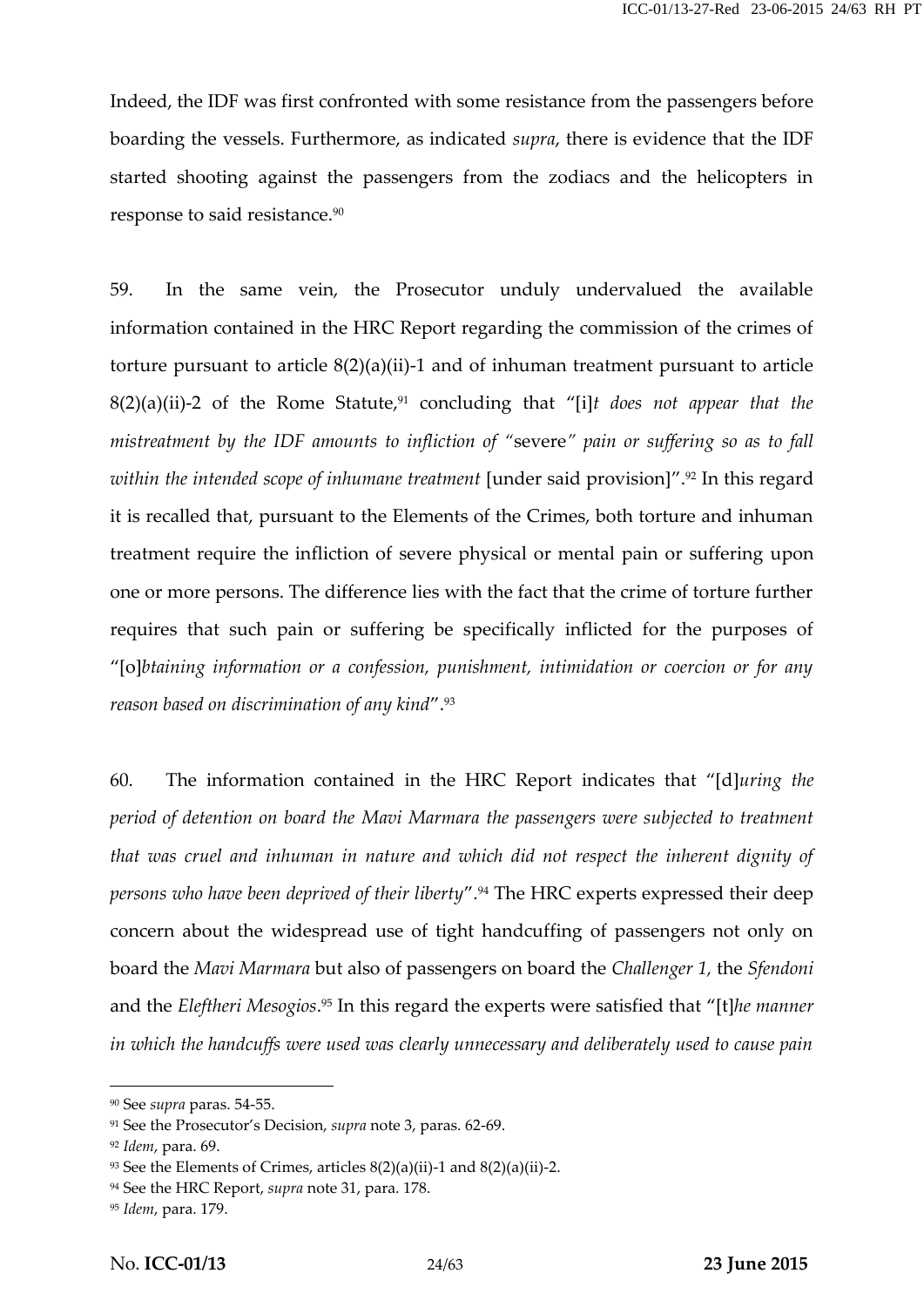Indeed, the IDF was first confronted with some resistance from the passengers before boarding the vessels. Furthermore, as indicated *supra*, there is evidence that the IDF started shooting against the passengers from the zodiacs and the helicopters in response to said resistance.<sup>90</sup>

59. In the same vein, the Prosecutor unduly undervalued the available information contained in the HRC Report regarding the commission of the crimes of torture pursuant to article 8(2)(a)(ii)-1 and of inhuman treatment pursuant to article 8(2)(a)(ii)-2 of the Rome Statute,<sup>91</sup> concluding that "[i]*t does not appear that the mistreatment by the IDF amounts to infliction of "*severe*" pain or suffering so as to fall within the intended scope of inhumane treatment* [under said provision]".<sup>92</sup> In this regard it is recalled that, pursuant to the Elements of the Crimes, both torture and inhuman treatment require the infliction of severe physical or mental pain or suffering upon one or more persons. The difference lies with the fact that the crime of torture further requires that such pain or suffering be specifically inflicted for the purposes of "[o]*btaining information or a confession, punishment, intimidation or coercion or for any reason based on discrimination of any kind*".<sup>93</sup>

60. The information contained in the HRC Report indicates that "[d]*uring the period of detention on board the Mavi Marmara the passengers were subjected to treatment that was cruel and inhuman in nature and which did not respect the inherent dignity of persons who have been deprived of their liberty*".<sup>94</sup> The HRC experts expressed their deep concern about the widespread use of tight handcuffing of passengers not only on board the *Mavi Marmara* but also of passengers on board the *Challenger 1,* the *Sfendoni* and the *Eleftheri Mesogios*.<sup>95</sup> In this regard the experts were satisfied that "[t]*he manner in which the handcuffs were used was clearly unnecessary and deliberately used to cause pain*

<sup>90</sup> See *supra* paras. 54-55.

<sup>91</sup> See the Prosecutor's Decision, *supra* note 3, paras. 62-69.

<sup>92</sup> *Idem*, para. 69.

 $93$  See the Elements of Crimes, articles  $8(2)(a)(ii)$ -1 and  $8(2)(a)(ii)$ -2.

<sup>94</sup> See the HRC Report, *supra* note 31, para. 178.

<sup>95</sup> *Idem*, para. 179.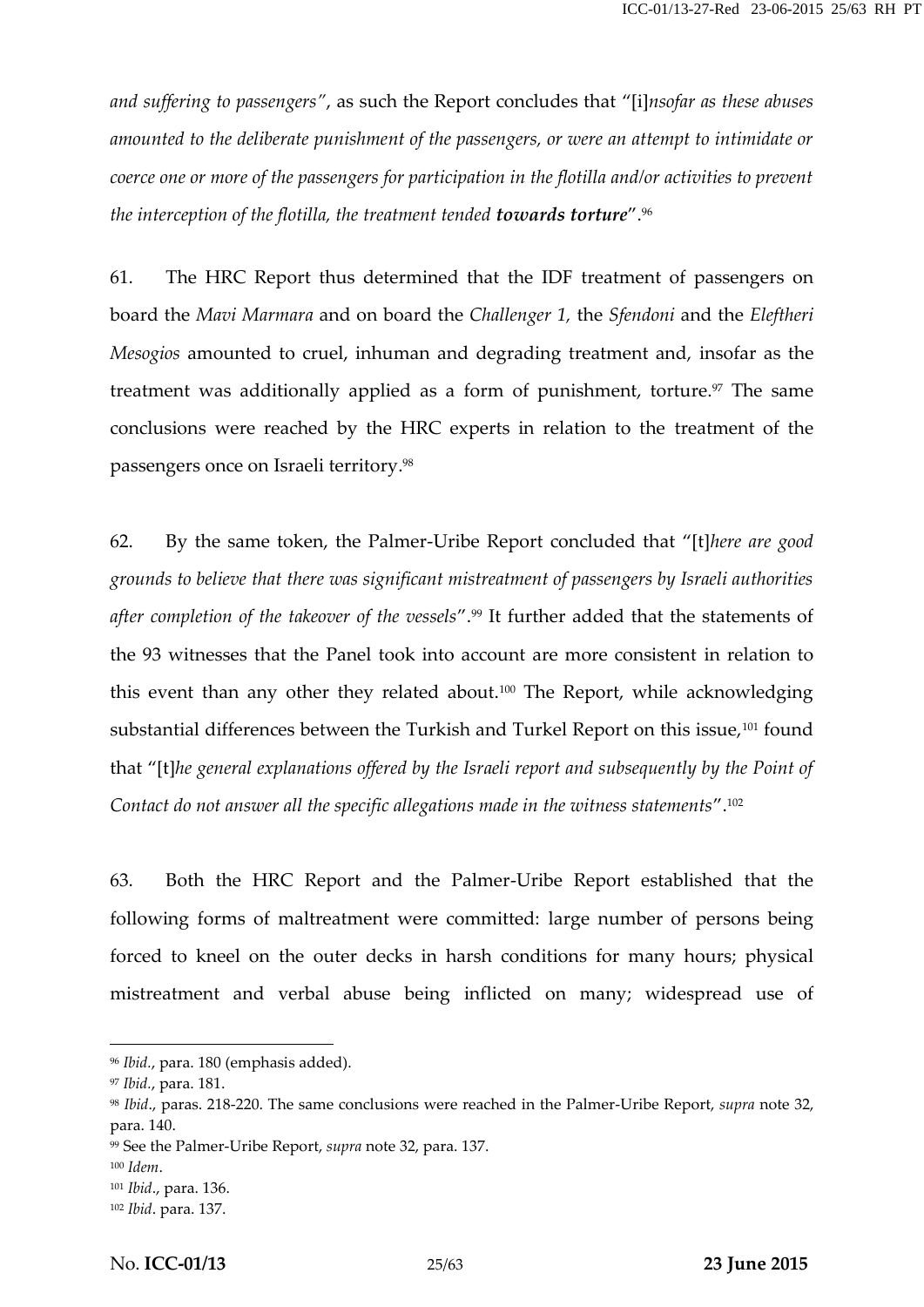*and suffering to passengers"*, as such the Report concludes that "[i]*nsofar as these abuses amounted to the deliberate punishment of the passengers, or were an attempt to intimidate or coerce one or more of the passengers for participation in the flotilla and/or activities to prevent the interception of the flotilla, the treatment tended towards torture*".<sup>96</sup>

61. The HRC Report thus determined that the IDF treatment of passengers on board the *Mavi Marmara* and on board the *Challenger 1,* the *Sfendoni* and the *Eleftheri Mesogios* amounted to cruel, inhuman and degrading treatment and, insofar as the treatment was additionally applied as a form of punishment, torture.<sup>97</sup> The same conclusions were reached by the HRC experts in relation to the treatment of the passengers once on Israeli territory.<sup>98</sup>

62. By the same token, the Palmer-Uribe Report concluded that "[t]*here are good grounds to believe that there was significant mistreatment of passengers by Israeli authorities after completion of the takeover of the vessels*".<sup>99</sup> It further added that the statements of the 93 witnesses that the Panel took into account are more consistent in relation to this event than any other they related about.<sup>100</sup> The Report, while acknowledging substantial differences between the Turkish and Turkel Report on this issue,<sup>101</sup> found that "[t]*he general explanations offered by the Israeli report and subsequently by the Point of Contact do not answer all the specific allegations made in the witness statements*".<sup>102</sup>

63. Both the HRC Report and the Palmer-Uribe Report established that the following forms of maltreatment were committed: large number of persons being forced to kneel on the outer decks in harsh conditions for many hours; physical mistreatment and verbal abuse being inflicted on many; widespread use of

<sup>96</sup> *Ibid.*, para. 180 (emphasis added).

<sup>97</sup> *Ibid.*, para. 181.

<sup>98</sup> *Ibid*., paras. 218-220. The same conclusions were reached in the Palmer-Uribe Report, *supra* note 32, para. 140.

<sup>99</sup> See the Palmer-Uribe Report, *supra* note 32, para. 137.

<sup>100</sup> *Idem*.

<sup>101</sup> *Ibid*., para. 136.

<sup>102</sup> *Ibid*. para. 137.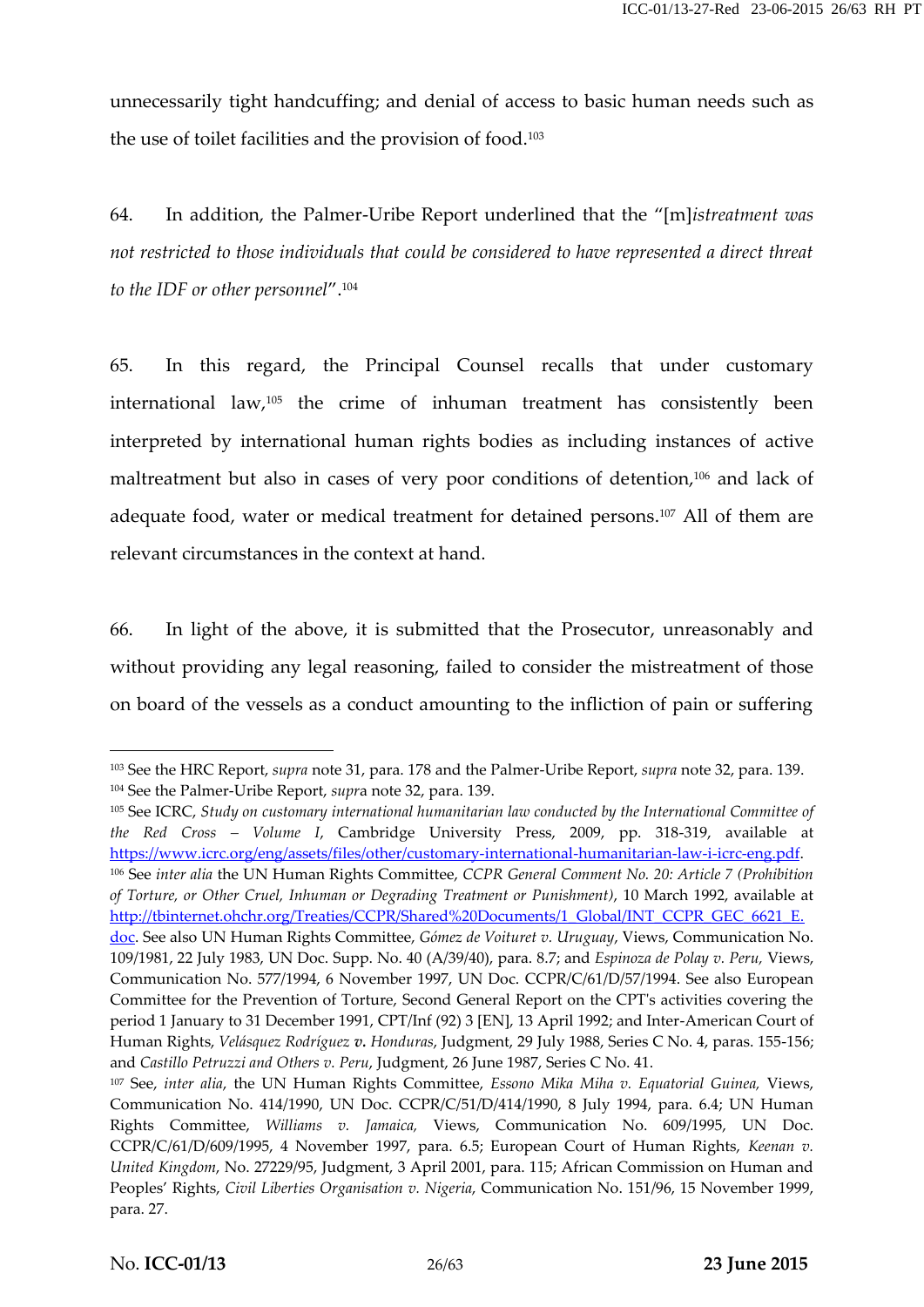unnecessarily tight handcuffing; and denial of access to basic human needs such as the use of toilet facilities and the provision of food.<sup>103</sup>

64. In addition, the Palmer-Uribe Report underlined that the "[m]*istreatment was not restricted to those individuals that could be considered to have represented a direct threat to the IDF or other personnel*".<sup>104</sup>

65. In this regard, the Principal Counsel recalls that under customary international law,<sup>105</sup> the crime of inhuman treatment has consistently been interpreted by international human rights bodies as including instances of active maltreatment but also in cases of very poor conditions of detention,<sup>106</sup> and lack of adequate food, water or medical treatment for detained persons.<sup>107</sup> All of them are relevant circumstances in the context at hand.

66. In light of the above, it is submitted that the Prosecutor, unreasonably and without providing any legal reasoning, failed to consider the mistreatment of those on board of the vessels as a conduct amounting to the infliction of pain or suffering

<sup>105</sup> See ICRC, *Study on customary international humanitarian law conducted by the International Committee of the Red Cross – Volume I*, Cambridge University Press, 2009, pp. 318-319, available at https://www.icrc.org/eng/assets/files/other/customary-international-humanitarian-law-i-icrc-eng.pdf. <sup>106</sup> See *inter alia* the UN Human Rights Committee, *CCPR General Comment No. 20: Article 7 (Prohibition of Torture, or Other Cruel, Inhuman or Degrading Treatment or Punishment)*, 10 March 1992, available at http://tbinternet.ohchr.org/Treaties/CCPR/Shared%20Documents/1\_Global/INT\_CCPR\_GEC\_6621\_E.

<sup>103</sup> See the HRC Report, *supra* note 31, para. 178 and the Palmer-Uribe Report, *supra* note 32, para. 139. <sup>104</sup> See the Palmer-Uribe Report, *supr*a note 32, para. 139.

doc. See also UN Human Rights Committee, *Gómez de Voituret v. Uruguay*, Views, Communication No. 109/1981, 22 July 1983, UN Doc. Supp. No. 40 (A/39/40), para. 8.7; and *Espinoza de Polay v. Peru,* Views, Communication No. 577/1994, 6 November 1997, UN Doc. CCPR/C/61/D/57/1994. See also European Committee for the Prevention of Torture, Second General Report on the CPT's activities covering the period 1 January to 31 December 1991, CPT/Inf (92) 3 [EN], 13 April 1992; and Inter-American Court of Human Rights, *Velásquez Rodríguez v. Honduras*, Judgment, 29 July 1988, Series C No. 4, paras. 155-156; and *Castillo Petruzzi and Others v. Peru*, Judgment, 26 June 1987, Series C No. 41.

<sup>107</sup> See, *inter alia*, the UN Human Rights Committee, *Essono Mika Miha v. Equatorial Guinea,* Views, Communication No. 414/1990, UN Doc. CCPR/C/51/D/414/1990, 8 July 1994, para. 6.4; UN Human Rights Committee, *Williams v. Jamaica,* Views, Communication No. 609/1995, UN Doc. CCPR/C/61/D/609/1995, 4 November 1997, para. 6.5; European Court of Human Rights, *Keenan v. United Kingdom*, No. 27229/95, Judgment, 3 April 2001, para. 115; African Commission on Human and Peoples' Rights, *Civil Liberties Organisation v. Nigeria*, Communication No. 151/96, 15 November 1999, para. 27.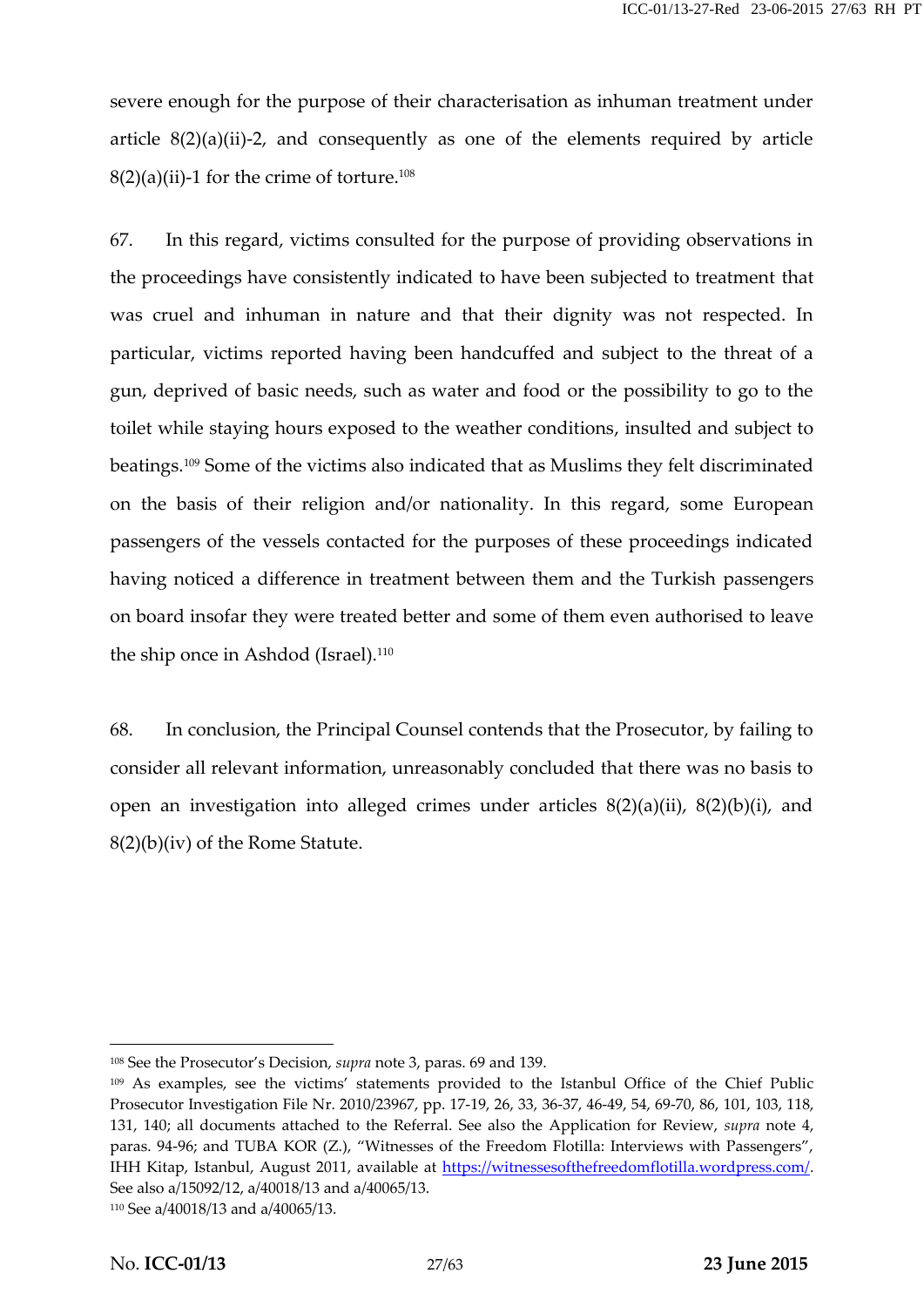severe enough for the purpose of their characterisation as inhuman treatment under article  $8(2)(a)(ii)-2$ , and consequently as one of the elements required by article  $8(2)(a)(ii)$ -1 for the crime of torture.<sup>108</sup>

67. In this regard, victims consulted for the purpose of providing observations in the proceedings have consistently indicated to have been subjected to treatment that was cruel and inhuman in nature and that their dignity was not respected. In particular, victims reported having been handcuffed and subject to the threat of a gun, deprived of basic needs, such as water and food or the possibility to go to the toilet while staying hours exposed to the weather conditions, insulted and subject to beatings.<sup>109</sup> Some of the victims also indicated that as Muslims they felt discriminated on the basis of their religion and/or nationality. In this regard, some European passengers of the vessels contacted for the purposes of these proceedings indicated having noticed a difference in treatment between them and the Turkish passengers on board insofar they were treated better and some of them even authorised to leave the ship once in Ashdod (Israel).<sup>110</sup>

68. In conclusion, the Principal Counsel contends that the Prosecutor, by failing to consider all relevant information, unreasonably concluded that there was no basis to open an investigation into alleged crimes under articles  $8(2)(a)(ii)$ ,  $8(2)(b)(i)$ , and 8(2)(b)(iv) of the Rome Statute.

<sup>108</sup> See the Prosecutor's Decision, *supra* note 3, paras. 69 and 139.

<sup>&</sup>lt;sup>109</sup> As examples, see the victims' statements provided to the Istanbul Office of the Chief Public Prosecutor Investigation File Nr. 2010/23967, pp. 17-19, 26, 33, 36-37, 46-49, 54, 69-70, 86, 101, 103, 118, 131, 140; all documents attached to the Referral. See also the Application for Review, *supra* note 4, paras. 94-96; and TUBA KOR (Z.), "Witnesses of the Freedom Flotilla: Interviews with Passengers", IHH Kitap, Istanbul, August 2011, available at https://witnessesofthefreedomflotilla.wordpress.com/. See also a/15092/12, a/40018/13 and a/40065/13.

<sup>110</sup> See a/40018/13 and a/40065/13.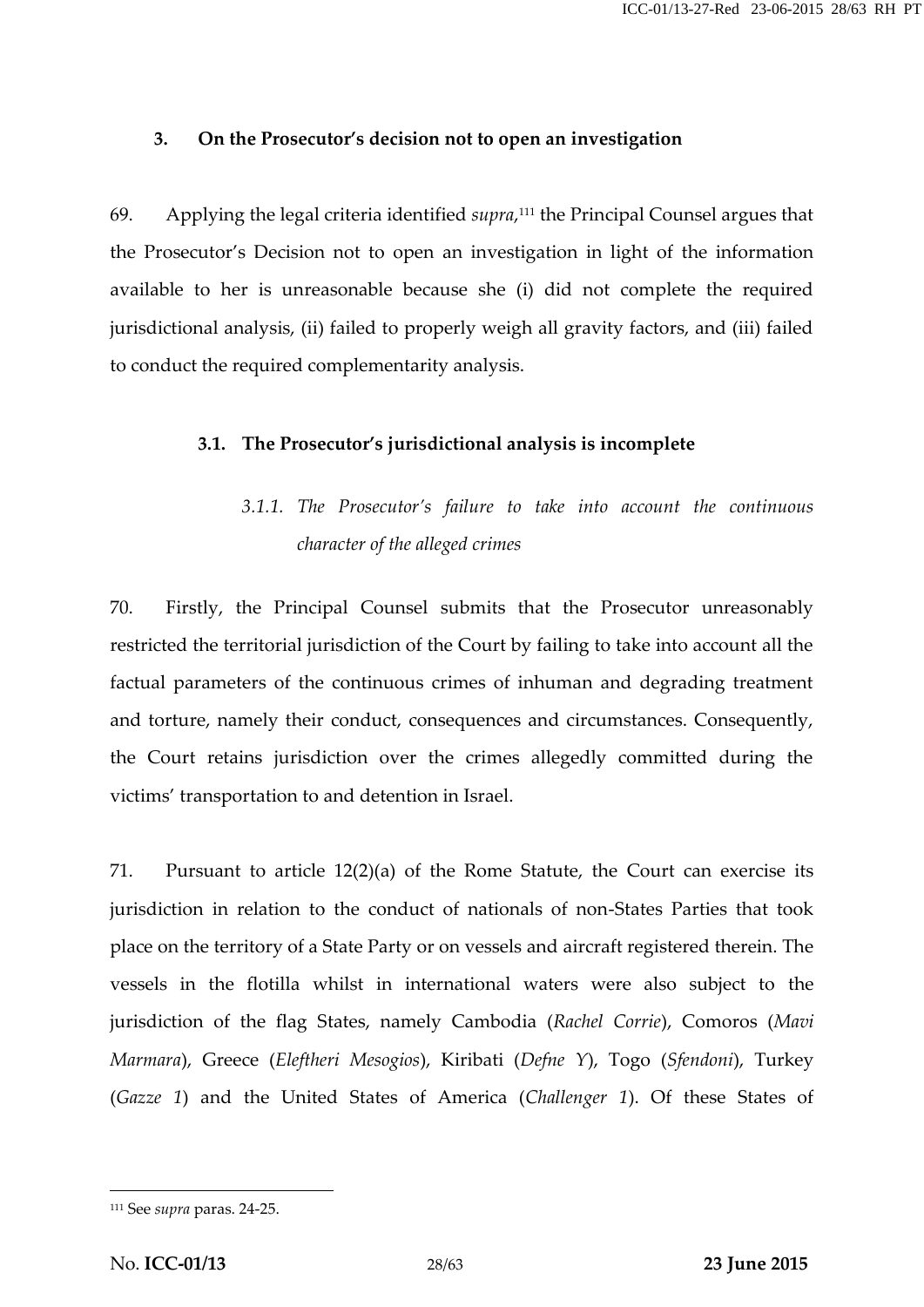#### **3. On the Prosecutor's decision not to open an investigation**

69. Applying the legal criteria identified *supra*,<sup>111</sup> the Principal Counsel argues that the Prosecutor's Decision not to open an investigation in light of the information available to her is unreasonable because she (i) did not complete the required jurisdictional analysis, (ii) failed to properly weigh all gravity factors, and (iii) failed to conduct the required complementarity analysis.

#### **3.1. The Prosecutor's jurisdictional analysis is incomplete**

# *3.1.1. The Prosecutor's failure to take into account the continuous character of the alleged crimes*

70. Firstly, the Principal Counsel submits that the Prosecutor unreasonably restricted the territorial jurisdiction of the Court by failing to take into account all the factual parameters of the continuous crimes of inhuman and degrading treatment and torture, namely their conduct, consequences and circumstances. Consequently, the Court retains jurisdiction over the crimes allegedly committed during the victims' transportation to and detention in Israel.

71. Pursuant to article 12(2)(a) of the Rome Statute, the Court can exercise its jurisdiction in relation to the conduct of nationals of non-States Parties that took place on the territory of a State Party or on vessels and aircraft registered therein. The vessels in the flotilla whilst in international waters were also subject to the jurisdiction of the flag States, namely Cambodia (*Rachel Corrie*), Comoros (*Mavi Marmara*), Greece (*Eleftheri Mesogios*), Kiribati (*Defne Y*), Togo (*Sfendoni*), Turkey (*Gazze 1*) and the United States of America (*Challenger 1*). Of these States of

<sup>111</sup> See *supra* paras. 24-25.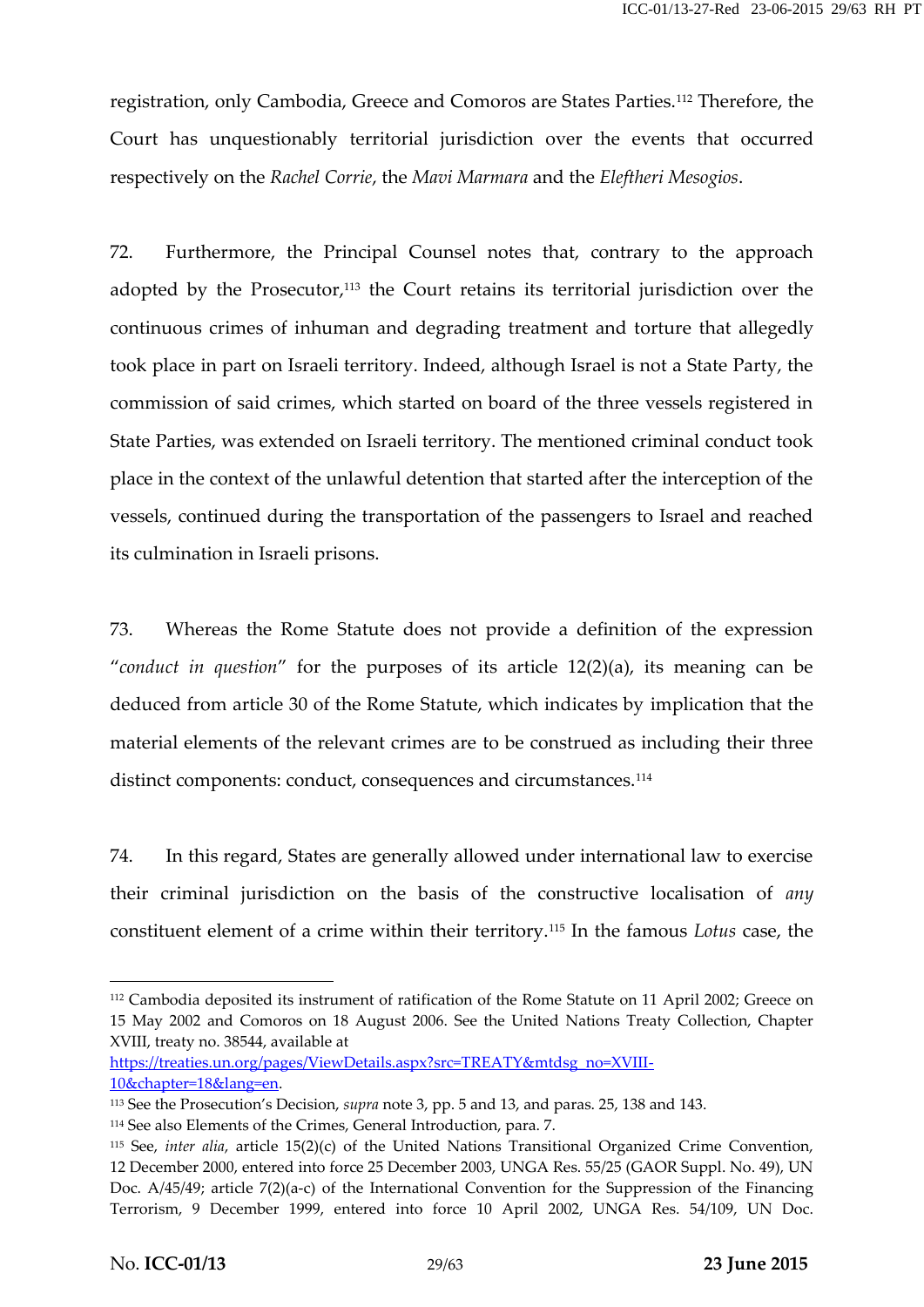registration, only Cambodia, Greece and Comoros are States Parties.<sup>112</sup> Therefore, the Court has unquestionably territorial jurisdiction over the events that occurred respectively on the *Rachel Corrie*, the *Mavi Marmara* and the *Eleftheri Mesogios*.

72. Furthermore, the Principal Counsel notes that, contrary to the approach adopted by the Prosecutor, $113$  the Court retains its territorial jurisdiction over the continuous crimes of inhuman and degrading treatment and torture that allegedly took place in part on Israeli territory. Indeed, although Israel is not a State Party, the commission of said crimes, which started on board of the three vessels registered in State Parties, was extended on Israeli territory. The mentioned criminal conduct took place in the context of the unlawful detention that started after the interception of the vessels, continued during the transportation of the passengers to Israel and reached its culmination in Israeli prisons.

73. Whereas the Rome Statute does not provide a definition of the expression "*conduct in question*" for the purposes of its article 12(2)(a), its meaning can be deduced from article 30 of the Rome Statute, which indicates by implication that the material elements of the relevant crimes are to be construed as including their three distinct components: conduct, consequences and circumstances.<sup>114</sup>

74. In this regard, States are generally allowed under international law to exercise their criminal jurisdiction on the basis of the constructive localisation of *any* constituent element of a crime within their territory.<sup>115</sup> In the famous *Lotus* case, the

https://treaties.un.org/pages/ViewDetails.aspx?src=TREATY&mtdsg\_no=XVIII- 10&chapter=18&lang=en.

<sup>112</sup> Cambodia deposited its instrument of ratification of the Rome Statute on 11 April 2002; Greece on 15 May 2002 and Comoros on 18 August 2006. See the United Nations Treaty Collection, Chapter XVIII, treaty no. 38544, available at

<sup>113</sup> See the Prosecution's Decision, *supra* note 3, pp. 5 and 13, and paras. 25, 138 and 143.

<sup>114</sup> See also Elements of the Crimes, General Introduction, para. 7.

<sup>115</sup> See, *inter alia*, article 15(2)(c) of the United Nations Transitional Organized Crime Convention, 12 December 2000, entered into force 25 December 2003, UNGA Res. 55/25 (GAOR Suppl. No. 49), UN Doc. A/45/49; article 7(2)(a-c) of the International Convention for the Suppression of the Financing Terrorism, 9 December 1999, entered into force 10 April 2002, UNGA Res. 54/109, UN Doc.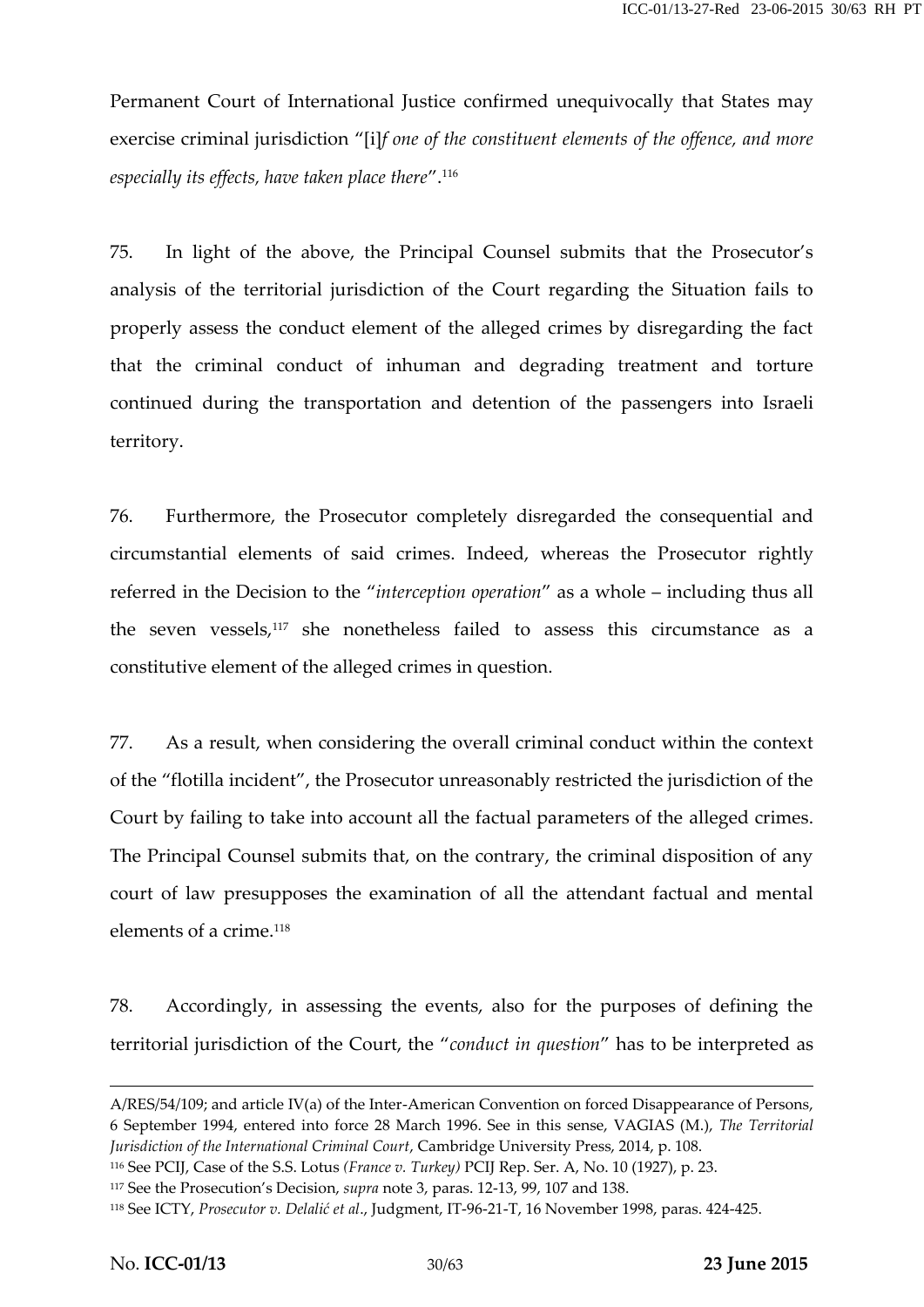Permanent Court of International Justice confirmed unequivocally that States may exercise criminal jurisdiction "[i]*f one of the constituent elements of the offence, and more especially its effects, have taken place there*".<sup>116</sup>

75. In light of the above, the Principal Counsel submits that the Prosecutor's analysis of the territorial jurisdiction of the Court regarding the Situation fails to properly assess the conduct element of the alleged crimes by disregarding the fact that the criminal conduct of inhuman and degrading treatment and torture continued during the transportation and detention of the passengers into Israeli territory.

76. Furthermore, the Prosecutor completely disregarded the consequential and circumstantial elements of said crimes. Indeed, whereas the Prosecutor rightly referred in the Decision to the "*interception operation*" as a whole – including thus all the seven vessels,<sup>117</sup> she nonetheless failed to assess this circumstance as a constitutive element of the alleged crimes in question.

77. As a result, when considering the overall criminal conduct within the context of the "flotilla incident", the Prosecutor unreasonably restricted the jurisdiction of the Court by failing to take into account all the factual parameters of the alleged crimes. The Principal Counsel submits that, on the contrary, the criminal disposition of any court of law presupposes the examination of all the attendant factual and mental elements of a crime.<sup>118</sup>

78. Accordingly, in assessing the events, also for the purposes of defining the territorial jurisdiction of the Court, the "*conduct in question*" has to be interpreted as

<sup>117</sup> See the Prosecution's Decision, *supra* note 3, paras. 12-13, 99, 107 and 138.

A/RES/54/109; and article IV(a) of the Inter-American Convention on forced Disappearance of Persons, 6 September 1994, entered into force 28 March 1996. See in this sense, VAGIAS (M.), *The Territorial Jurisdiction of the International Criminal Court*, Cambridge University Press, 2014, p. 108.

<sup>116</sup> See PCIJ, Case of the S.S. Lotus *(France v. Turkey)* PCIJ Rep. Ser. A, No. 10 (1927), p. 23.

<sup>118</sup> See ICTY, *Prosecutor v. Delalić et al*., Judgment, IT-96-21-T, 16 November 1998, paras. 424-425.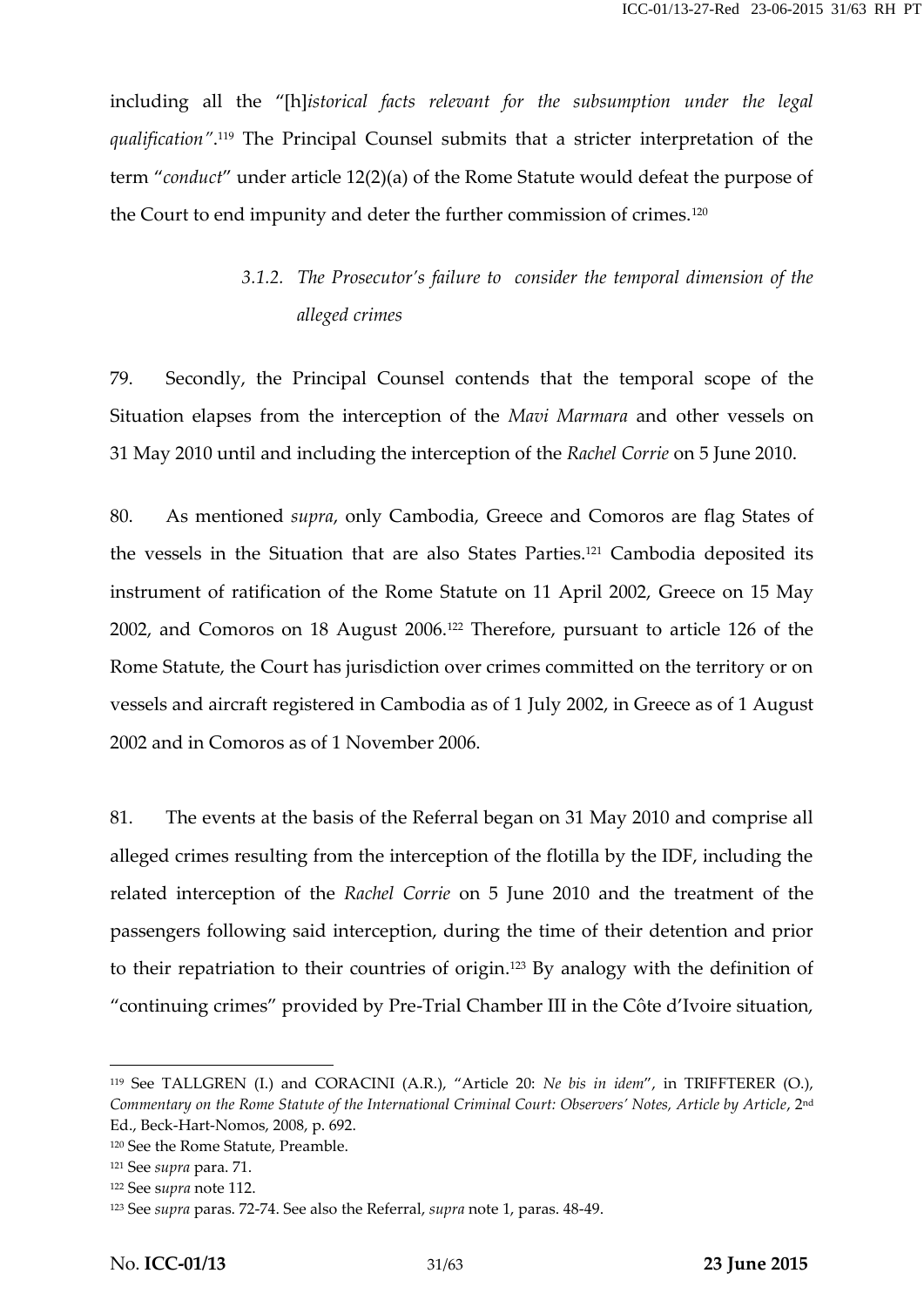including all the "[h]*istorical facts relevant for the subsumption under the legal qualification"*.<sup>119</sup> The Principal Counsel submits that a stricter interpretation of the term "*conduct*" under article 12(2)(a) of the Rome Statute would defeat the purpose of the Court to end impunity and deter the further commission of crimes.<sup>120</sup>

### *3.1.2. The Prosecutor's failure to consider the temporal dimension of the alleged crimes*

79. Secondly, the Principal Counsel contends that the temporal scope of the Situation elapses from the interception of the *Mavi Marmara* and other vessels on 31 May 2010 until and including the interception of the *Rachel Corrie* on 5 June 2010.

80. As mentioned *supra*, only Cambodia, Greece and Comoros are flag States of the vessels in the Situation that are also States Parties.<sup>121</sup> Cambodia deposited its instrument of ratification of the Rome Statute on 11 April 2002, Greece on 15 May 2002, and Comoros on 18 August 2006.<sup>122</sup> Therefore, pursuant to article 126 of the Rome Statute, the Court has jurisdiction over crimes committed on the territory or on vessels and aircraft registered in Cambodia as of 1 July 2002, in Greece as of 1 August 2002 and in Comoros as of 1 November 2006.

81. The events at the basis of the Referral began on 31 May 2010 and comprise all alleged crimes resulting from the interception of the flotilla by the IDF, including the related interception of the *Rachel Corrie* on 5 June 2010 and the treatment of the passengers following said interception, during the time of their detention and prior to their repatriation to their countries of origin.<sup>123</sup> By analogy with the definition of "continuing crimes" provided by Pre-Trial Chamber III in the Côte d'Ivoire situation,

<sup>119</sup> See TALLGREN (I.) and CORACINI (A.R.), "Article 20: *Ne bis in idem*", in TRIFFTERER (O.), *Commentary on the Rome Statute of the International Criminal Court: Observers' Notes, Article by Article*, 2<sup>nd</sup> Ed., Beck-Hart-Nomos, 2008, p. 692.

<sup>120</sup> See the Rome Statute, Preamble.

<sup>121</sup> See *supra* para. 71.

<sup>122</sup> See s*upra* note 112.

<sup>123</sup> See *supra* paras. 72-74. See also the Referral, *supra* note 1, paras. 48-49.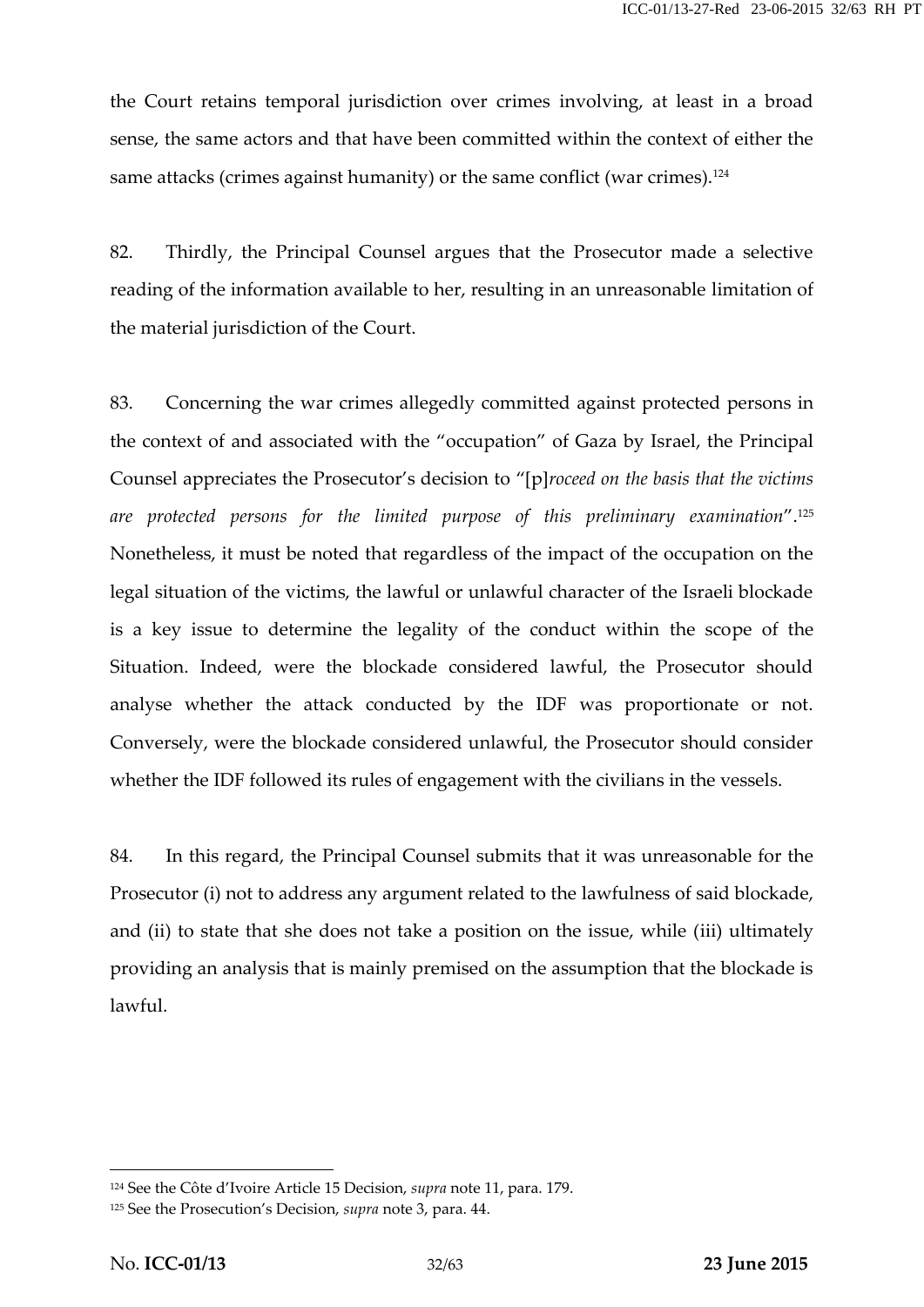the Court retains temporal jurisdiction over crimes involving, at least in a broad sense, the same actors and that have been committed within the context of either the same attacks (crimes against humanity) or the same conflict (war crimes).<sup>124</sup>

82. Thirdly, the Principal Counsel argues that the Prosecutor made a selective reading of the information available to her, resulting in an unreasonable limitation of the material jurisdiction of the Court.

83. Concerning the war crimes allegedly committed against protected persons in the context of and associated with the "occupation" of Gaza by Israel, the Principal Counsel appreciates the Prosecutor's decision to "[p]*roceed on the basis that the victims are protected persons for the limited purpose of this preliminary examination*".<sup>125</sup> Nonetheless, it must be noted that regardless of the impact of the occupation on the legal situation of the victims, the lawful or unlawful character of the Israeli blockade is a key issue to determine the legality of the conduct within the scope of the Situation. Indeed, were the blockade considered lawful, the Prosecutor should analyse whether the attack conducted by the IDF was proportionate or not. Conversely, were the blockade considered unlawful, the Prosecutor should consider whether the IDF followed its rules of engagement with the civilians in the vessels.

84. In this regard, the Principal Counsel submits that it was unreasonable for the Prosecutor (i) not to address any argument related to the lawfulness of said blockade, and (ii) to state that she does not take a position on the issue, while (iii) ultimately providing an analysis that is mainly premised on the assumption that the blockade is lawful.

<sup>124</sup> See the Côte d'Ivoire Article 15 Decision, *supra* note 11, para. 179.

<sup>125</sup> See the Prosecution's Decision, *supra* note 3, para. 44.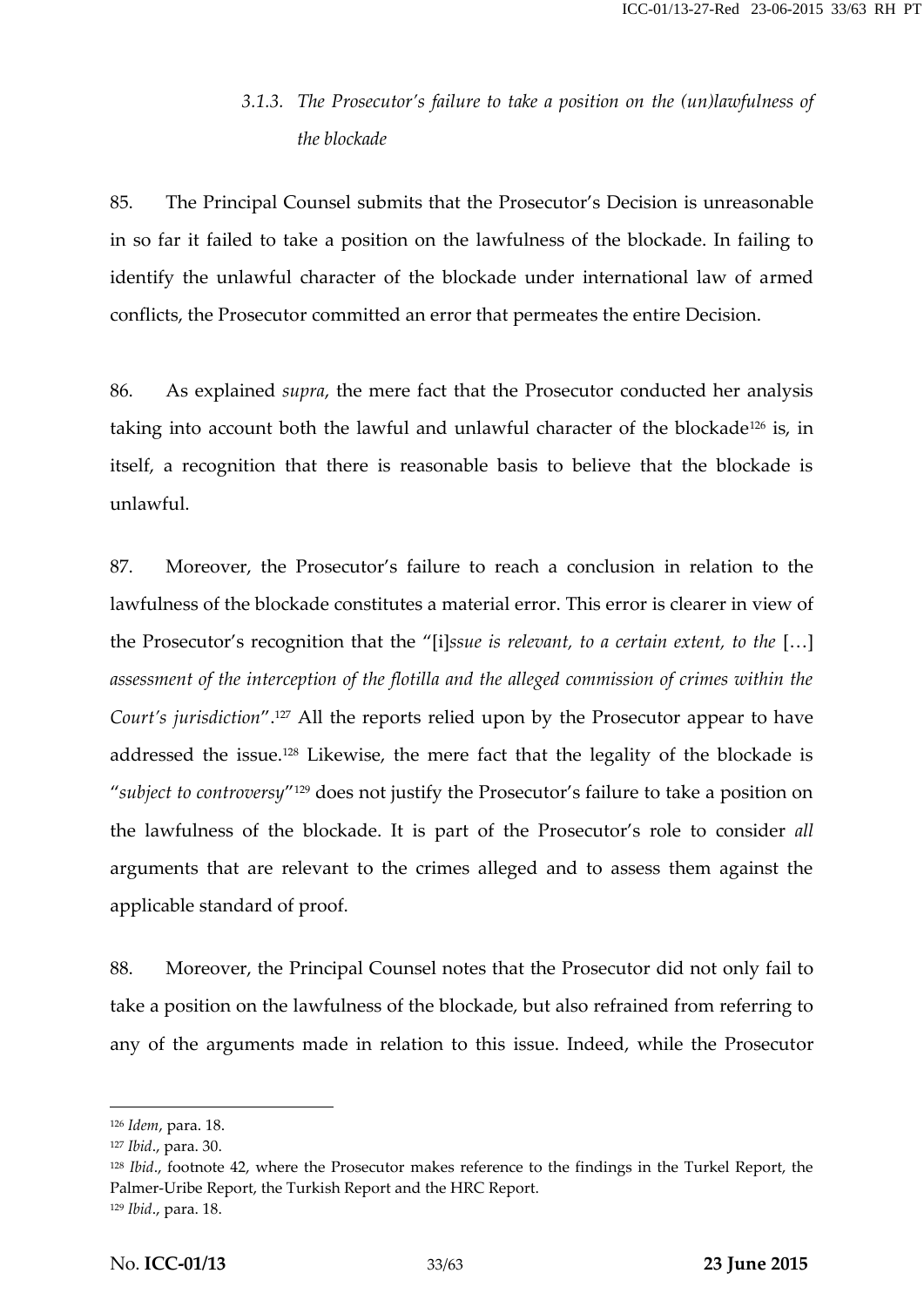### *3.1.3. The Prosecutor's failure to take a position on the (un)lawfulness of the blockade*

85. The Principal Counsel submits that the Prosecutor's Decision is unreasonable in so far it failed to take a position on the lawfulness of the blockade. In failing to identify the unlawful character of the blockade under international law of armed conflicts, the Prosecutor committed an error that permeates the entire Decision.

86. As explained *supra*, the mere fact that the Prosecutor conducted her analysis taking into account both the lawful and unlawful character of the blockade<sup>126</sup> is, in itself, a recognition that there is reasonable basis to believe that the blockade is unlawful.

87. Moreover, the Prosecutor's failure to reach a conclusion in relation to the lawfulness of the blockade constitutes a material error. This error is clearer in view of the Prosecutor's recognition that the "[i]*ssue is relevant, to a certain extent, to the* […] *assessment of the interception of the flotilla and the alleged commission of crimes within the Court's jurisdiction*".<sup>127</sup> All the reports relied upon by the Prosecutor appear to have addressed the issue.<sup>128</sup> Likewise, the mere fact that the legality of the blockade is "*subject to controversy*" <sup>129</sup> does not justify the Prosecutor's failure to take a position on the lawfulness of the blockade. It is part of the Prosecutor's role to consider *all* arguments that are relevant to the crimes alleged and to assess them against the applicable standard of proof.

88. Moreover, the Principal Counsel notes that the Prosecutor did not only fail to take a position on the lawfulness of the blockade, but also refrained from referring to any of the arguments made in relation to this issue. Indeed, while the Prosecutor

<sup>126</sup> *Idem*, para. 18.

<sup>127</sup> *Ibid*., para. 30.

<sup>128</sup> *Ibid*., footnote 42, where the Prosecutor makes reference to the findings in the Turkel Report, the Palmer-Uribe Report, the Turkish Report and the HRC Report. <sup>129</sup> *Ibid*., para. 18.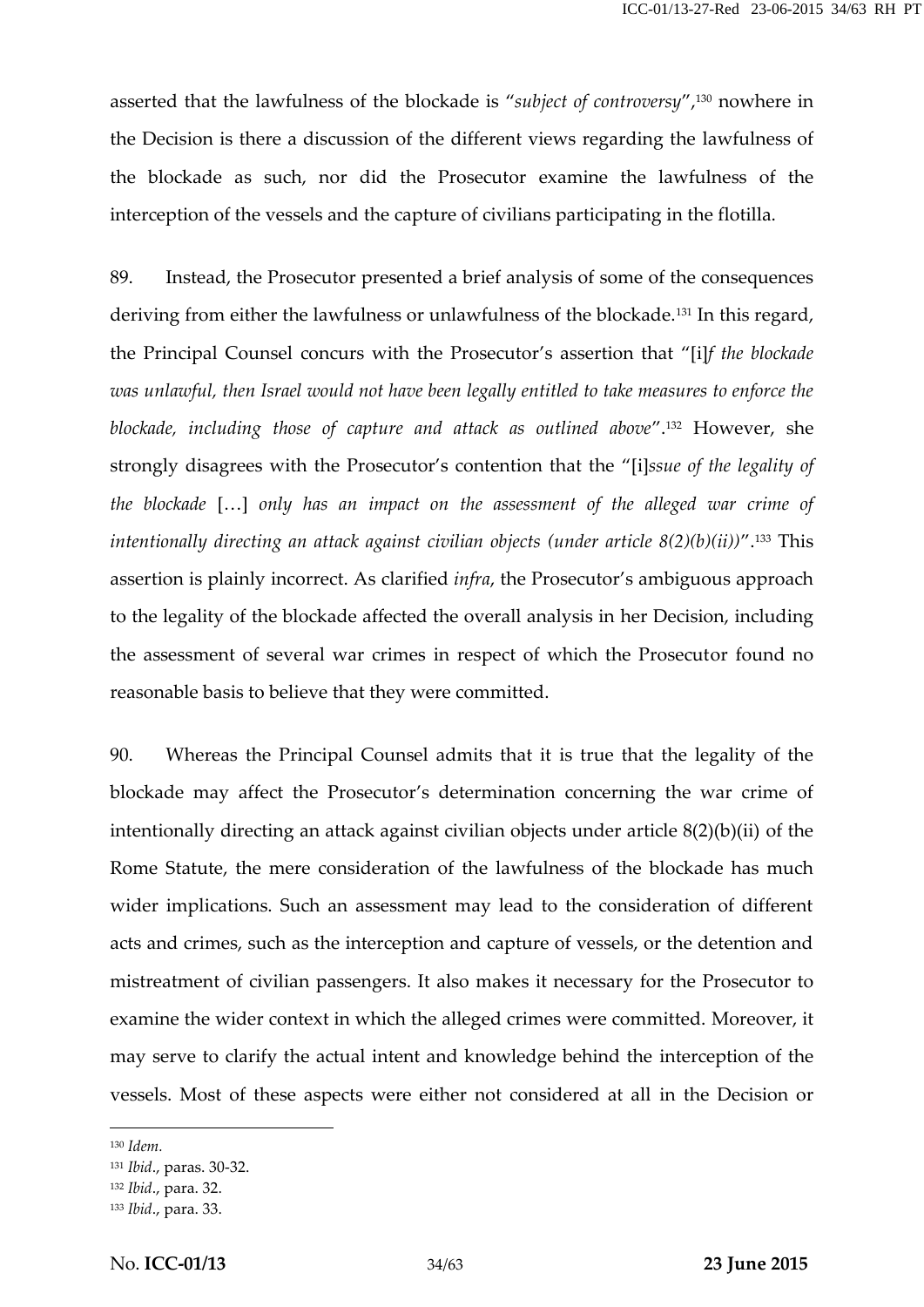asserted that the lawfulness of the blockade is "*subject of controversy*",<sup>130</sup> nowhere in the Decision is there a discussion of the different views regarding the lawfulness of the blockade as such, nor did the Prosecutor examine the lawfulness of the interception of the vessels and the capture of civilians participating in the flotilla.

89. Instead, the Prosecutor presented a brief analysis of some of the consequences deriving from either the lawfulness or unlawfulness of the blockade.<sup>131</sup> In this regard, the Principal Counsel concurs with the Prosecutor's assertion that "[i]*f the blockade was unlawful, then Israel would not have been legally entitled to take measures to enforce the blockade, including those of capture and attack as outlined above*".<sup>132</sup> However, she strongly disagrees with the Prosecutor's contention that the "[i]*ssue of the legality of the blockade* […] *only has an impact on the assessment of the alleged war crime of intentionally directing an attack against civilian objects (under article 8(2)(b)(ii))*".<sup>133</sup> This assertion is plainly incorrect. As clarified *infra*, the Prosecutor's ambiguous approach to the legality of the blockade affected the overall analysis in her Decision, including the assessment of several war crimes in respect of which the Prosecutor found no reasonable basis to believe that they were committed.

90. Whereas the Principal Counsel admits that it is true that the legality of the blockade may affect the Prosecutor's determination concerning the war crime of intentionally directing an attack against civilian objects under article 8(2)(b)(ii) of the Rome Statute, the mere consideration of the lawfulness of the blockade has much wider implications. Such an assessment may lead to the consideration of different acts and crimes, such as the interception and capture of vessels, or the detention and mistreatment of civilian passengers. It also makes it necessary for the Prosecutor to examine the wider context in which the alleged crimes were committed. Moreover, it may serve to clarify the actual intent and knowledge behind the interception of the vessels. Most of these aspects were either not considered at all in the Decision or

<sup>130</sup> *Idem.*

<sup>131</sup> *Ibid*., paras. 30-32.

<sup>132</sup> *Ibid*., para. 32.

<sup>133</sup> *Ibid*., para. 33.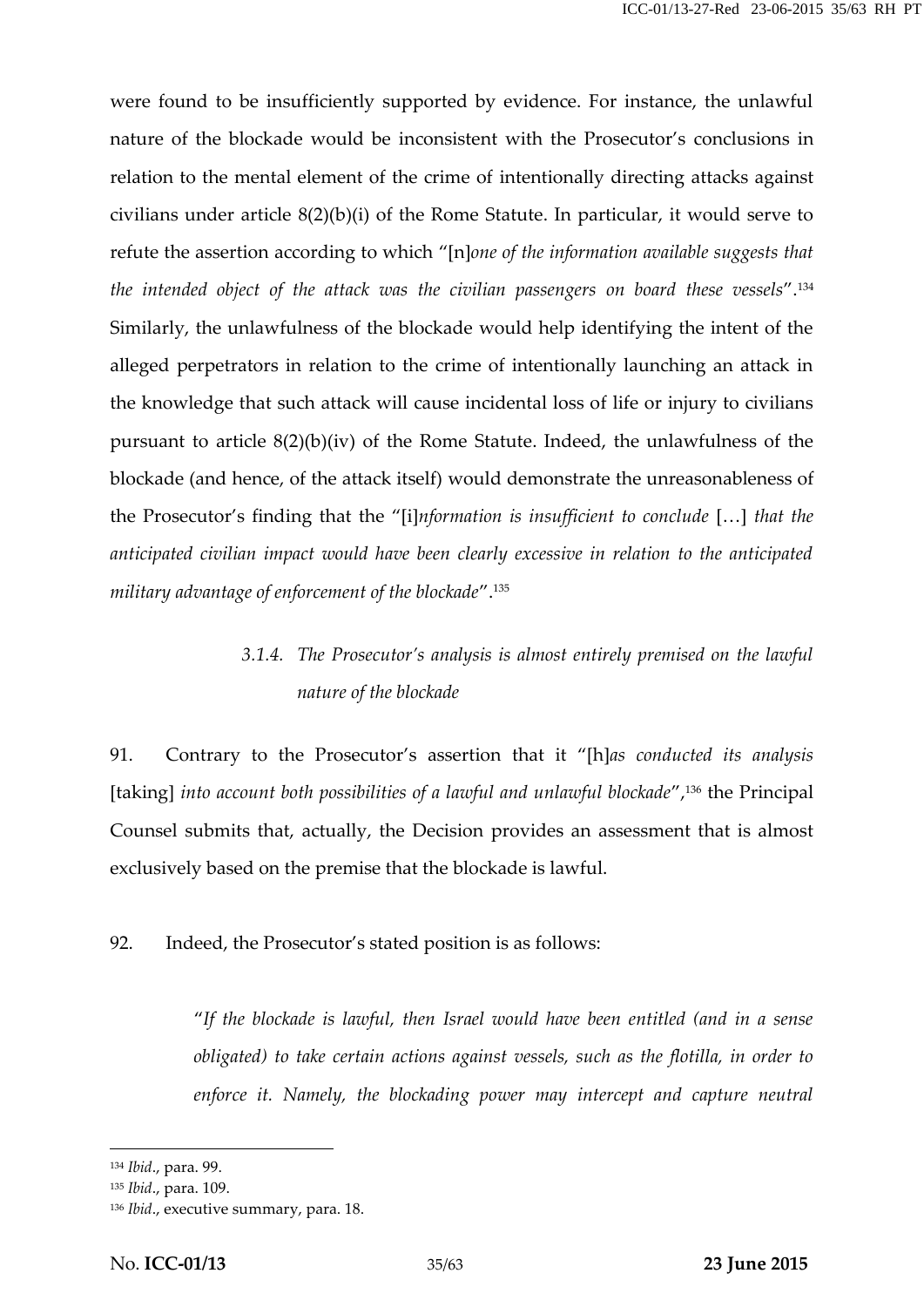were found to be insufficiently supported by evidence. For instance, the unlawful nature of the blockade would be inconsistent with the Prosecutor's conclusions in relation to the mental element of the crime of intentionally directing attacks against civilians under article 8(2)(b)(i) of the Rome Statute. In particular, it would serve to refute the assertion according to which "[n]*one of the information available suggests that the intended object of the attack was the civilian passengers on board these vessels*".<sup>134</sup> Similarly, the unlawfulness of the blockade would help identifying the intent of the alleged perpetrators in relation to the crime of intentionally launching an attack in the knowledge that such attack will cause incidental loss of life or injury to civilians pursuant to article 8(2)(b)(iv) of the Rome Statute. Indeed, the unlawfulness of the blockade (and hence, of the attack itself) would demonstrate the unreasonableness of the Prosecutor's finding that the "[i]*nformation is insufficient to conclude* […] *that the anticipated civilian impact would have been clearly excessive in relation to the anticipated military advantage of enforcement of the blockade*".<sup>135</sup>

### *3.1.4. The Prosecutor's analysis is almost entirely premised on the lawful nature of the blockade*

91. Contrary to the Prosecutor's assertion that it "[h]*as conducted its analysis* [taking] *into account both possibilities of a lawful and unlawful blockade*",<sup>136</sup> the Principal Counsel submits that, actually, the Decision provides an assessment that is almost exclusively based on the premise that the blockade is lawful.

92. Indeed, the Prosecutor's stated position is as follows:

"*If the blockade is lawful, then Israel would have been entitled (and in a sense obligated) to take certain actions against vessels, such as the flotilla, in order to enforce it. Namely, the blockading power may intercept and capture neutral*

<sup>134</sup> *Ibid*., para. 99.

<sup>135</sup> *Ibid*., para. 109.

<sup>136</sup> *Ibid*., executive summary, para. 18.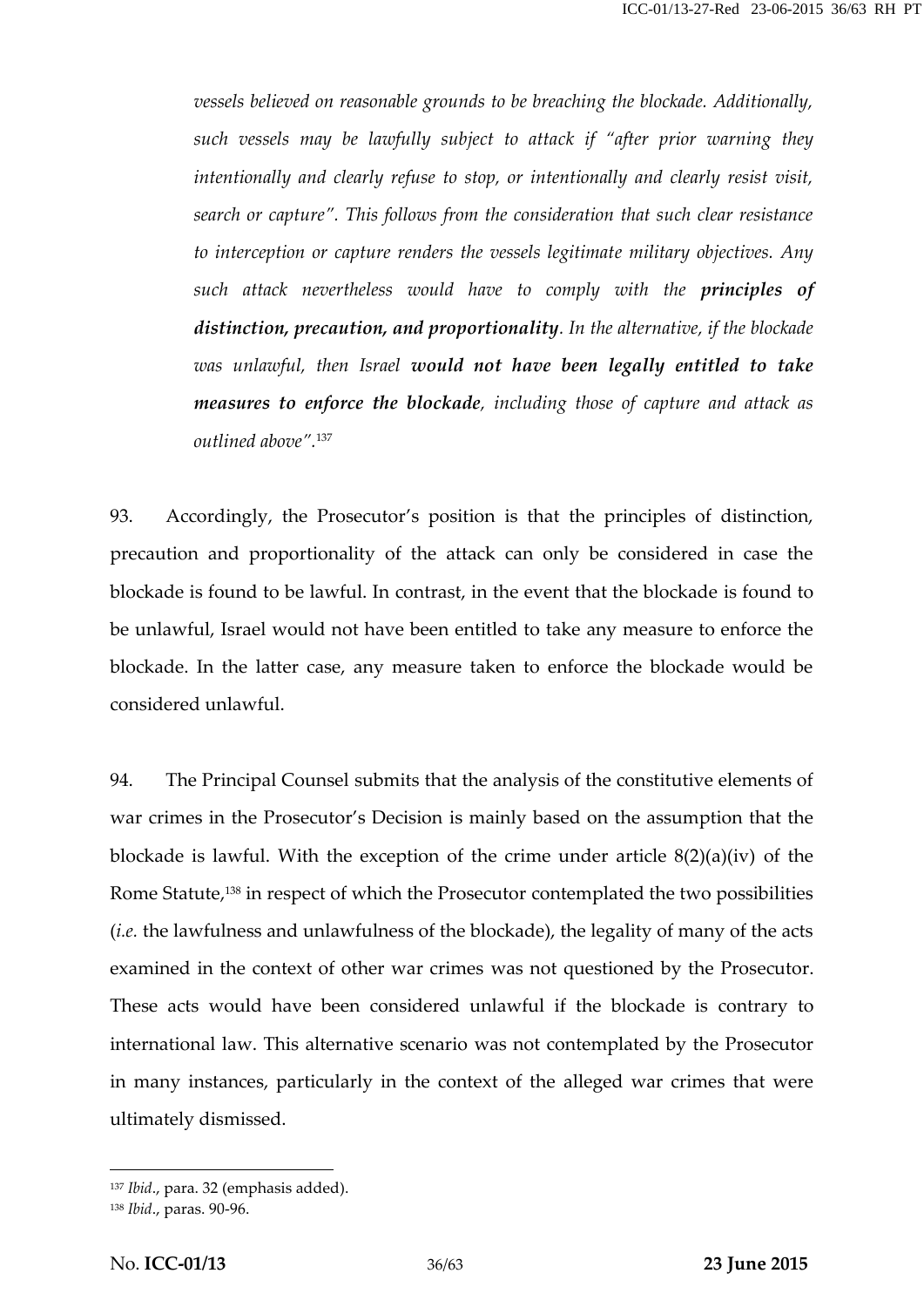*vessels believed on reasonable grounds to be breaching the blockade. Additionally, such vessels may be lawfully subject to attack if "after prior warning they intentionally and clearly refuse to stop, or intentionally and clearly resist visit, search or capture". This follows from the consideration that such clear resistance to interception or capture renders the vessels legitimate military objectives. Any such attack nevertheless would have to comply with the principles of distinction, precaution, and proportionality. In the alternative, if the blockade was unlawful, then Israel would not have been legally entitled to take measures to enforce the blockade, including those of capture and attack as outlined above".*<sup>137</sup>

93. Accordingly, the Prosecutor's position is that the principles of distinction, precaution and proportionality of the attack can only be considered in case the blockade is found to be lawful. In contrast, in the event that the blockade is found to be unlawful, Israel would not have been entitled to take any measure to enforce the blockade. In the latter case, any measure taken to enforce the blockade would be considered unlawful.

94. The Principal Counsel submits that the analysis of the constitutive elements of war crimes in the Prosecutor's Decision is mainly based on the assumption that the blockade is lawful. With the exception of the crime under article 8(2)(a)(iv) of the Rome Statute,<sup>138</sup> in respect of which the Prosecutor contemplated the two possibilities (*i.e.* the lawfulness and unlawfulness of the blockade), the legality of many of the acts examined in the context of other war crimes was not questioned by the Prosecutor. These acts would have been considered unlawful if the blockade is contrary to international law. This alternative scenario was not contemplated by the Prosecutor in many instances, particularly in the context of the alleged war crimes that were ultimately dismissed.

<sup>137</sup> *Ibid*., para. 32 (emphasis added).

<sup>138</sup> *Ibid*., paras. 90-96.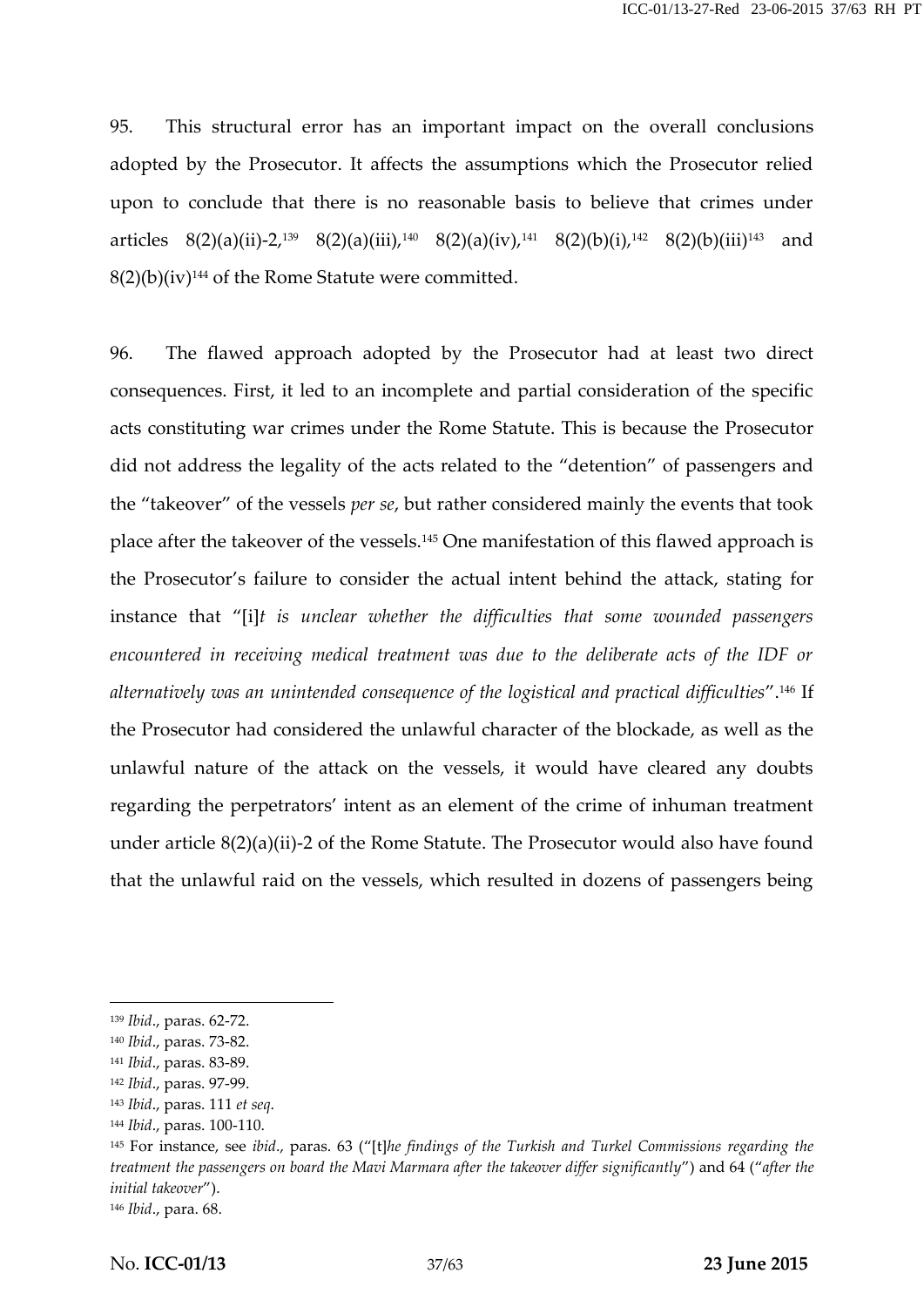95. This structural error has an important impact on the overall conclusions adopted by the Prosecutor. It affects the assumptions which the Prosecutor relied upon to conclude that there is no reasonable basis to believe that crimes under articles  $8(2)(a)(ii)-2,139$   $8(2)(a)(iii),140$   $8(2)(a)(iv),141$   $8(2)(b)(i),142$   $8(2)(b)(iii)143$  and  $8(2)(b)(iv)^{144}$  of the Rome Statute were committed.

96. The flawed approach adopted by the Prosecutor had at least two direct consequences. First, it led to an incomplete and partial consideration of the specific acts constituting war crimes under the Rome Statute. This is because the Prosecutor did not address the legality of the acts related to the "detention" of passengers and the "takeover" of the vessels *per se*, but rather considered mainly the events that took place after the takeover of the vessels.<sup>145</sup> One manifestation of this flawed approach is the Prosecutor's failure to consider the actual intent behind the attack, stating for instance that "[i]*t is unclear whether the difficulties that some wounded passengers encountered in receiving medical treatment was due to the deliberate acts of the IDF or alternatively was an unintended consequence of the logistical and practical difficulties*".<sup>146</sup> If the Prosecutor had considered the unlawful character of the blockade, as well as the unlawful nature of the attack on the vessels, it would have cleared any doubts regarding the perpetrators' intent as an element of the crime of inhuman treatment under article 8(2)(a)(ii)-2 of the Rome Statute. The Prosecutor would also have found that the unlawful raid on the vessels, which resulted in dozens of passengers being

<sup>139</sup> *Ibid*., paras. 62-72.

<sup>140</sup> *Ibid*., paras. 73-82.

<sup>141</sup> *Ibid*., paras. 83-89.

<sup>142</sup> *Ibid*., paras. 97-99.

<sup>143</sup> *Ibid*., paras. 111 *et seq*.

<sup>144</sup> *Ibid*., paras. 100-110.

<sup>145</sup> For instance, see *ibid*., paras. 63 ("[t]*he findings of the Turkish and Turkel Commissions regarding the treatment the passengers on board the Mavi Marmara after the takeover differ significantly*") and 64 ("*after the initial takeover*").

<sup>146</sup> *Ibid*., para. 68.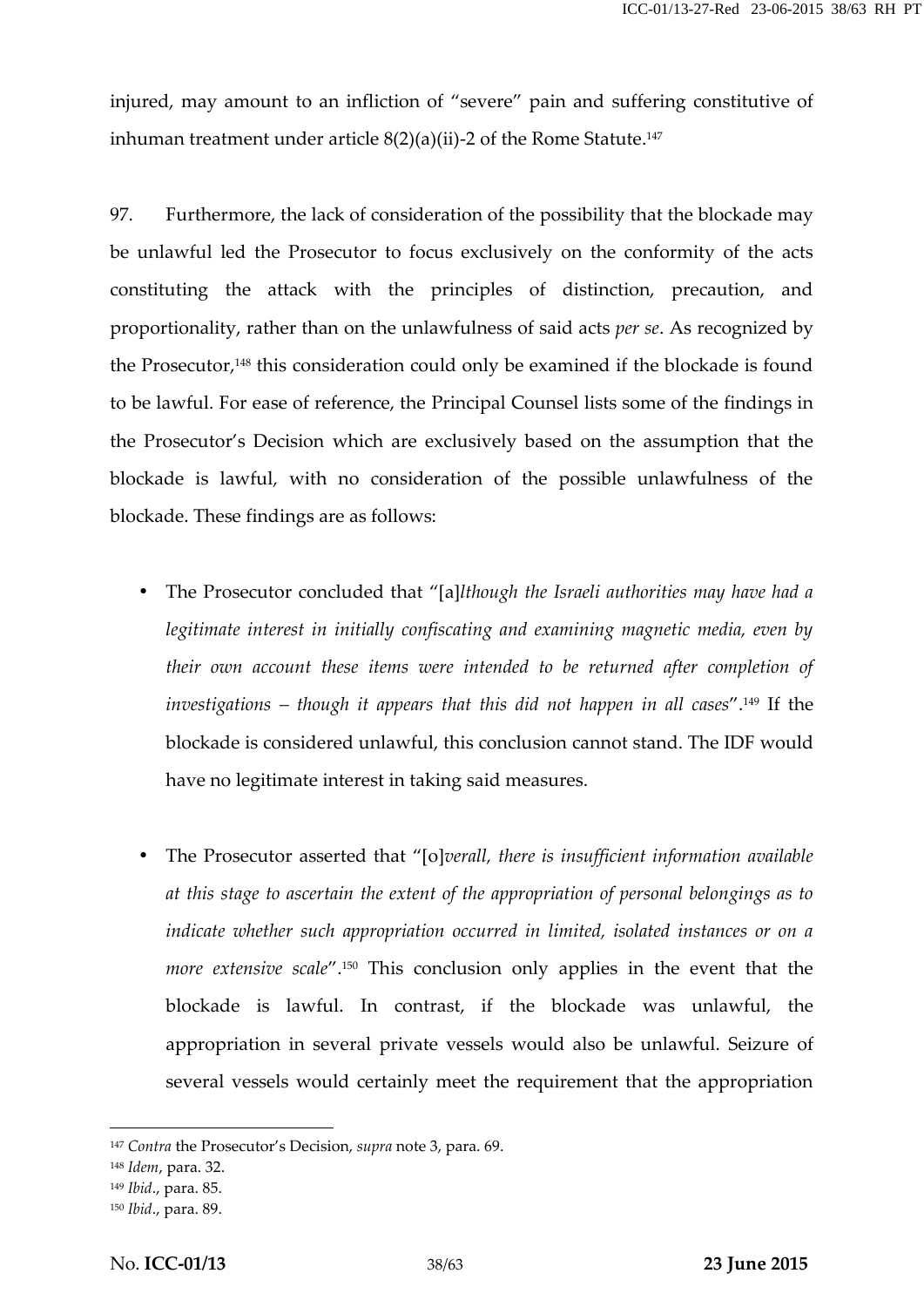injured, may amount to an infliction of "severe" pain and suffering constitutive of inhuman treatment under article  $8(2)(a)(ii)$ -2 of the Rome Statute.<sup>147</sup>

97. Furthermore, the lack of consideration of the possibility that the blockade may be unlawful led the Prosecutor to focus exclusively on the conformity of the acts constituting the attack with the principles of distinction, precaution, and proportionality, rather than on the unlawfulness of said acts *per se*. As recognized by the Prosecutor,<sup>148</sup> this consideration could only be examined if the blockade is found to be lawful. For ease of reference, the Principal Counsel lists some of the findings in the Prosecutor's Decision which are exclusively based on the assumption that the blockade is lawful, with no consideration of the possible unlawfulness of the blockade. These findings are as follows:

- The Prosecutor concluded that "[a]*lthough the Israeli authorities may have had a legitimate interest in initially confiscating and examining magnetic media, even by their own account these items were intended to be returned after completion of investigations – though it appears that this did not happen in all cases*".<sup>149</sup> If the blockade is considered unlawful, this conclusion cannot stand. The IDF would have no legitimate interest in taking said measures.
- The Prosecutor asserted that "[o]*verall, there is insufficient information available at this stage to ascertain the extent of the appropriation of personal belongings as to indicate whether such appropriation occurred in limited, isolated instances or on a more extensive scale"*.<sup>150</sup> This conclusion only applies in the event that the blockade is lawful. In contrast, if the blockade was unlawful, the appropriation in several private vessels would also be unlawful. Seizure of several vessels would certainly meet the requirement that the appropriation

<sup>147</sup> *Contra* the Prosecutor's Decision, *supra* note 3, para. 69.

<sup>148</sup> *Idem*, para. 32.

<sup>149</sup> *Ibid*., para. 85.

<sup>150</sup> *Ibid*., para. 89.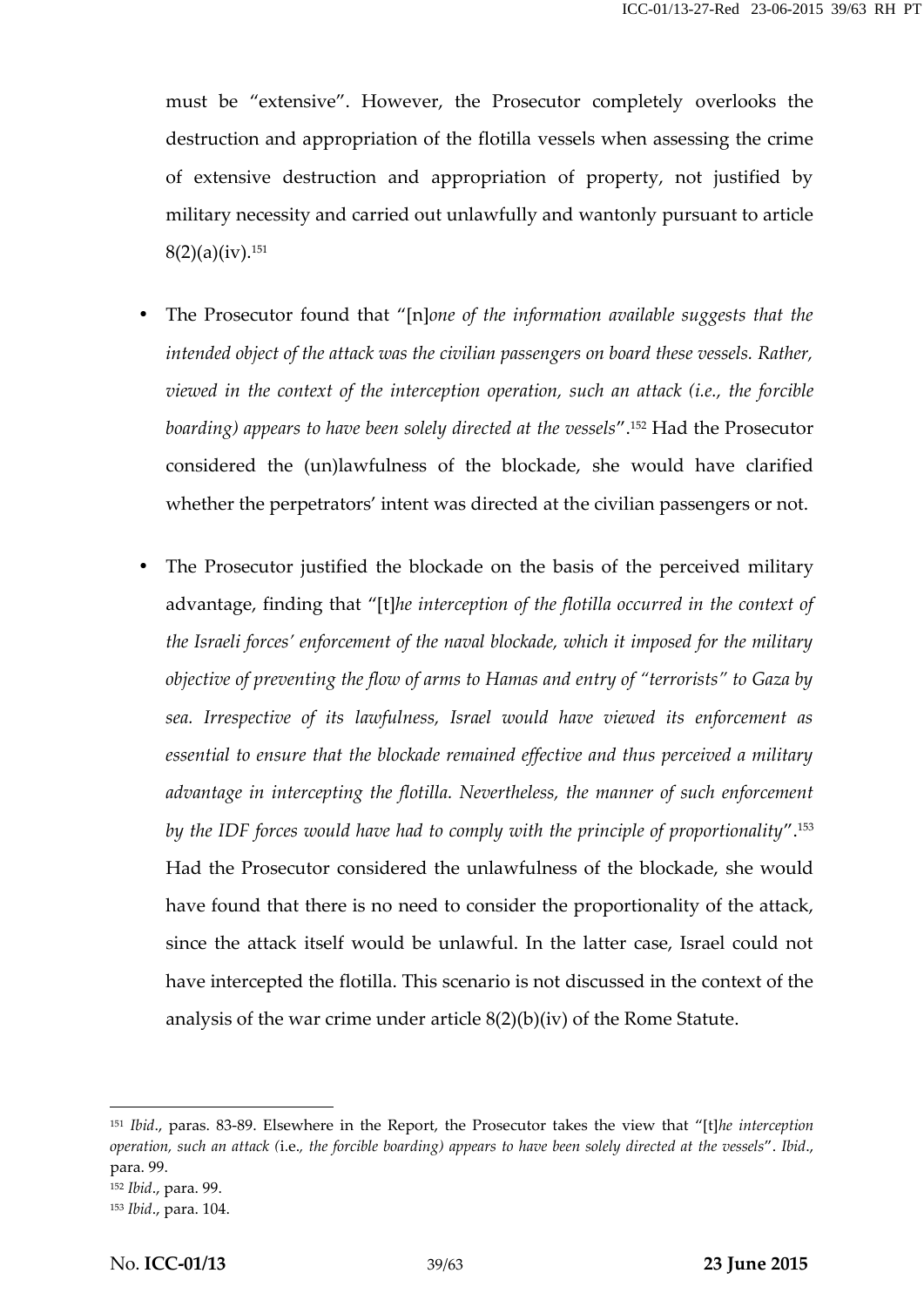must be "extensive". However, the Prosecutor completely overlooks the destruction and appropriation of the flotilla vessels when assessing the crime of extensive destruction and appropriation of property, not justified by military necessity and carried out unlawfully and wantonly pursuant to article  $8(2)(a)(iv).$ <sup>151</sup>

- The Prosecutor found that "[n]*one of the information available suggests that the intended object of the attack was the civilian passengers on board these vessels. Rather, viewed in the context of the interception operation, such an attack (i.e., the forcible boarding) appears to have been solely directed at the vessels*".<sup>152</sup> Had the Prosecutor considered the (un)lawfulness of the blockade, she would have clarified whether the perpetrators' intent was directed at the civilian passengers or not.
- The Prosecutor justified the blockade on the basis of the perceived military advantage, finding that "[t]*he interception of the flotilla occurred in the context of the Israeli forces' enforcement of the naval blockade, which it imposed for the military objective of preventing the flow of arms to Hamas and entry of "terrorists" to Gaza by sea. Irrespective of its lawfulness, Israel would have viewed its enforcement as essential to ensure that the blockade remained effective and thus perceived a military advantage in intercepting the flotilla. Nevertheless, the manner of such enforcement by the IDF forces would have had to comply with the principle of proportionality*".<sup>153</sup> Had the Prosecutor considered the unlawfulness of the blockade, she would have found that there is no need to consider the proportionality of the attack, since the attack itself would be unlawful. In the latter case, Israel could not have intercepted the flotilla. This scenario is not discussed in the context of the analysis of the war crime under article  $8(2)(b)(iv)$  of the Rome Statute.

<sup>151</sup> *Ibid*., paras. 83-89. Elsewhere in the Report, the Prosecutor takes the view that "[t]*he interception operation, such an attack (*i.e.*, the forcible boarding) appears to have been solely directed at the vessels*". *Ibid*., para. 99.

<sup>152</sup> *Ibid*., para. 99.

<sup>153</sup> *Ibid*., para. 104.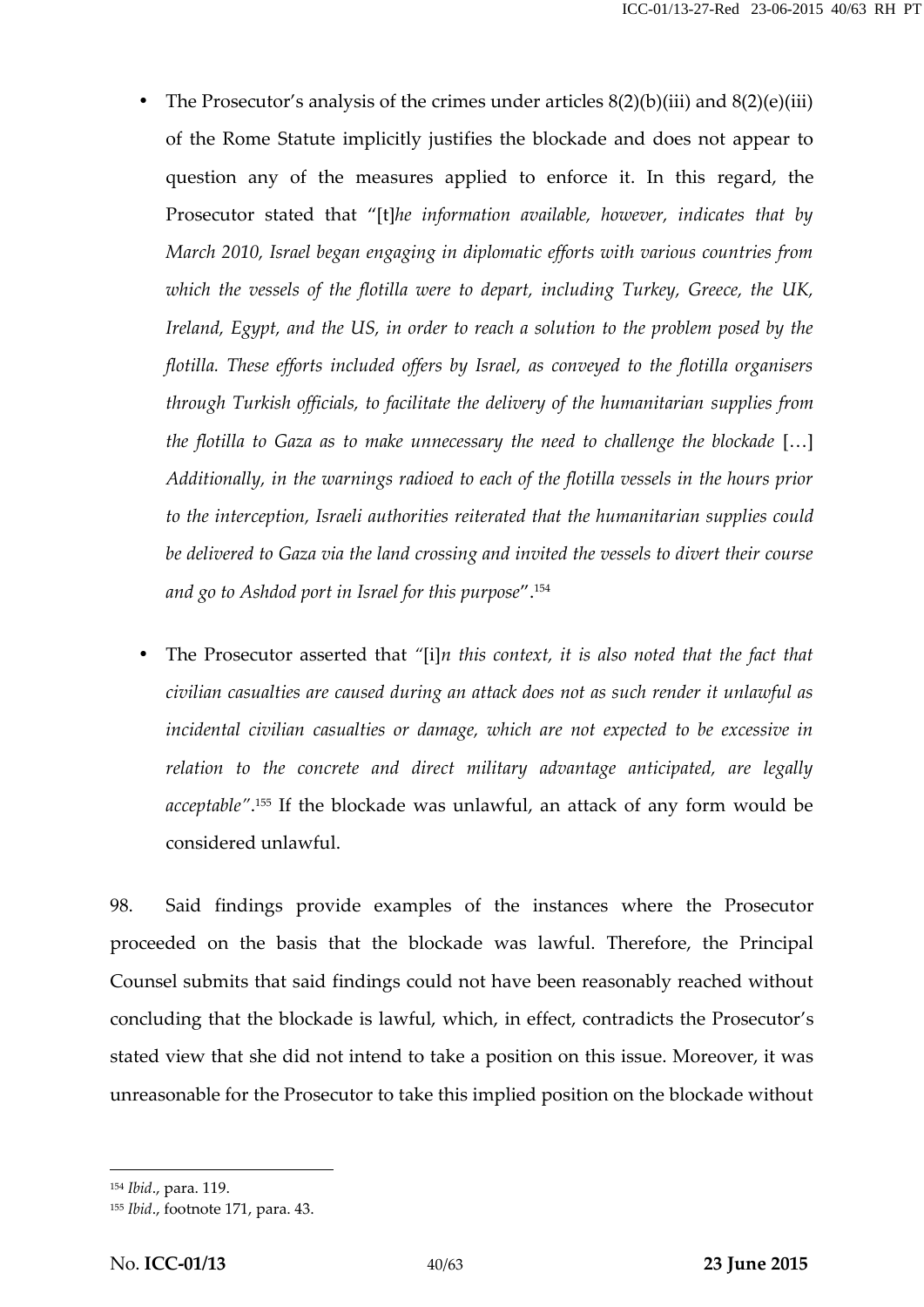- The Prosecutor's analysis of the crimes under articles  $8(2)(b)(iii)$  and  $8(2)(e)(iii)$ of the Rome Statute implicitly justifies the blockade and does not appear to question any of the measures applied to enforce it. In this regard, the Prosecutor stated that "[t]*he information available, however, indicates that by March 2010, Israel began engaging in diplomatic efforts with various countries from which the vessels of the flotilla were to depart, including Turkey, Greece, the UK, Ireland, Egypt, and the US, in order to reach a solution to the problem posed by the flotilla. These efforts included offers by Israel, as conveyed to the flotilla organisers through Turkish officials, to facilitate the delivery of the humanitarian supplies from the flotilla to Gaza as to make unnecessary the need to challenge the blockade* […] *Additionally, in the warnings radioed to each of the flotilla vessels in the hours prior to the interception, Israeli authorities reiterated that the humanitarian supplies could be delivered to Gaza via the land crossing and invited the vessels to divert their course and go to Ashdod port in Israel for this purpose*".<sup>154</sup>
- The Prosecutor asserted that *"*[i]*n this context, it is also noted that the fact that civilian casualties are caused during an attack does not as such render it unlawful as incidental civilian casualties or damage, which are not expected to be excessive in relation to the concrete and direct military advantage anticipated, are legally acceptable"*.<sup>155</sup> If the blockade was unlawful, an attack of any form would be considered unlawful.

98. Said findings provide examples of the instances where the Prosecutor proceeded on the basis that the blockade was lawful. Therefore, the Principal Counsel submits that said findings could not have been reasonably reached without concluding that the blockade is lawful, which, in effect, contradicts the Prosecutor's stated view that she did not intend to take a position on this issue. Moreover, it was unreasonable for the Prosecutor to take this implied position on the blockade without

<sup>154</sup> *Ibid*., para. 119.

<sup>155</sup> *Ibid*., footnote 171, para. 43.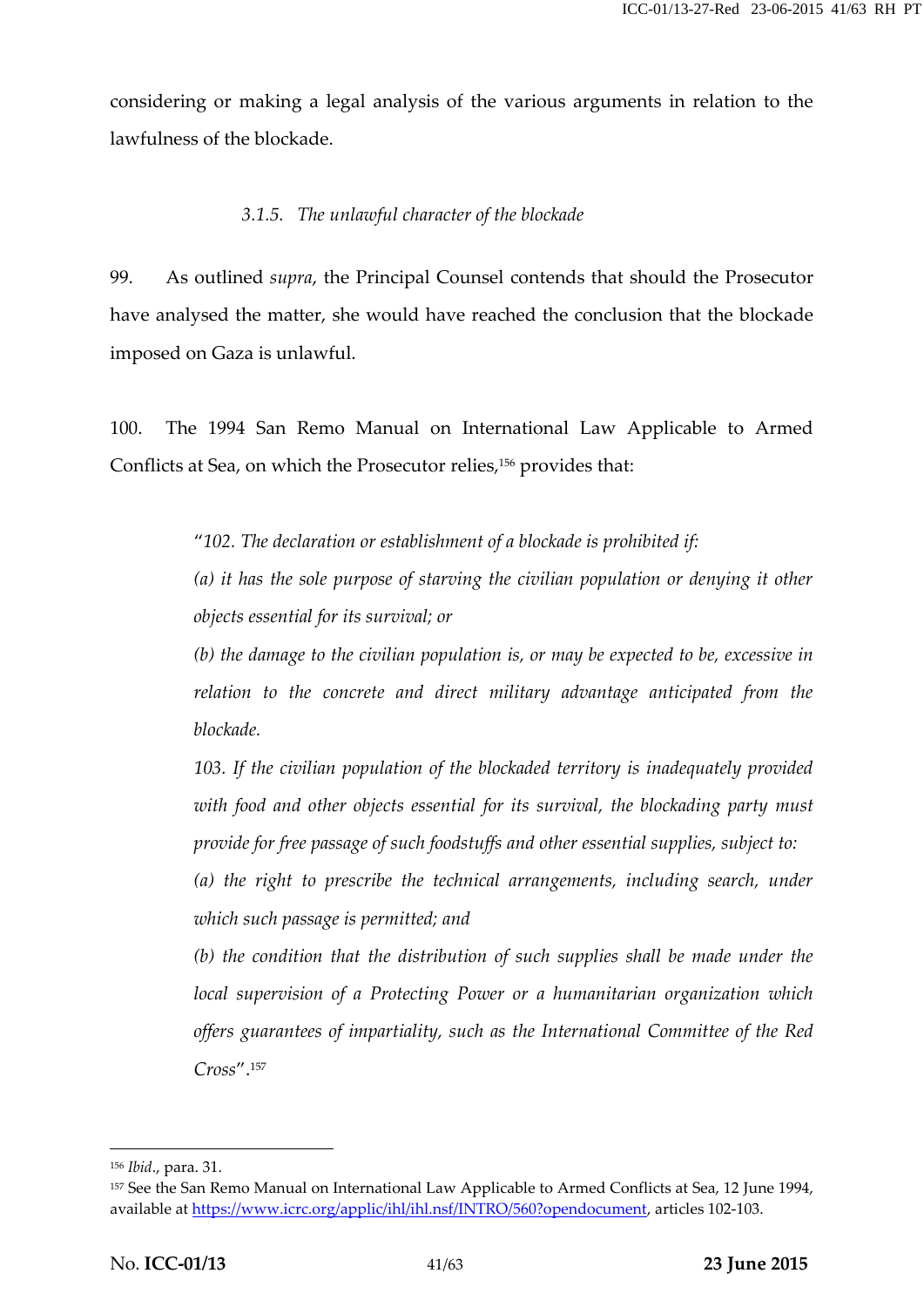considering or making a legal analysis of the various arguments in relation to the lawfulness of the blockade.

#### *3.1.5. The unlawful character of the blockade*

99. As outlined *supra*, the Principal Counsel contends that should the Prosecutor have analysed the matter, she would have reached the conclusion that the blockade imposed on Gaza is unlawful.

100. The 1994 San Remo Manual on International Law Applicable to Armed Conflicts at Sea, on which the Prosecutor relies,<sup>156</sup> provides that:

"*102. The declaration or establishment of a blockade is prohibited if:*

*(a) it has the sole purpose of starving the civilian population or denying it other objects essential for its survival; or*

*(b) the damage to the civilian population is, or may be expected to be, excessive in relation to the concrete and direct military advantage anticipated from the blockade.*

*103. If the civilian population of the blockaded territory is inadequately provided with food and other objects essential for its survival, the blockading party must provide for free passage of such foodstuffs and other essential supplies, subject to:*

*(a) the right to prescribe the technical arrangements, including search, under which such passage is permitted; and*

*(b) the condition that the distribution of such supplies shall be made under the local supervision of a Protecting Power or a humanitarian organization which offers guarantees of impartiality, such as the International Committee of the Red Cross*".<sup>157</sup>

<sup>156</sup> *Ibid*., para. 31.

<sup>157</sup> See the San Remo Manual on International Law Applicable to Armed Conflicts at Sea, 12 June 1994, available at https://www.icrc.org/applic/ihl/ihl.nsf/INTRO/560?opendocument, articles 102-103.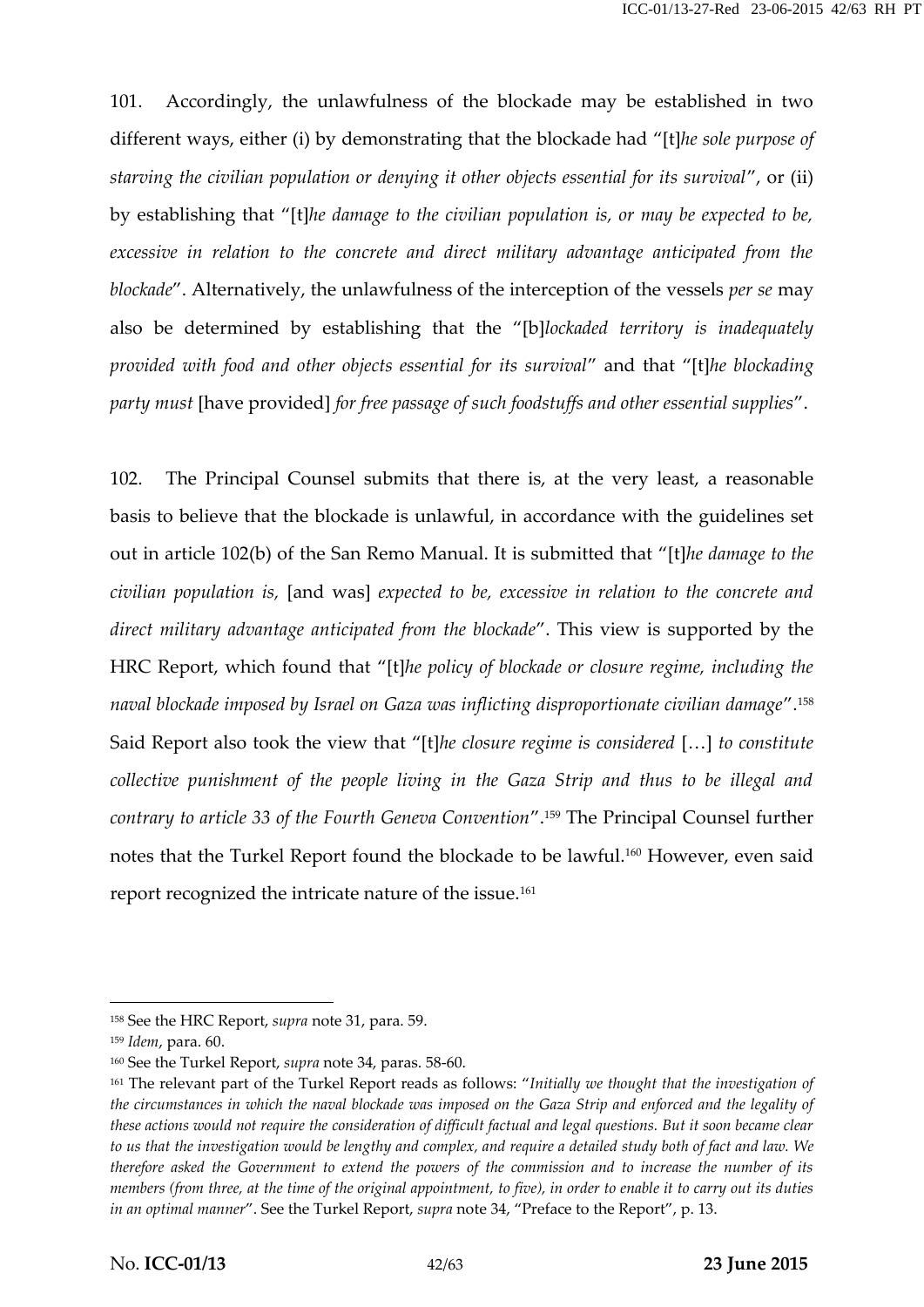101. Accordingly, the unlawfulness of the blockade may be established in two different ways, either (i) by demonstrating that the blockade had "[t]*he sole purpose of starving the civilian population or denying it other objects essential for its survival*", or (ii) by establishing that "[t]*he damage to the civilian population is, or may be expected to be, excessive in relation to the concrete and direct military advantage anticipated from the blockade*". Alternatively, the unlawfulness of the interception of the vessels *per se* may also be determined by establishing that the "[b]*lockaded territory is inadequately provided with food and other objects essential for its survival*" and that "[t]*he blockading party must* [have provided] *for free passage of such foodstuffs and other essential supplies*".

102. The Principal Counsel submits that there is, at the very least, a reasonable basis to believe that the blockade is unlawful, in accordance with the guidelines set out in article 102(b) of the San Remo Manual. It is submitted that "[t]*he damage to the civilian population is,* [and was] *expected to be, excessive in relation to the concrete and direct military advantage anticipated from the blockade*". This view is supported by the HRC Report, which found that "[t]*he policy of blockade or closure regime, including the naval blockade imposed by Israel on Gaza was inflicting disproportionate civilian damage*".<sup>158</sup> Said Report also took the view that "[t]*he closure regime is considered* […] *to constitute collective punishment of the people living in the Gaza Strip and thus to be illegal and contrary to article 33 of the Fourth Geneva Convention*".<sup>159</sup> The Principal Counsel further notes that the Turkel Report found the blockade to be lawful.<sup>160</sup> However, even said report recognized the intricate nature of the issue.<sup>161</sup>

<sup>158</sup> See the HRC Report, *supra* note 31, para. 59.

<sup>159</sup> *Idem*, para. 60.

<sup>160</sup> See the Turkel Report, *supra* note 34, paras. 58-60.

<sup>161</sup> The relevant part of the Turkel Report reads as follows: "*Initially we thought that the investigation of the circumstances in which the naval blockade was imposed on the Gaza Strip and enforced and the legality of these actions would not require the consideration of difficult factual and legal questions. But it soon became clear to us that the investigation would be lengthy and complex, and require a detailed study both of fact and law. We therefore asked the Government to extend the powers of the commission and to increase the number of its members (from three, at the time of the original appointment, to five), in order to enable it to carry out its duties in an optimal manner*". See the Turkel Report, *supra* note 34, "Preface to the Report", p. 13.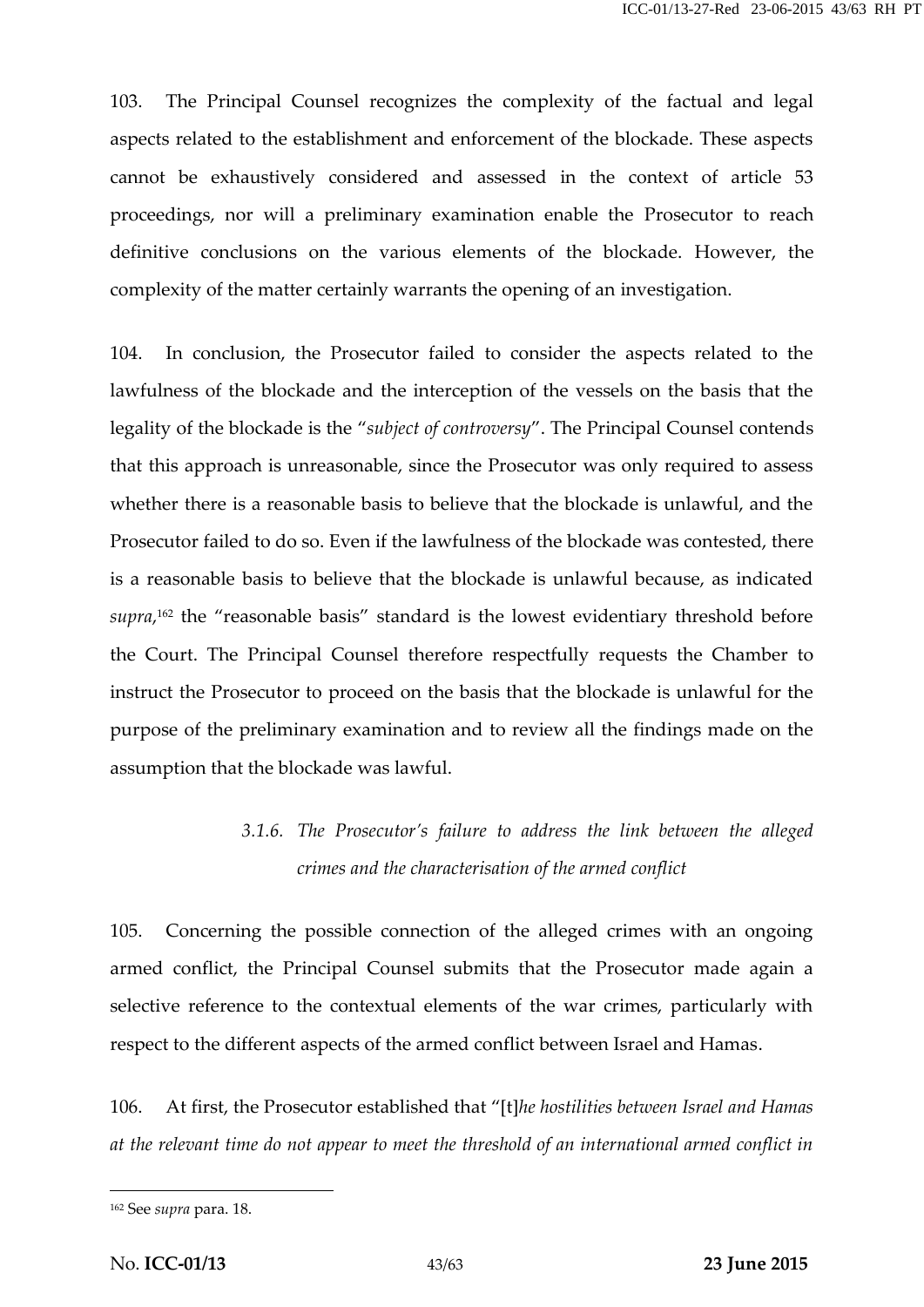103. The Principal Counsel recognizes the complexity of the factual and legal aspects related to the establishment and enforcement of the blockade. These aspects cannot be exhaustively considered and assessed in the context of article 53 proceedings, nor will a preliminary examination enable the Prosecutor to reach definitive conclusions on the various elements of the blockade. However, the complexity of the matter certainly warrants the opening of an investigation.

104. In conclusion, the Prosecutor failed to consider the aspects related to the lawfulness of the blockade and the interception of the vessels on the basis that the legality of the blockade is the "*subject of controversy*". The Principal Counsel contends that this approach is unreasonable, since the Prosecutor was only required to assess whether there is a reasonable basis to believe that the blockade is unlawful, and the Prosecutor failed to do so. Even if the lawfulness of the blockade was contested, there is a reasonable basis to believe that the blockade is unlawful because, as indicated *supra*,<sup>162</sup> the "reasonable basis" standard is the lowest evidentiary threshold before the Court. The Principal Counsel therefore respectfully requests the Chamber to instruct the Prosecutor to proceed on the basis that the blockade is unlawful for the purpose of the preliminary examination and to review all the findings made on the assumption that the blockade was lawful.

## *3.1.6. The Prosecutor's failure to address the link between the alleged crimes and the characterisation of the armed conflict*

105. Concerning the possible connection of the alleged crimes with an ongoing armed conflict, the Principal Counsel submits that the Prosecutor made again a selective reference to the contextual elements of the war crimes, particularly with respect to the different aspects of the armed conflict between Israel and Hamas.

106. At first, the Prosecutor established that "[t]*he hostilities between Israel and Hamas at the relevant time do not appear to meet the threshold of an international armed conflict in*

<sup>162</sup> See *supra* para. 18.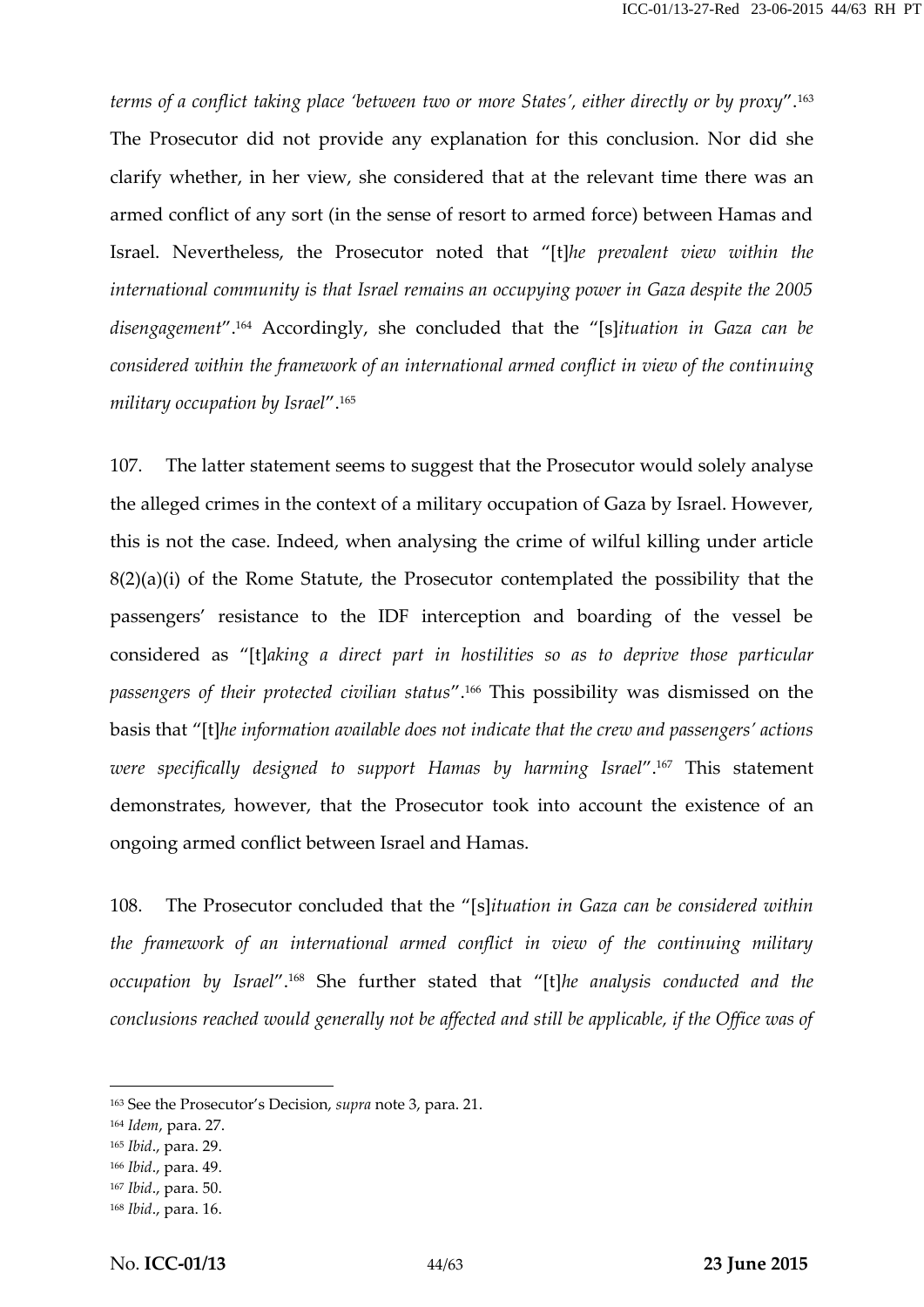*terms of a conflict taking place 'between two or more States', either directly or by proxy*".<sup>163</sup> The Prosecutor did not provide any explanation for this conclusion. Nor did she clarify whether, in her view, she considered that at the relevant time there was an armed conflict of any sort (in the sense of resort to armed force) between Hamas and Israel. Nevertheless, the Prosecutor noted that "[t]*he prevalent view within the international community is that Israel remains an occupying power in Gaza despite the 2005 disengagement*".<sup>164</sup> Accordingly, she concluded that the "[s]*ituation in Gaza can be considered within the framework of an international armed conflict in view of the continuing military occupation by Israel*".<sup>165</sup>

107. The latter statement seems to suggest that the Prosecutor would solely analyse the alleged crimes in the context of a military occupation of Gaza by Israel. However, this is not the case. Indeed, when analysing the crime of wilful killing under article 8(2)(a)(i) of the Rome Statute, the Prosecutor contemplated the possibility that the passengers' resistance to the IDF interception and boarding of the vessel be considered as "[t]*aking a direct part in hostilities so as to deprive those particular passengers of their protected civilian status*".<sup>166</sup> This possibility was dismissed on the basis that "[t]*he information available does not indicate that the crew and passengers' actions were specifically designed to support Hamas by harming Israel*".<sup>167</sup> This statement demonstrates, however, that the Prosecutor took into account the existence of an ongoing armed conflict between Israel and Hamas.

108. The Prosecutor concluded that the "[s]*ituation in Gaza can be considered within the framework of an international armed conflict in view of the continuing military occupation by Israel*".<sup>168</sup> She further stated that "[t]*he analysis conducted and the conclusions reached would generally not be affected and still be applicable, if the Office was of*

<sup>163</sup> See the Prosecutor's Decision, *supra* note 3, para. 21.

<sup>164</sup> *Idem*, para. 27.

<sup>165</sup> *Ibid*., para. 29.

<sup>166</sup> *Ibid*., para. 49.

<sup>167</sup> *Ibid*., para. 50.

<sup>168</sup> *Ibid*., para. 16.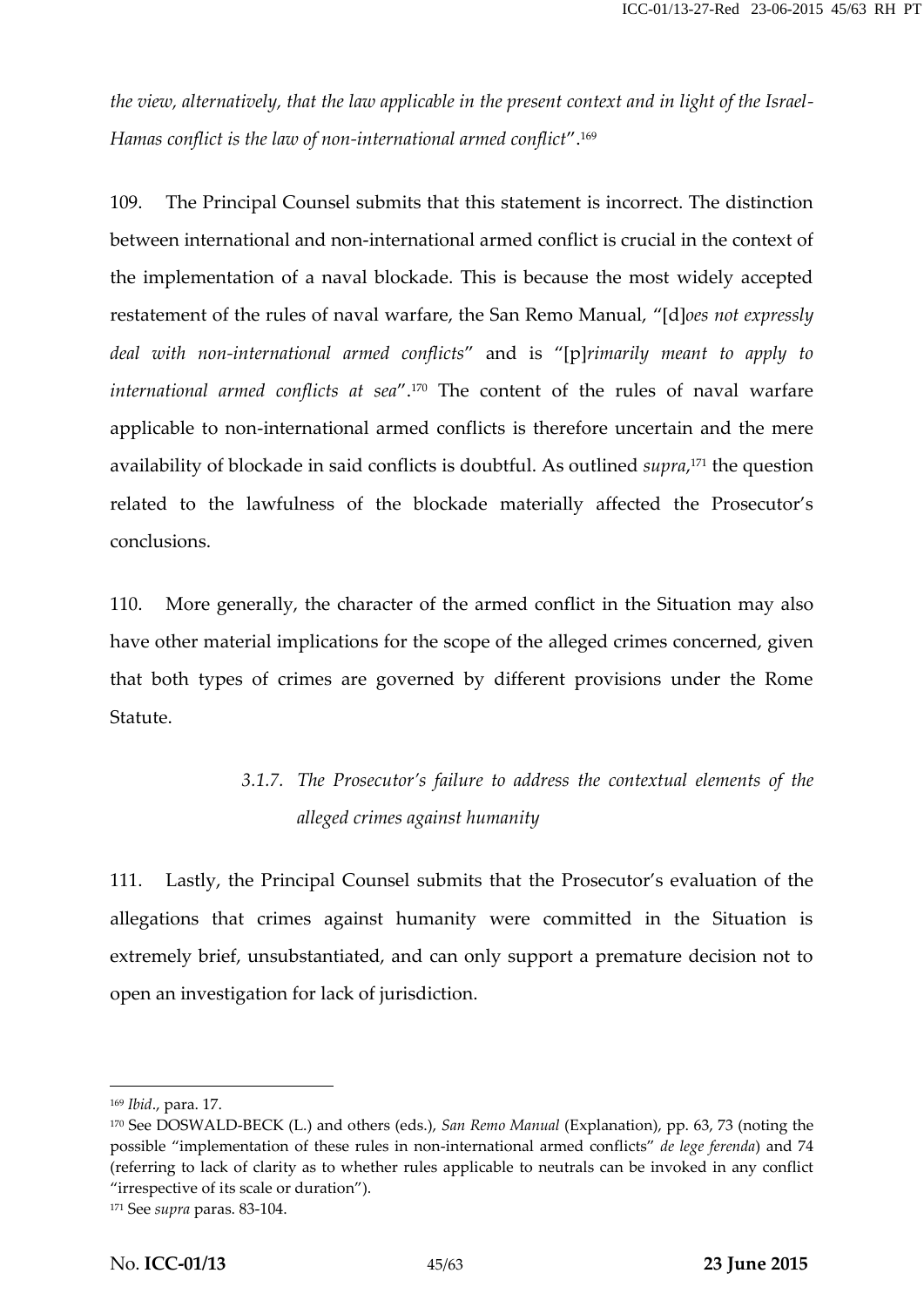*the view, alternatively, that the law applicable in the present context and in light of the Israel- Hamas conflict is the law of non-international armed conflict*".<sup>169</sup>

109. The Principal Counsel submits that this statement is incorrect. The distinction between international and non-international armed conflict is crucial in the context of the implementation of a naval blockade. This is because the most widely accepted restatement of the rules of naval warfare, the San Remo Manual, "[d]*oes not expressly deal with non-international armed conflicts*" and is "[p]*rimarily meant to apply to international armed conflicts at sea*".<sup>170</sup> The content of the rules of naval warfare applicable to non-international armed conflicts is therefore uncertain and the mere availability of blockade in said conflicts is doubtful. As outlined *supra*,<sup>171</sup> the question related to the lawfulness of the blockade materially affected the Prosecutor's conclusions.

110. More generally, the character of the armed conflict in the Situation may also have other material implications for the scope of the alleged crimes concerned, given that both types of crimes are governed by different provisions under the Rome Statute.

## *3.1.7. The Prosecutor's failure to address the contextual elements of the alleged crimes against humanity*

111. Lastly, the Principal Counsel submits that the Prosecutor's evaluation of the allegations that crimes against humanity were committed in the Situation is extremely brief, unsubstantiated, and can only support a premature decision not to open an investigation for lack of jurisdiction.

<sup>169</sup> *Ibid*., para. 17.

<sup>170</sup> See DOSWALD-BECK (L.) and others (eds.), *San Remo Manual* (Explanation), pp. 63, 73 (noting the possible "implementation of these rules in non-international armed conflicts" *de lege ferenda*) and 74 (referring to lack of clarity as to whether rules applicable to neutrals can be invoked in any conflict "irrespective of its scale or duration").

<sup>171</sup> See *supra* paras. 83-104.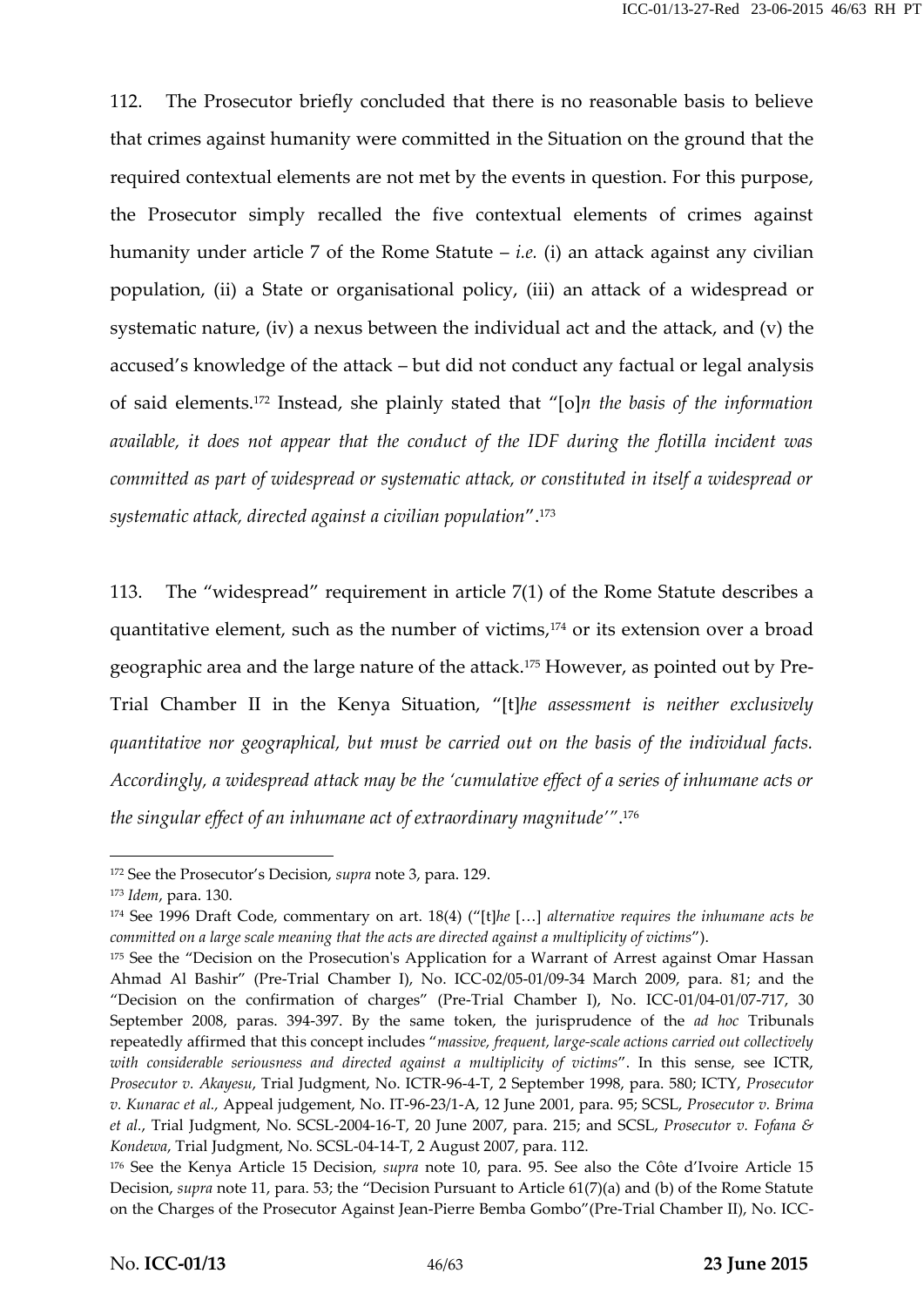112. The Prosecutor briefly concluded that there is no reasonable basis to believe that crimes against humanity were committed in the Situation on the ground that the required contextual elements are not met by the events in question. For this purpose, the Prosecutor simply recalled the five contextual elements of crimes against humanity under article 7 of the Rome Statute – *i.e.* (i) an attack against any civilian population, (ii) a State or organisational policy, (iii) an attack of a widespread or systematic nature, (iv) a nexus between the individual act and the attack, and (v) the accused's knowledge of the attack – but did not conduct any factual or legal analysis of said elements.<sup>172</sup> Instead, she plainly stated that "[o]*n the basis of the information available, it does not appear that the conduct of the IDF during the flotilla incident was committed as part of widespread or systematic attack, or constituted in itself a widespread or systematic attack, directed against a civilian population*".<sup>173</sup>

113. The "widespread" requirement in article 7(1) of the Rome Statute describes a quantitative element, such as the number of victims,<sup>174</sup> or its extension over a broad geographic area and the large nature of the attack.<sup>175</sup> However, as pointed out by Pre- Trial Chamber II in the Kenya Situation, "[t]*he assessment is neither exclusively quantitative nor geographical, but must be carried out on the basis of the individual facts. Accordingly, a widespread attack may be the 'cumulative effect of a series of inhumane acts or the singular effect of an inhumane act of extraordinary magnitude'"*.<sup>176</sup>

<sup>172</sup> See the Prosecutor's Decision, *supra* note 3, para. 129.

<sup>173</sup> *Idem*, para. 130.

<sup>174</sup> See 1996 Draft Code, commentary on art. 18(4) ("[t]*he* […] *alternative requires the inhumane acts be committed on a large scale meaning that the acts are directed against a multiplicity of victims*").

<sup>&</sup>lt;sup>175</sup> See the "Decision on the Prosecution's Application for a Warrant of Arrest against Omar Hassan Ahmad Al Bashir" (Pre-Trial Chamber I), No. ICC-02/05-01/09-34 March 2009, para. 81; and the "Decision on the confirmation of charges" (Pre-Trial Chamber I), No. ICC-01/04-01/07-717, 30 September 2008, paras. 394-397. By the same token, the jurisprudence of the *ad hoc* Tribunals repeatedly affirmed that this concept includes "*massive, frequent, large-scale actions carried out collectively with considerable seriousness and directed against a multiplicity of victims*". In this sense, see ICTR, *Prosecutor v. Akayesu*, Trial Judgment, No. ICTR-96-4-T, 2 September 1998, para. 580; ICTY, *Prosecutor v. Kunarac et al.,* Appeal judgement, No. IT-96-23/1-A, 12 June 2001, para. 95; SCSL, *Prosecutor v. Brima et al.*, Trial Judgment, No. SCSL-2004-16-T, 20 June 2007, para. 215; and SCSL, *Prosecutor v. Fofana & Kondewa*, Trial Judgment, No. SCSL-04-14-T, 2 August 2007, para. 112.

<sup>176</sup> See the Kenya Article 15 Decision, *supra* note 10, para. 95. See also the Côte d'Ivoire Article 15 Decision, *supra* note 11, para. 53; the "Decision Pursuant to Article 61(7)(a) and (b) of the Rome Statute on the Charges of the Prosecutor Against Jean-Pierre Bemba Gombo"(Pre-Trial Chamber II), No. ICC-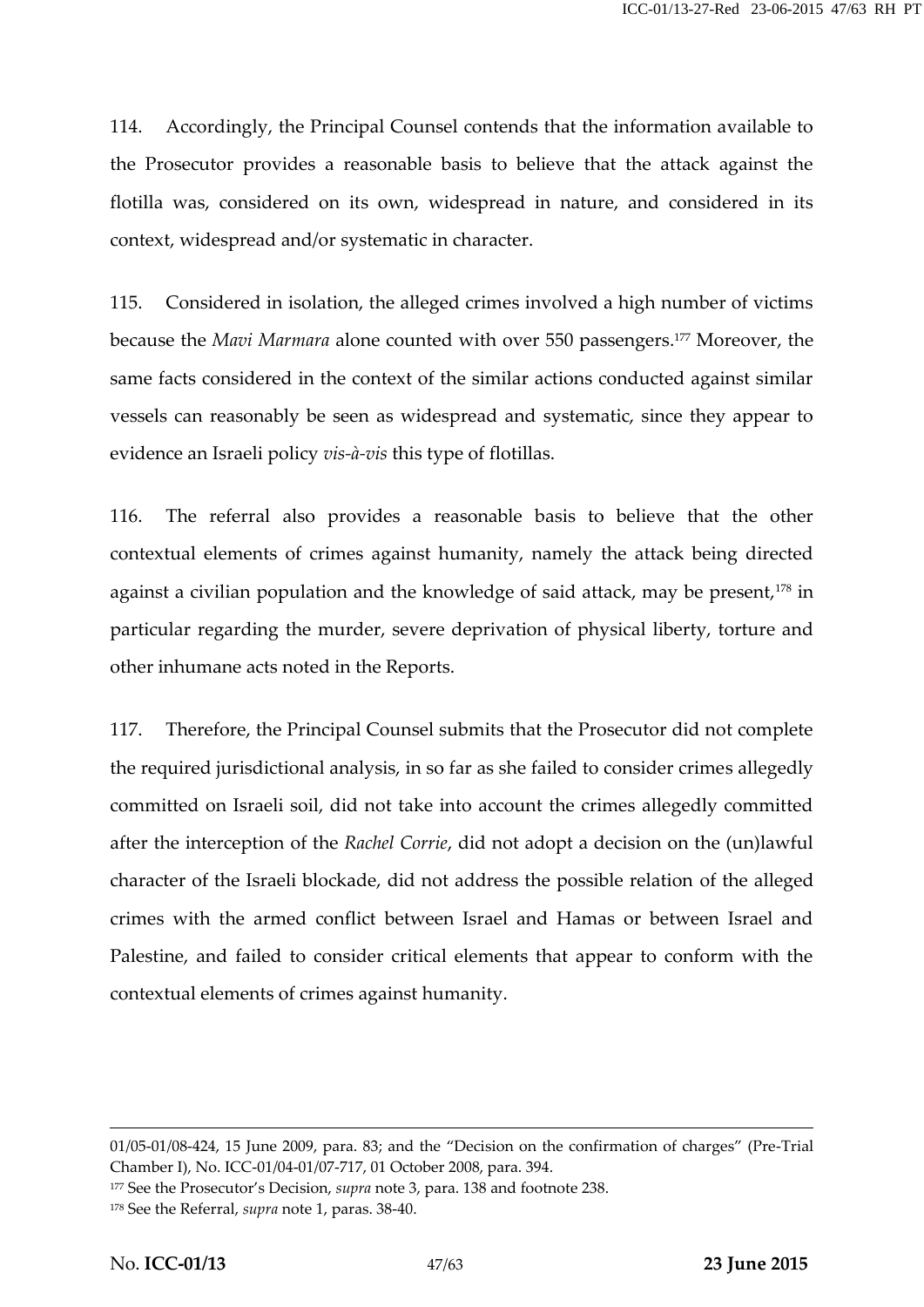114. Accordingly, the Principal Counsel contends that the information available to the Prosecutor provides a reasonable basis to believe that the attack against the flotilla was, considered on its own, widespread in nature, and considered in its context, widespread and/or systematic in character.

115. Considered in isolation, the alleged crimes involved a high number of victims because the *Mavi Marmara* alone counted with over 550 passengers.<sup>177</sup> Moreover, the same facts considered in the context of the similar actions conducted against similar vessels can reasonably be seen as widespread and systematic, since they appear to evidence an Israeli policy *vis-à-vis* this type of flotillas.

116. The referral also provides a reasonable basis to believe that the other contextual elements of crimes against humanity, namely the attack being directed against a civilian population and the knowledge of said attack, may be present,<sup>178</sup> in particular regarding the murder, severe deprivation of physical liberty, torture and other inhumane acts noted in the Reports.

117. Therefore, the Principal Counsel submits that the Prosecutor did not complete the required jurisdictional analysis, in so far as she failed to consider crimes allegedly committed on Israeli soil, did not take into account the crimes allegedly committed after the interception of the *Rachel Corrie*, did not adopt a decision on the (un)lawful character of the Israeli blockade, did not address the possible relation of the alleged crimes with the armed conflict between Israel and Hamas or between Israel and Palestine, and failed to consider critical elements that appear to conform with the contextual elements of crimes against humanity.

<sup>01/05-01/08-424, 15</sup> June 2009, para. 83; and the "Decision on the confirmation of charges" (Pre-Trial Chamber I), No. ICC-01/04-01/07-717, 01 October 2008, para. 394.

<sup>177</sup> See the Prosecutor's Decision, *supra* note 3, para. 138 and footnote 238.

<sup>178</sup> See the Referral, *supra* note 1, paras. 38-40.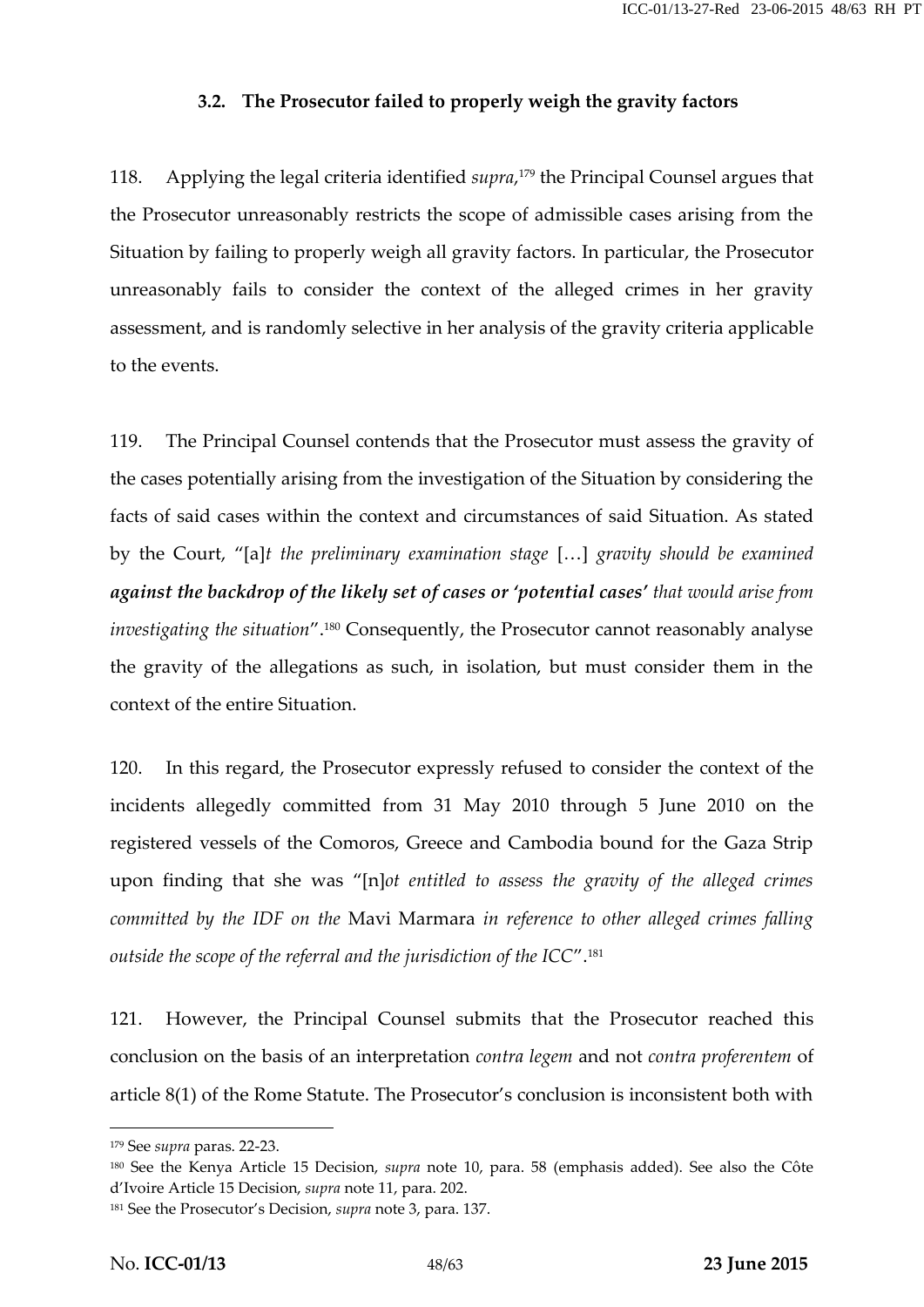#### **3.2. The Prosecutor failed to properly weigh the gravity factors**

118. Applying the legal criteria identified *supra*,<sup>179</sup> the Principal Counsel argues that the Prosecutor unreasonably restricts the scope of admissible cases arising from the Situation by failing to properly weigh all gravity factors. In particular, the Prosecutor unreasonably fails to consider the context of the alleged crimes in her gravity assessment, and is randomly selective in her analysis of the gravity criteria applicable to the events.

119. The Principal Counsel contends that the Prosecutor must assess the gravity of the cases potentially arising from the investigation of the Situation by considering the facts of said cases within the context and circumstances of said Situation. As stated by the Court, "[a]*t the preliminary examination stage* […] *gravity should be examined against the backdrop of the likely set of cases or 'potential cases' that would arise from investigating the situation*".<sup>180</sup> Consequently, the Prosecutor cannot reasonably analyse the gravity of the allegations as such, in isolation, but must consider them in the context of the entire Situation.

120. In this regard, the Prosecutor expressly refused to consider the context of the incidents allegedly committed from 31 May 2010 through 5 June 2010 on the registered vessels of the Comoros, Greece and Cambodia bound for the Gaza Strip upon finding that she was "[n]*ot entitled to assess the gravity of the alleged crimes committed by the IDF on the* Mavi Marmara *in reference to other alleged crimes falling outside the scope of the referral and the jurisdiction of the ICC*".<sup>181</sup>

121. However, the Principal Counsel submits that the Prosecutor reached this conclusion on the basis of an interpretation *contra legem* and not *contra proferentem* of article 8(1) of the Rome Statute. The Prosecutor's conclusion is inconsistent both with

<sup>179</sup> See *supra* paras. 22-23.

<sup>180</sup> See the Kenya Article 15 Decision, *supra* note 10, para. 58 (emphasis added). See also the Côte d'Ivoire Article 15 Decision, *supra* note 11, para. 202.

<sup>181</sup> See the Prosecutor's Decision, *supra* note 3, para. 137.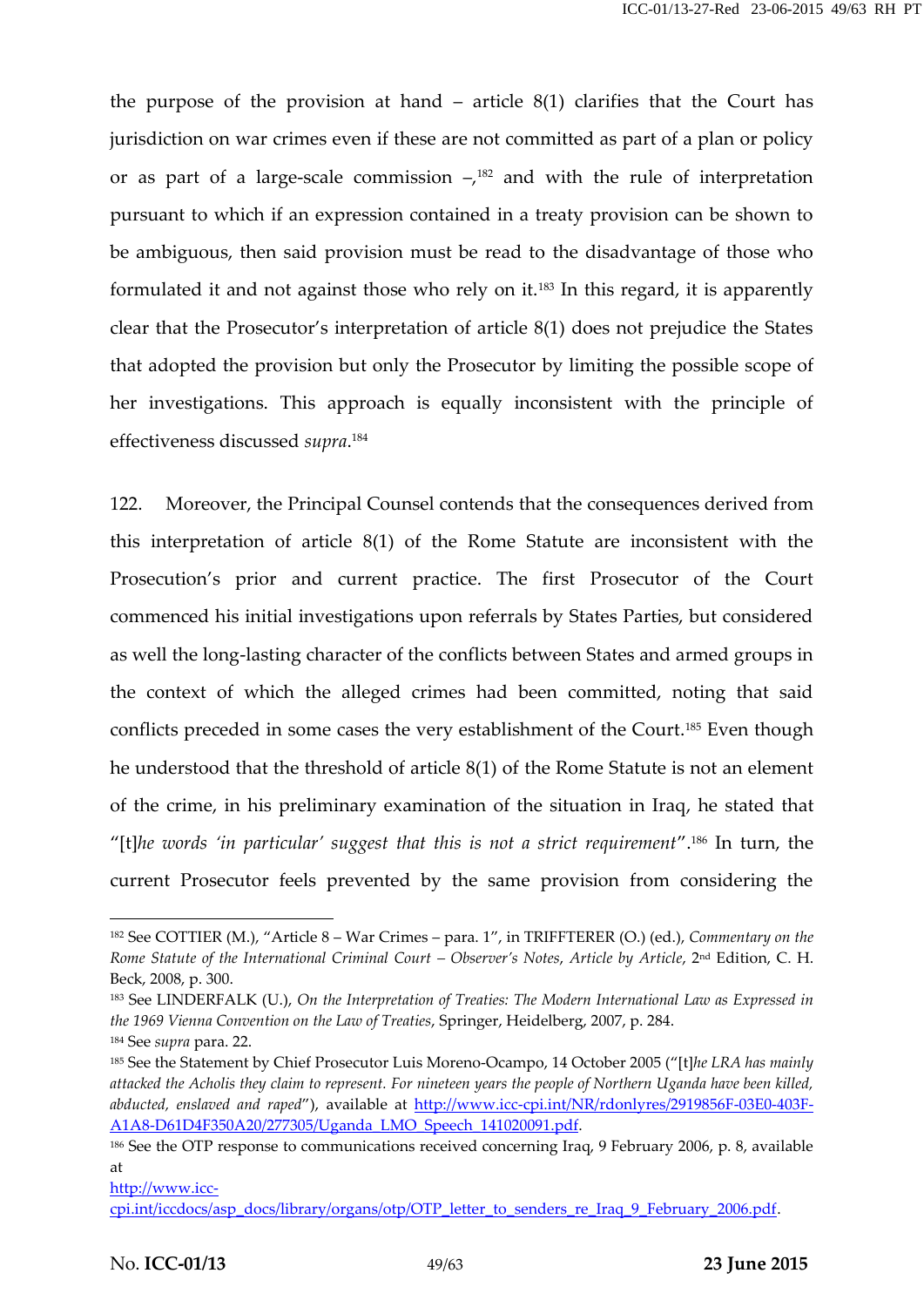the purpose of the provision at hand  $-$  article  $8(1)$  clarifies that the Court has jurisdiction on war crimes even if these are not committed as part of a plan or policy or as part of a large-scale commission  $-\lambda^{182}$  and with the rule of interpretation pursuant to which if an expression contained in a treaty provision can be shown to be ambiguous, then said provision must be read to the disadvantage of those who formulated it and not against those who rely on it.<sup>183</sup> In this regard, it is apparently clear that the Prosecutor's interpretation of article 8(1) does not prejudice the States that adopted the provision but only the Prosecutor by limiting the possible scope of her investigations. This approach is equally inconsistent with the principle of effectiveness discussed *supra*.<sup>184</sup>

122. Moreover, the Principal Counsel contends that the consequences derived from this interpretation of article 8(1) of the Rome Statute are inconsistent with the Prosecution's prior and current practice. The first Prosecutor of the Court commenced his initial investigations upon referrals by States Parties, but considered as well the long-lasting character of the conflicts between States and armed groups in the context of which the alleged crimes had been committed, noting that said conflicts preceded in some cases the very establishment of the Court.<sup>185</sup> Even though he understood that the threshold of article 8(1) of the Rome Statute is not an element of the crime, in his preliminary examination of the situation in Iraq, he stated that "[t]*he words 'in particular' suggest that this is not a strict requirement*".<sup>186</sup> In turn, the current Prosecutor feels prevented by the same provision from considering the

<sup>182</sup> See COTTIER (M.), "Article 8 – War Crimes – para. 1", in TRIFFTERER (O.) (ed.), *Commentary on the Rome Statute of the International Criminal Court – Observer's Notes*, *Article by Article*, 2nd Edition, C. H. Beck, 2008, p. 300.

<sup>183</sup> See LINDERFALK (U.), *On the Interpretation of Treaties: The Modern International Law as Expressed in the 1969 Vienna Convention on the Law of Treaties*, Springer, Heidelberg, 2007, p. 284.

<sup>184</sup> See *supra* para. 22.

<sup>185</sup> See the Statement by Chief Prosecutor Luis Moreno-Ocampo, 14 October 2005 ("[t]*he LRA has mainly attacked the Acholis they claim to represent. For nineteen years the people of Northern Uganda have been killed, abducted, enslaved and raped*"), available at http://www.icc-cpi.int/NR/rdonlyres/2919856F-03E0-403F- A1A8-D61D4F350A20/277305/Uganda\_LMO\_Speech\_141020091.pdf.

<sup>&</sup>lt;sup>186</sup> See the OTP response to communications received concerning Iraq, 9 February 2006, p. 8, available at

http://www.icc-

cpi.int/iccdocs/asp\_docs/library/organs/otp/OTP\_letter\_to\_senders\_re\_Iraq\_9\_February\_2006.pdf.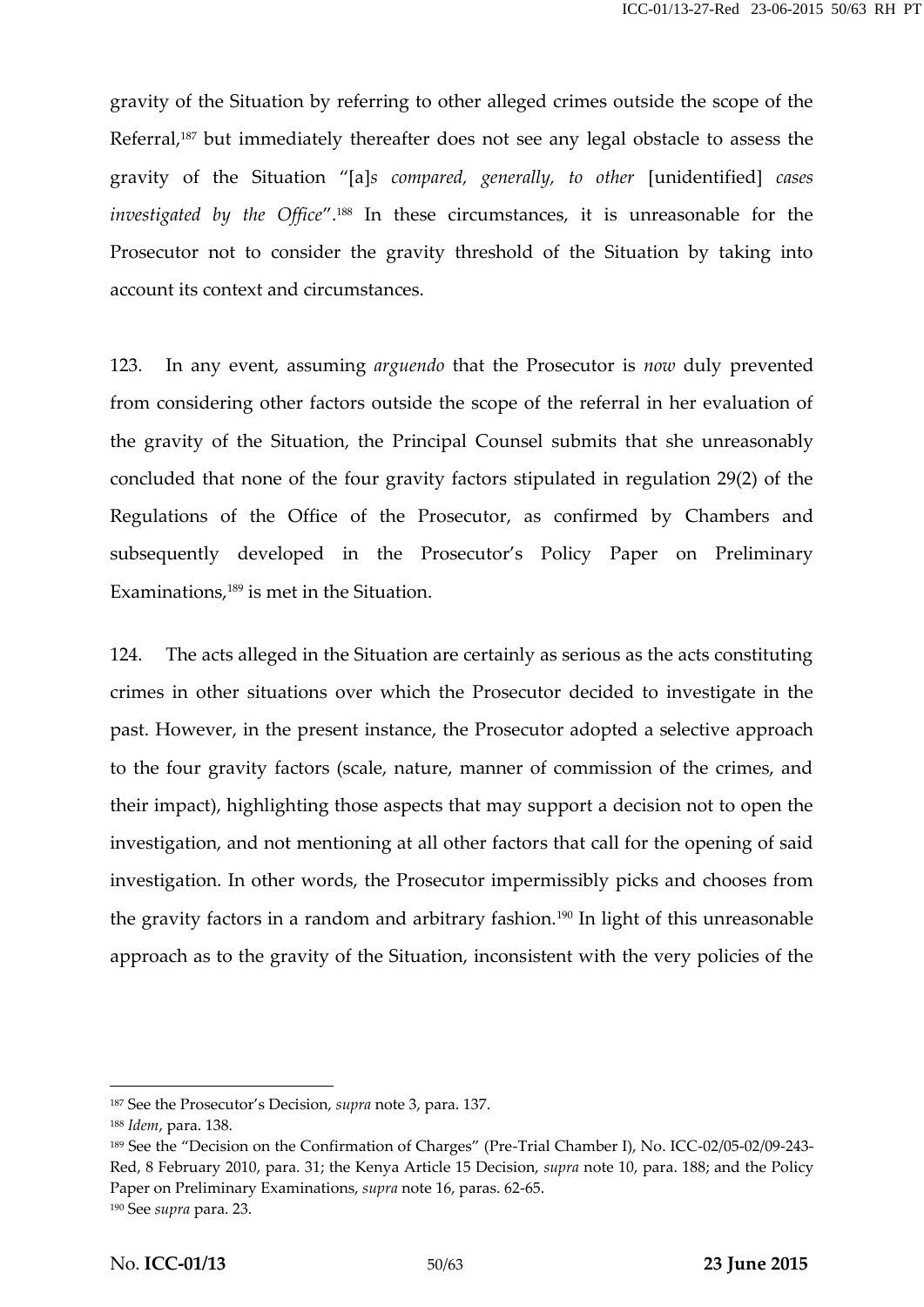gravity of the Situation by referring to other alleged crimes outside the scope of the Referral,<sup>187</sup> but immediately thereafter does not see any legal obstacle to assess the gravity of the Situation "[a]*s compared, generally, to other* [unidentified] *cases investigated by the Office*".<sup>188</sup> In these circumstances, it is unreasonable for the Prosecutor not to consider the gravity threshold of the Situation by taking into account its context and circumstances.

123. In any event, assuming *arguendo* that the Prosecutor is *now* duly prevented from considering other factors outside the scope of the referral in her evaluation of the gravity of the Situation, the Principal Counsel submits that she unreasonably concluded that none of the four gravity factors stipulated in regulation 29(2) of the Regulations of the Office of the Prosecutor, as confirmed by Chambers and subsequently developed in the Prosecutor's Policy Paper on Preliminary Examinations,<sup>189</sup> is met in the Situation.

124. The acts alleged in the Situation are certainly as serious as the acts constituting crimes in other situations over which the Prosecutor decided to investigate in the past. However, in the present instance, the Prosecutor adopted a selective approach to the four gravity factors (scale, nature, manner of commission of the crimes, and their impact), highlighting those aspects that may support a decision not to open the investigation, and not mentioning at all other factors that call for the opening of said investigation. In other words, the Prosecutor impermissibly picks and chooses from the gravity factors in a random and arbitrary fashion.<sup>190</sup> In light of this unreasonable approach as to the gravity of the Situation, inconsistent with the very policies of the

<sup>187</sup> See the Prosecutor's Decision, *supra* note 3, para. 137.

<sup>188</sup> *Idem*, para. 138.

<sup>189</sup> See the "Decision on the Confirmation of Charges" (Pre-Trial Chamber I), No. ICC-02/05-02/09-243- Red, 8 February 2010, para. 31; the Kenya Article 15 Decision, *supra* note 10, para. 188; and the Policy Paper on Preliminary Examinations, *supra* note 16, paras. 62-65.

<sup>190</sup> See *supra* para. 23.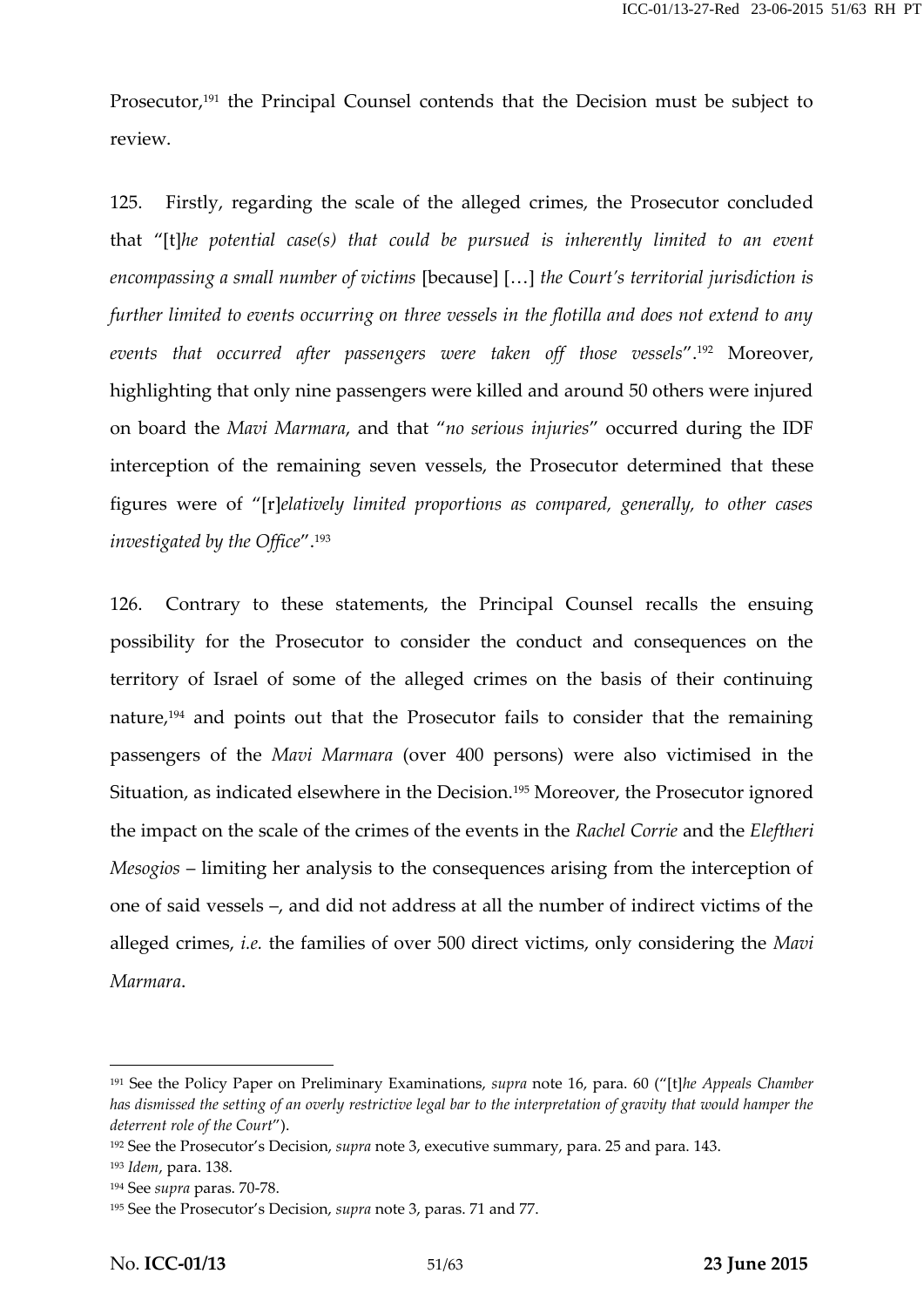Prosecutor,<sup>191</sup> the Principal Counsel contends that the Decision must be subject to review.

125. Firstly, regarding the scale of the alleged crimes, the Prosecutor concluded that "[t]*he potential case(s) that could be pursued is inherently limited to an event encompassing a small number of victims* [because] […] *the Court's territorial jurisdiction is further limited to events occurring on three vessels in the flotilla and does not extend to any events that occurred after passengers were taken off those vessels*".<sup>192</sup> Moreover, highlighting that only nine passengers were killed and around 50 others were injured on board the *Mavi Marmara*, and that "*no serious injuries*" occurred during the IDF interception of the remaining seven vessels, the Prosecutor determined that these figures were of "[r]*elatively limited proportions as compared, generally, to other cases investigated by the Office*".<sup>193</sup>

126. Contrary to these statements, the Principal Counsel recalls the ensuing possibility for the Prosecutor to consider the conduct and consequences on the territory of Israel of some of the alleged crimes on the basis of their continuing nature,<sup>194</sup> and points out that the Prosecutor fails to consider that the remaining passengers of the *Mavi Marmara* (over 400 persons) were also victimised in the Situation, as indicated elsewhere in the Decision.<sup>195</sup> Moreover, the Prosecutor ignored the impact on the scale of the crimes of the events in the *Rachel Corrie* and the *Eleftheri Mesogios* – limiting her analysis to the consequences arising from the interception of one of said vessels –, and did not address at all the number of indirect victims of the alleged crimes, *i.e.* the families of over 500 direct victims, only considering the *Mavi Marmara*.

<sup>191</sup> See the Policy Paper on Preliminary Examinations, *supra* note 16, para. 60 ("[t]*he Appeals Chamber has dismissed the setting of an overly restrictive legal bar to the interpretation of gravity that would hamper the deterrent role of the Court*").

<sup>192</sup> See the Prosecutor's Decision, *supra* note 3, executive summary, para. 25 and para. 143.

<sup>193</sup> *Idem*, para. 138.

<sup>194</sup> See *supra* paras. 70-78.

<sup>195</sup> See the Prosecutor's Decision, *supra* note 3, paras. 71 and 77.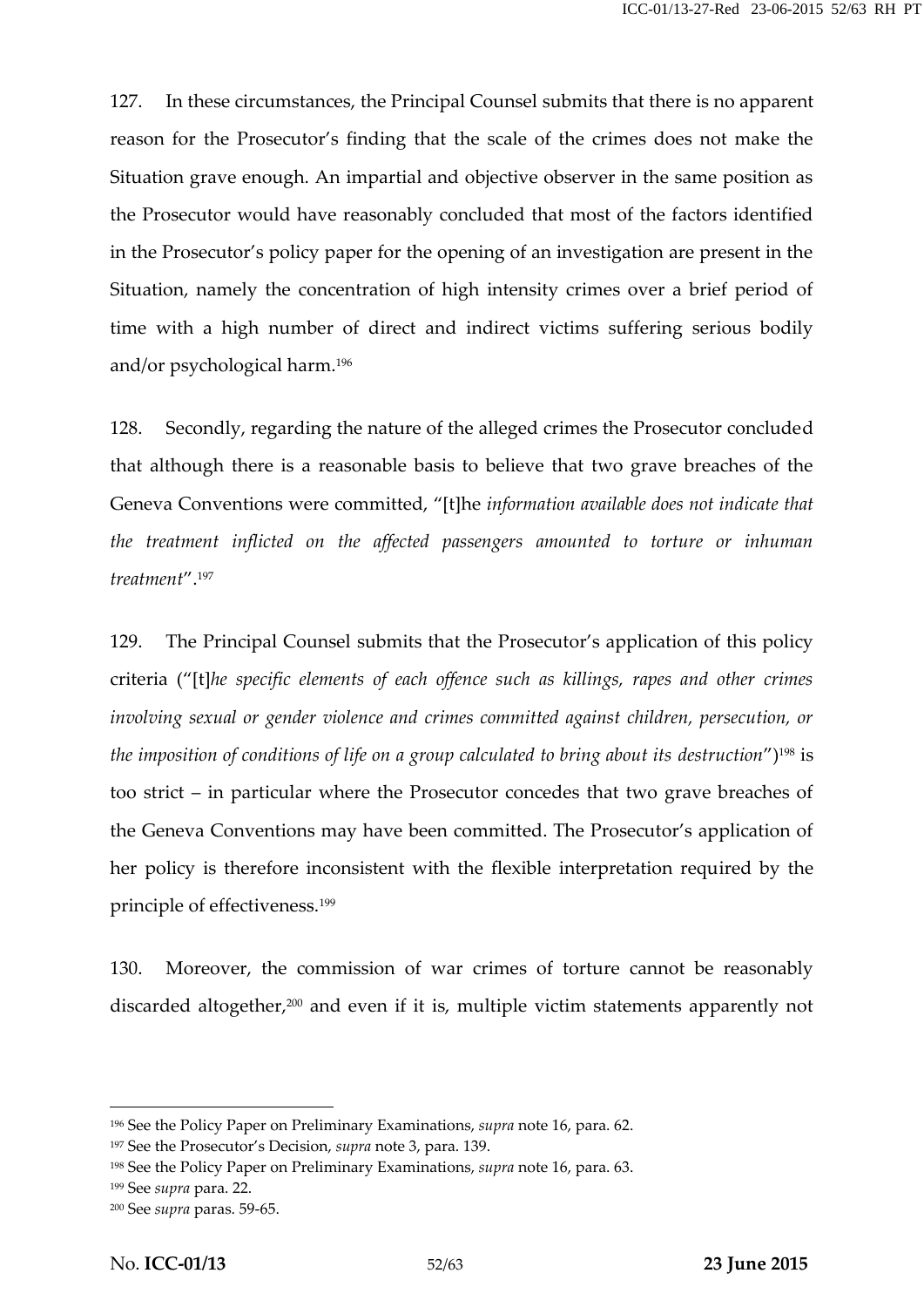127. In these circumstances, the Principal Counsel submits that there is no apparent reason for the Prosecutor's finding that the scale of the crimes does not make the Situation grave enough. An impartial and objective observer in the same position as the Prosecutor would have reasonably concluded that most of the factors identified in the Prosecutor's policy paper for the opening of an investigation are present in the Situation, namely the concentration of high intensity crimes over a brief period of time with a high number of direct and indirect victims suffering serious bodily and/or psychological harm.<sup>196</sup>

128. Secondly, regarding the nature of the alleged crimes the Prosecutor concluded that although there is a reasonable basis to believe that two grave breaches of the Geneva Conventions were committed, "[t]he *information available does not indicate that the treatment inflicted on the affected passengers amounted to torture or inhuman treatment*".<sup>197</sup>

129. The Principal Counsel submits that the Prosecutor's application of this policy criteria ("[t]*he specific elements of each offence such as killings, rapes and other crimes involving sexual or gender violence and crimes committed against children, persecution, or the imposition of conditions of life on a group calculated to bring about its destruction*")<sup>198</sup> is too strict – in particular where the Prosecutor concedes that two grave breaches of the Geneva Conventions may have been committed. The Prosecutor's application of her policy is therefore inconsistent with the flexible interpretation required by the principle of effectiveness.<sup>199</sup>

130. Moreover, the commission of war crimes of torture cannot be reasonably discarded altogether,<sup>200</sup> and even if it is, multiple victim statements apparently not

<sup>196</sup> See the Policy Paper on Preliminary Examinations, *supra* note 16, para. 62.

<sup>197</sup> See the Prosecutor's Decision, *supra* note 3, para. 139.

<sup>198</sup> See the Policy Paper on Preliminary Examinations, *supra* note 16, para. 63.

<sup>199</sup> See *supra* para. 22.

<sup>200</sup> See *supra* paras. 59-65.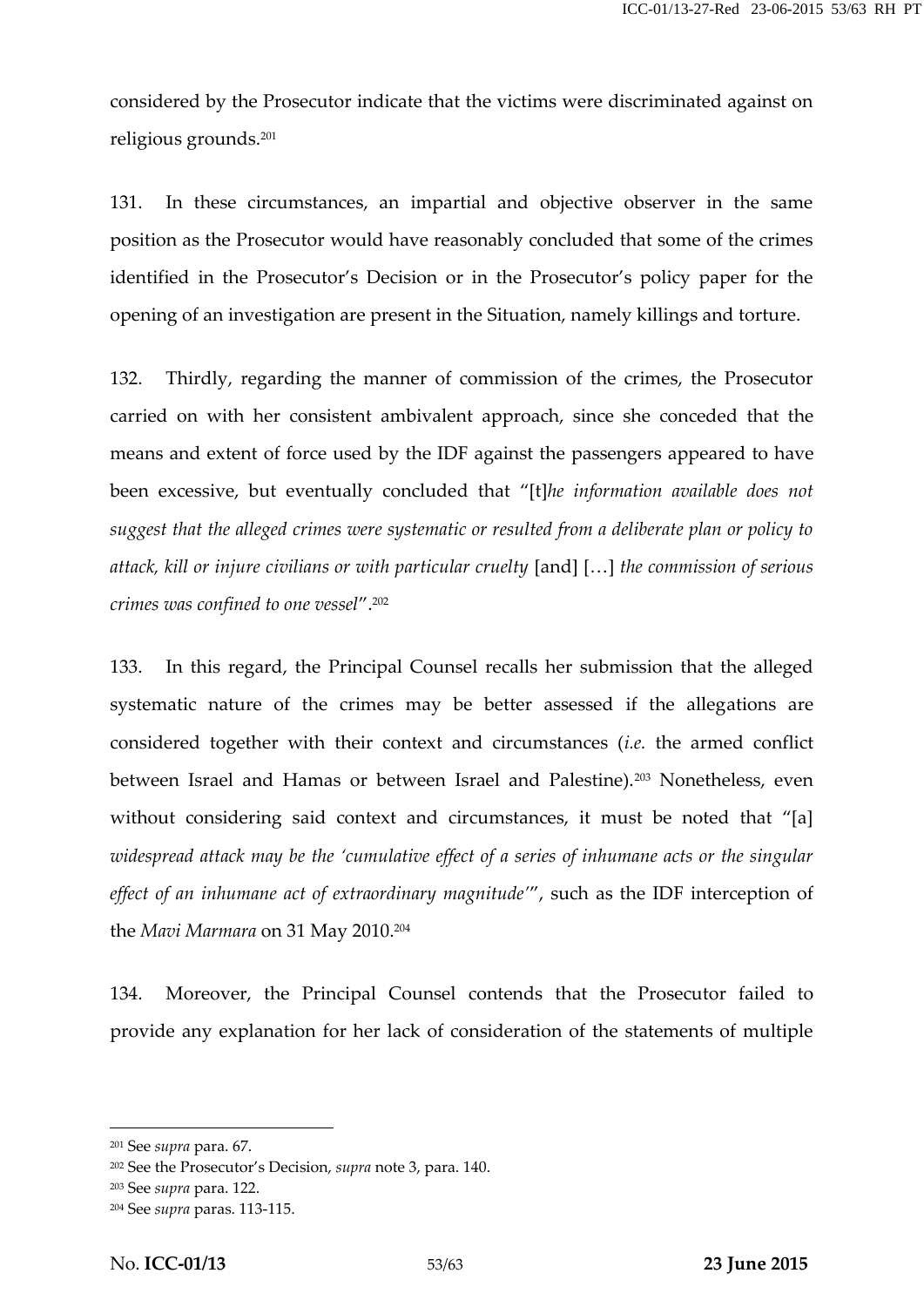considered by the Prosecutor indicate that the victims were discriminated against on religious grounds.<sup>201</sup>

131. In these circumstances, an impartial and objective observer in the same position as the Prosecutor would have reasonably concluded that some of the crimes identified in the Prosecutor's Decision or in the Prosecutor's policy paper for the opening of an investigation are present in the Situation, namely killings and torture.

132. Thirdly, regarding the manner of commission of the crimes, the Prosecutor carried on with her consistent ambivalent approach, since she conceded that the means and extent of force used by the IDF against the passengers appeared to have been excessive, but eventually concluded that "[t]*he information available does not suggest that the alleged crimes were systematic or resulted from a deliberate plan or policy to attack, kill or injure civilians or with particular cruelty* [and] […] *the commission of serious crimes was confined to one vessel*".<sup>202</sup>

133. In this regard, the Principal Counsel recalls her submission that the alleged systematic nature of the crimes may be better assessed if the allegations are considered together with their context and circumstances (*i.e.* the armed conflict between Israel and Hamas or between Israel and Palestine).<sup>203</sup> Nonetheless, even without considering said context and circumstances, it must be noted that "[a] *widespread attack may be the 'cumulative effect of a series of inhumane acts or the singular effect of an inhumane act of extraordinary magnitude'*", such as the IDF interception of the *Mavi Marmara* on 31 May 2010.<sup>204</sup>

134. Moreover, the Principal Counsel contends that the Prosecutor failed to provide any explanation for her lack of consideration of the statements of multiple

<sup>201</sup> See *supra* para. 67.

<sup>202</sup> See the Prosecutor's Decision, *supra* note 3, para. 140.

<sup>203</sup> See *supra* para. 122.

<sup>204</sup> See *supra* paras. 113-115.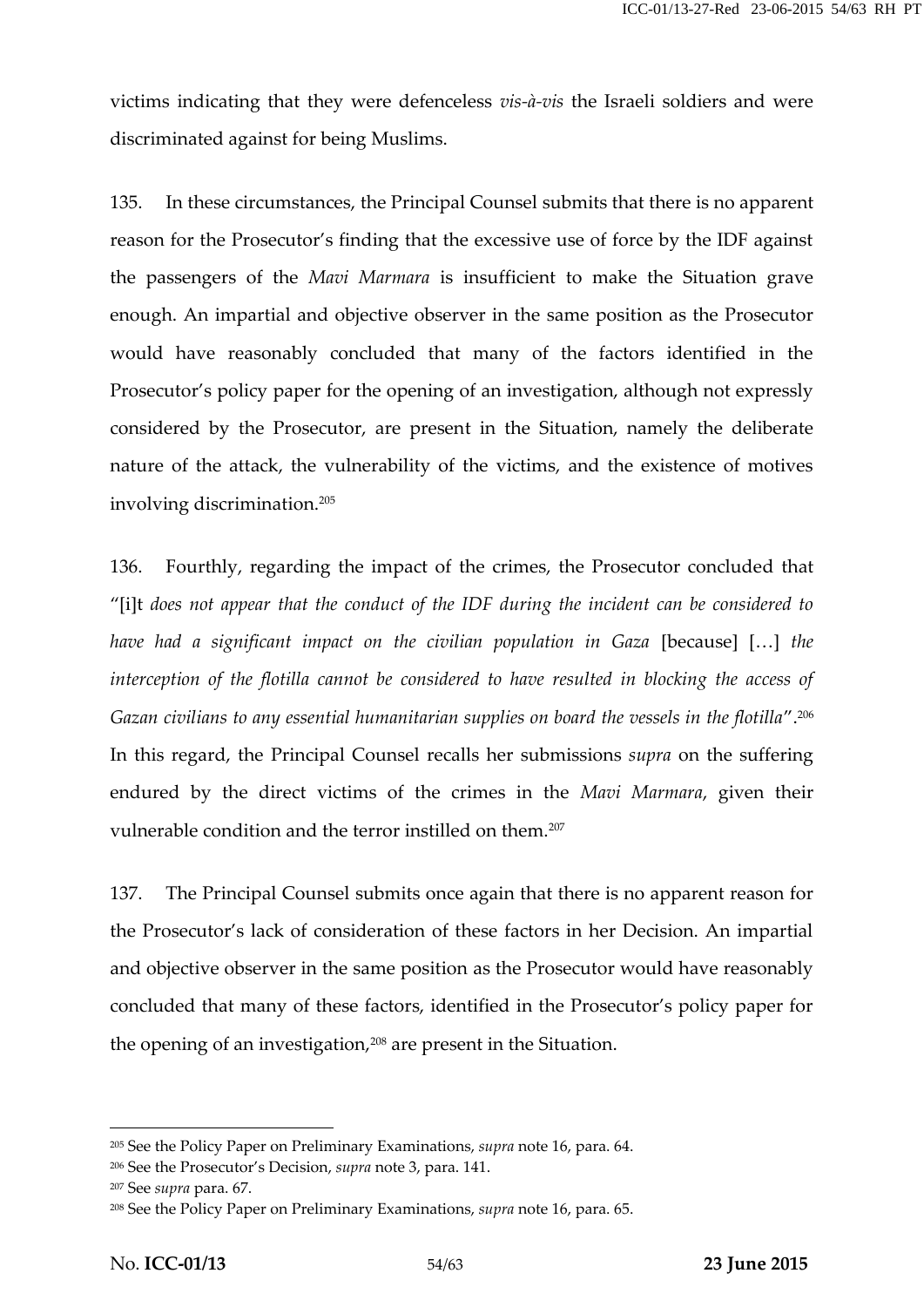victims indicating that they were defenceless *vis-à-vis* the Israeli soldiers and were discriminated against for being Muslims.

135. In these circumstances, the Principal Counsel submits that there is no apparent reason for the Prosecutor's finding that the excessive use of force by the IDF against the passengers of the *Mavi Marmara* is insufficient to make the Situation grave enough. An impartial and objective observer in the same position as the Prosecutor would have reasonably concluded that many of the factors identified in the Prosecutor's policy paper for the opening of an investigation, although not expressly considered by the Prosecutor, are present in the Situation, namely the deliberate nature of the attack, the vulnerability of the victims, and the existence of motives involving discrimination.<sup>205</sup>

136. Fourthly, regarding the impact of the crimes, the Prosecutor concluded that "[i]t *does not appear that the conduct of the IDF during the incident can be considered to have had a significant impact on the civilian population in Gaza* [because] […] *the interception of the flotilla cannot be considered to have resulted in blocking the access of Gazan civilians to any essential humanitarian supplies on board the vessels in the flotilla*".<sup>206</sup> In this regard, the Principal Counsel recalls her submissions *supra* on the suffering endured by the direct victims of the crimes in the *Mavi Marmara*, given their vulnerable condition and the terror instilled on them.<sup>207</sup>

137. The Principal Counsel submits once again that there is no apparent reason for the Prosecutor's lack of consideration of these factors in her Decision. An impartial and objective observer in the same position as the Prosecutor would have reasonably concluded that many of these factors, identified in the Prosecutor's policy paper for the opening of an investigation,<sup>208</sup> are present in the Situation.

<sup>205</sup> See the Policy Paper on Preliminary Examinations, *supra* note 16, para. 64.

<sup>206</sup> See the Prosecutor's Decision, *supra* note 3, para. 141.

<sup>207</sup> See *supra* para. 67.

<sup>208</sup> See the Policy Paper on Preliminary Examinations, *supra* note 16, para. 65.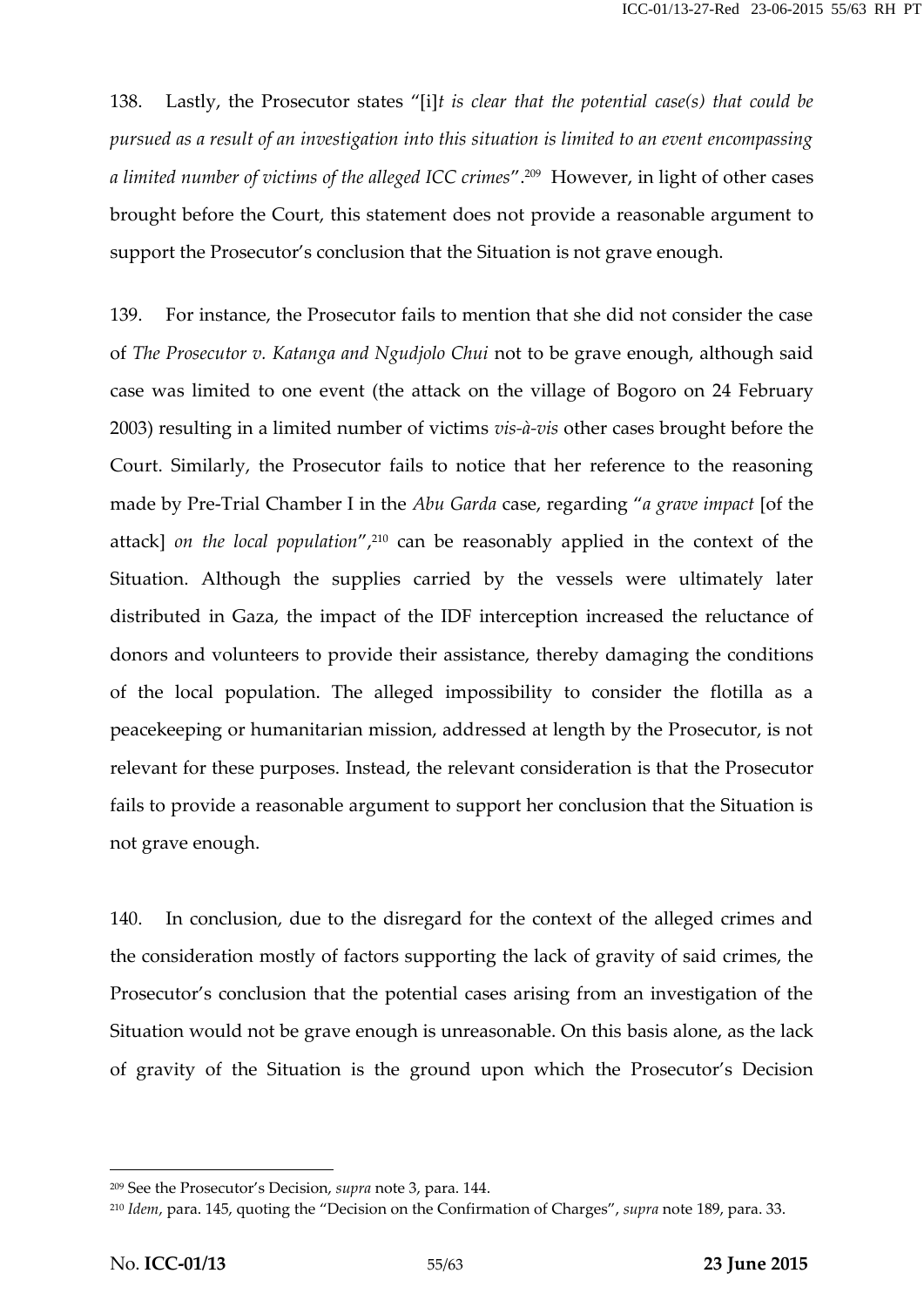138. Lastly, the Prosecutor states "[i]*t is clear that the potential case(s) that could be pursued as a result of an investigation into this situation is limited to an event encompassing a limited number of victims of the alleged ICC crimes*".<sup>209</sup> However, in light of other cases brought before the Court, this statement does not provide a reasonable argument to support the Prosecutor's conclusion that the Situation is not grave enough.

139. For instance, the Prosecutor fails to mention that she did not consider the case of *The Prosecutor v. Katanga and Ngudjolo Chui* not to be grave enough, although said case was limited to one event (the attack on the village of Bogoro on 24 February 2003) resulting in a limited number of victims *vis-à-vis* other cases brought before the Court. Similarly, the Prosecutor fails to notice that her reference to the reasoning made by Pre-Trial Chamber I in the *Abu Garda* case, regarding "*a grave impact* [of the attack] *on the local population*",<sup>210</sup> can be reasonably applied in the context of the Situation. Although the supplies carried by the vessels were ultimately later distributed in Gaza, the impact of the IDF interception increased the reluctance of donors and volunteers to provide their assistance, thereby damaging the conditions of the local population. The alleged impossibility to consider the flotilla as a peacekeeping or humanitarian mission, addressed at length by the Prosecutor, is not relevant for these purposes. Instead, the relevant consideration is that the Prosecutor fails to provide a reasonable argument to support her conclusion that the Situation is not grave enough.

140. In conclusion, due to the disregard for the context of the alleged crimes and the consideration mostly of factors supporting the lack of gravity of said crimes, the Prosecutor's conclusion that the potential cases arising from an investigation of the Situation would not be grave enough is unreasonable. On this basis alone, as the lack of gravity of the Situation is the ground upon which the Prosecutor's Decision

<sup>209</sup> See the Prosecutor's Decision, *supra* note 3, para. 144.

<sup>210</sup> *Idem*, para. 145, quoting the "Decision on the Confirmation of Charges", *supra* note 189, para. 33.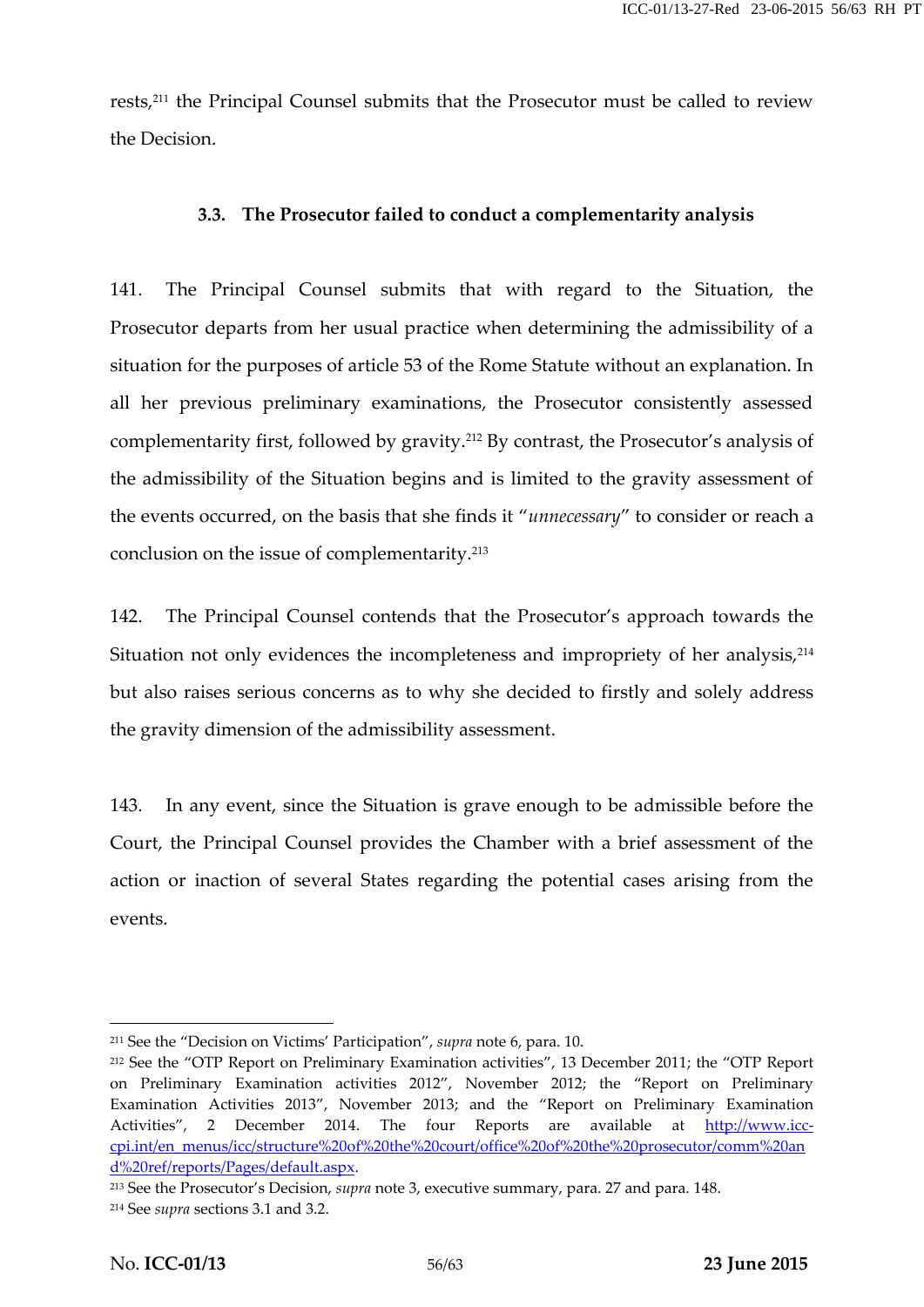rests,<sup>211</sup> the Principal Counsel submits that the Prosecutor must be called to review the Decision.

#### **3.3. The Prosecutor failed to conduct a complementarity analysis**

141. The Principal Counsel submits that with regard to the Situation, the Prosecutor departs from her usual practice when determining the admissibility of a situation for the purposes of article 53 of the Rome Statute without an explanation. In all her previous preliminary examinations, the Prosecutor consistently assessed complementarity first, followed by gravity.<sup>212</sup> By contrast, the Prosecutor's analysis of the admissibility of the Situation begins and is limited to the gravity assessment of the events occurred, on the basis that she finds it "*unnecessary*" to consider or reach a conclusion on the issue of complementarity.<sup>213</sup>

142. The Principal Counsel contends that the Prosecutor's approach towards the Situation not only evidences the incompleteness and impropriety of her analysis,<sup>214</sup> but also raises serious concerns as to why she decided to firstly and solely address the gravity dimension of the admissibility assessment.

143. In any event, since the Situation is grave enough to be admissible before the Court, the Principal Counsel provides the Chamber with a brief assessment of the action or inaction of several States regarding the potential cases arising from the events.

<sup>211</sup> See the "Decision on Victims' Participation", *supra* note 6, para. 10.

<sup>212</sup> See the "OTP Report on Preliminary Examination activities", 13 December 2011; the "OTP Report on Preliminary Examination activities 2012", November 2012; the "Report on Preliminary Examination Activities 2013", November 2013; and the "Report on Preliminary Examination Activities", 2 December 2014. The four Reports are available at http://www.icccpi.int/en\_menus/icc/structure%20of%20the%20court/office%20of%20the%20prosecutor/comm%20an d%20ref/reports/Pages/default.aspx.

<sup>213</sup> See the Prosecutor's Decision, *supra* note 3, executive summary, para. 27 and para. 148. <sup>214</sup> See *supra* sections 3.1 and 3.2.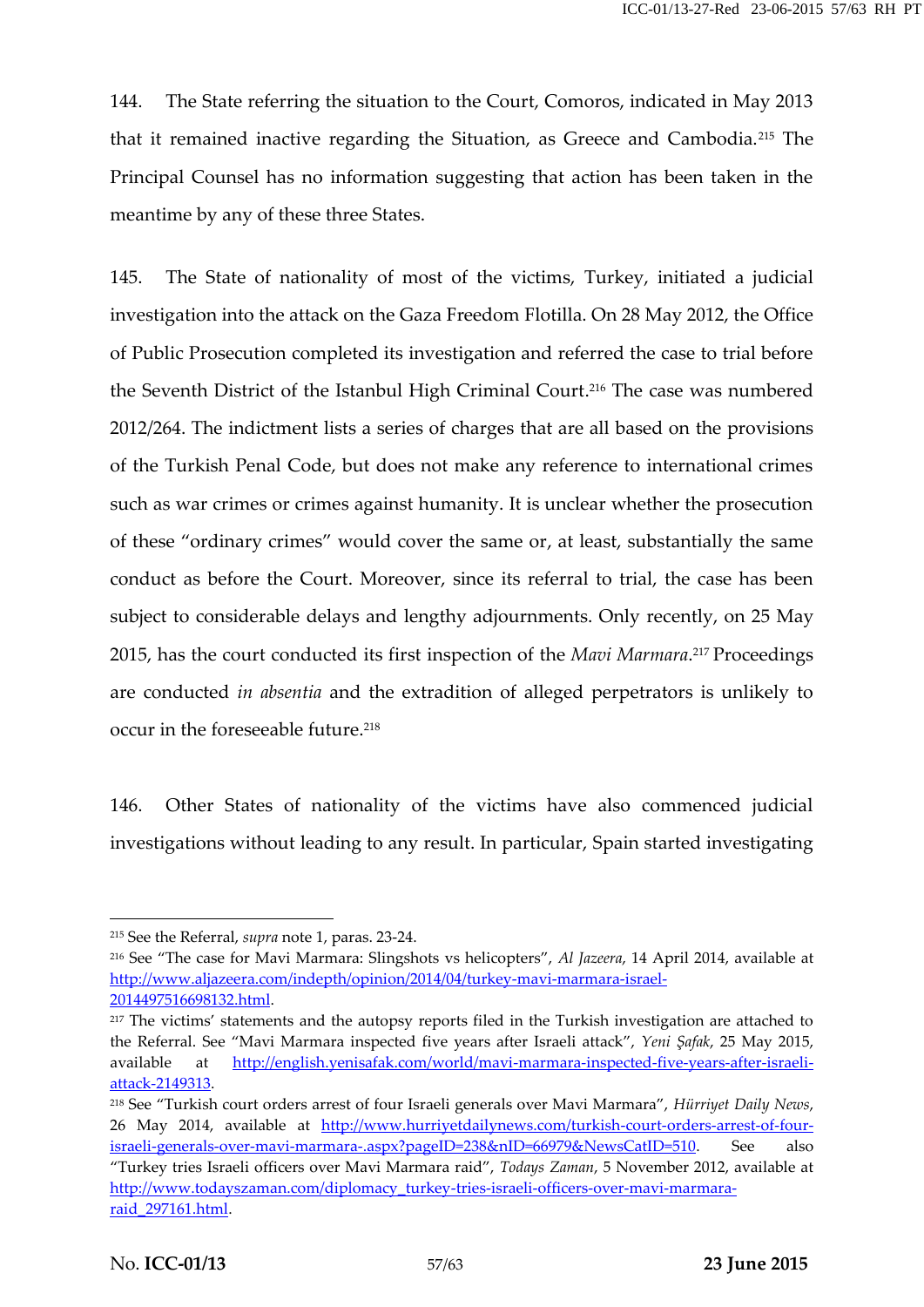144. The State referring the situation to the Court, Comoros, indicated in May 2013 that it remained inactive regarding the Situation, as Greece and Cambodia.<sup>215</sup> The Principal Counsel has no information suggesting that action has been taken in the meantime by any of these three States.

145. The State of nationality of most of the victims, Turkey, initiated a judicial investigation into the attack on the Gaza Freedom Flotilla. On 28 May 2012, the Office of Public Prosecution completed its investigation and referred the case to trial before the Seventh District of the Istanbul High Criminal Court.<sup>216</sup> The case was numbered 2012/264. The indictment lists a series of charges that are all based on the provisions of the Turkish Penal Code, but does not make any reference to international crimes such as war crimes or crimes against humanity. It is unclear whether the prosecution of these "ordinary crimes" would cover the same or, at least, substantially the same conduct as before the Court. Moreover, since its referral to trial, the case has been subject to considerable delays and lengthy adjournments. Only recently, on 25 May 2015, has the court conducted its first inspection of the *Mavi Marmara*.<sup>217</sup> Proceedings are conducted *in absentia* and the extradition of alleged perpetrators is unlikely to occur in the foreseeable future.<sup>218</sup>

146. Other States of nationality of the victims have also commenced judicial investigations without leading to any result. In particular, Spain started investigating

<sup>215</sup> See the Referral, *supra* note 1, paras. 23-24.

<sup>216</sup> See "The case for Mavi Marmara: Slingshots vs helicopters", *Al Jazeera*, 14 April 2014, available at http://www.aljazeera.com/indepth/opinion/2014/04/turkey-mavi-marmara-israel- 2014497516698132.html.

<sup>217</sup> The victims' statements and the autopsy reports filed in the Turkish investigation are attached to the Referral. See "Mavi Marmara inspected five years after Israeli attack", *Yeni Şafak*, 25 May 2015, available at http://english.yenisafak.com/world/mavi-marmara-inspected-five-years-after-israeli attack-2149313.

<sup>218</sup> See "Turkish court orders arrest of four Israeli generals over Mavi Marmara", *Hürriyet Daily News*, 26 May 2014, available at http://www.hurriyetdailynews.com/turkish-court-orders-arrest-of-fourisraeli-generals-over-mavi-marmara-.aspx?pageID=238&nID=66979&NewsCatID=510. See also "Turkey tries Israeli officers over Mavi Marmara raid", *Todays Zaman*, 5 November 2012, available at http://www.todayszaman.com/diplomacy\_turkey-tries-israeli-officers-over-mavi-marmara raid\_297161.html.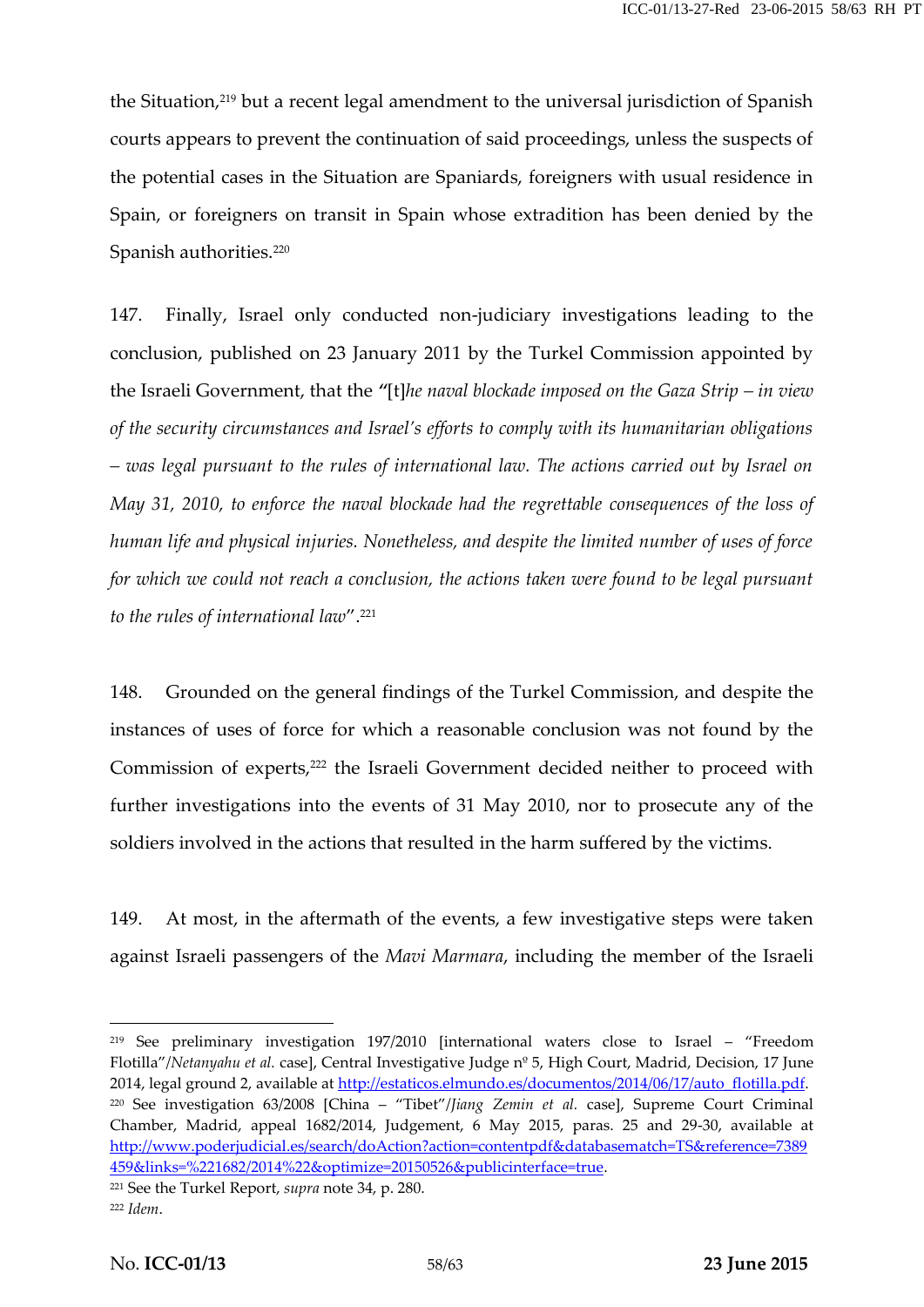the Situation,<sup>219</sup> but a recent legal amendment to the universal jurisdiction of Spanish courts appears to prevent the continuation of said proceedings, unless the suspects of the potential cases in the Situation are Spaniards, foreigners with usual residence in Spain, or foreigners on transit in Spain whose extradition has been denied by the Spanish authorities.<sup>220</sup>

147. Finally, Israel only conducted non-judiciary investigations leading to the conclusion, published on 23 January 2011 by the Turkel Commission appointed by the Israeli Government, that the *"*[t]*he naval blockade imposed on the Gaza Strip – in view of the security circumstances and Israel's efforts to comply with its humanitarian obligations – was legal pursuant to the rules of international law. The actions carried out by Israel on May 31, 2010, to enforce the naval blockade had the regrettable consequences of the loss of human life and physical injuries. Nonetheless, and despite the limited number of uses of force for which we could not reach a conclusion, the actions taken were found to be legal pursuant to the rules of international law*".<sup>221</sup>

148. Grounded on the general findings of the Turkel Commission, and despite the instances of uses of force for which a reasonable conclusion was not found by the Commission of experts,<sup>222</sup> the Israeli Government decided neither to proceed with further investigations into the events of 31 May 2010, nor to prosecute any of the soldiers involved in the actions that resulted in the harm suffered by the victims.

149. At most, in the aftermath of the events, a few investigative steps were taken against Israeli passengers of the *Mavi Marmara*, including the member of the Israeli

<sup>219</sup> See preliminary investigation 197/2010 [international waters close to Israel – "Freedom Flotilla"/*Netanyahu et al.* case], Central Investigative Judge nº 5, High Court, Madrid, Decision, 17 June 2014, legal ground 2, available at http://estaticos.elmundo.es/documentos/2014/06/17/auto\_flotilla.pdf. <sup>220</sup> See investigation 63/2008 [China – "Tibet"/*Jiang Zemin et al.* case], Supreme Court Criminal Chamber, Madrid, appeal 1682/2014, Judgement, 6 May 2015, paras. 25 and 29-30, available at http://www.poderjudicial.es/search/doAction?action=contentpdf&databasematch=TS&reference=7389 459&links=%221682/2014%22&optimize=20150526&publicinterface=true.

<sup>221</sup> See the Turkel Report, *supra* note 34, p. 280.

<sup>222</sup> *Idem*.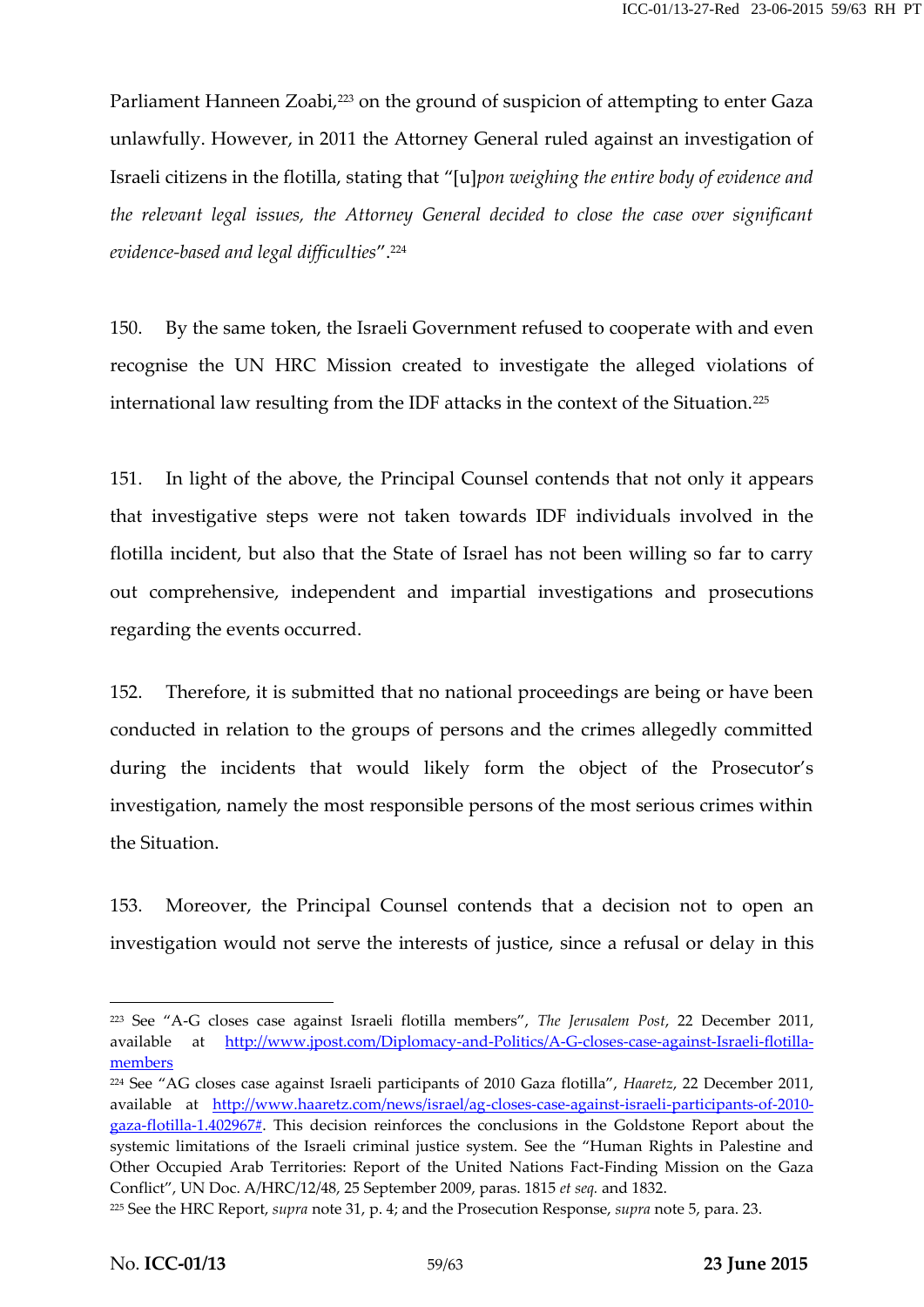Parliament Hanneen Zoabi,<sup>223</sup> on the ground of suspicion of attempting to enter Gaza unlawfully. However, in 2011 the Attorney General ruled against an investigation of Israeli citizens in the flotilla, stating that "[u]*pon weighing the entire body of evidence and the relevant legal issues, the Attorney General decided to close the case over significant evidence-based and legal difficulties*".<sup>224</sup>

150. By the same token, the Israeli Government refused to cooperate with and even recognise the UN HRC Mission created to investigate the alleged violations of international law resulting from the IDF attacks in the context of the Situation.<sup>225</sup>

151. In light of the above, the Principal Counsel contends that not only it appears that investigative steps were not taken towards IDF individuals involved in the flotilla incident, but also that the State of Israel has not been willing so far to carry out comprehensive, independent and impartial investigations and prosecutions regarding the events occurred.

152. Therefore, it is submitted that no national proceedings are being or have been conducted in relation to the groups of persons and the crimes allegedly committed during the incidents that would likely form the object of the Prosecutor's investigation, namely the most responsible persons of the most serious crimes within the Situation.

153. Moreover, the Principal Counsel contends that a decision not to open an investigation would not serve the interests of justice, since a refusal or delay in this

<sup>223</sup> See "A-G closes case against Israeli flotilla members", *The Jerusalem Post*, 22 December 2011, available at http://www.jpost.com/Diplomacy-and-Politics/A-G-closes-case-against-Israeli-flotilla members

<sup>224</sup> See "AG closes case against Israeli participants of 2010 Gaza flotilla", *Haaretz*, 22 December 2011, available at http://www.haaretz.com/news/israel/ag-closes-case-against-israeli-participants-of-2010 gaza-flotilla-1.402967#. This decision reinforces the conclusions in the Goldstone Report about the systemic limitations of the Israeli criminal justice system. See the "Human Rights in Palestine and Other Occupied Arab Territories: Report of the United Nations Fact-Finding Mission on the Gaza Conflict", UN Doc. A/HRC/12/48, 25 September 2009, paras. 1815 *et seq.* and 1832.

<sup>225</sup> See the HRC Report, *supra* note 31, p. 4; and the Prosecution Response, *supra* note 5, para. 23.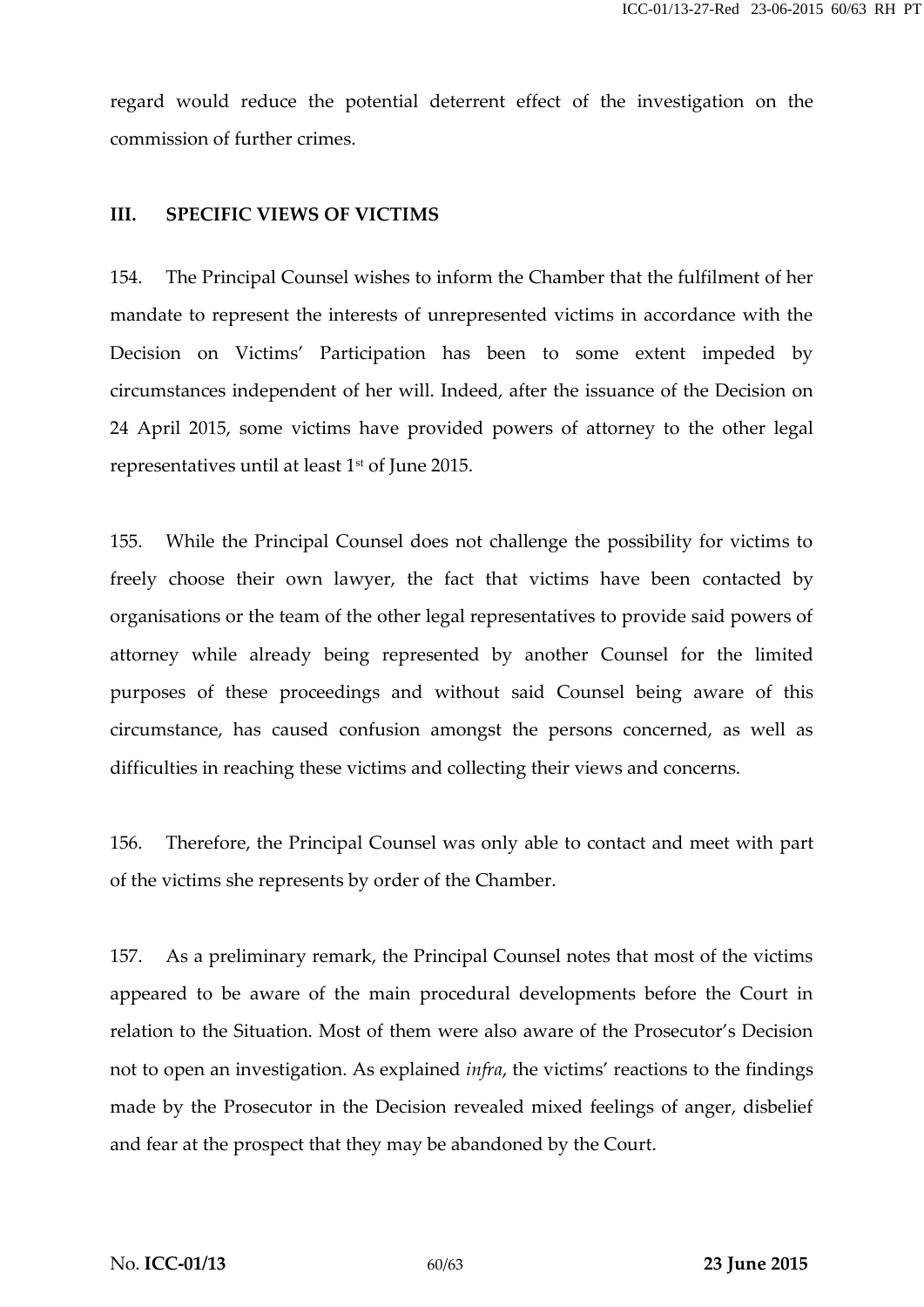regard would reduce the potential deterrent effect of the investigation on the commission of further crimes.

#### **III. SPECIFIC VIEWS OF VICTIMS**

154. The Principal Counsel wishes to inform the Chamber that the fulfilment of her mandate to represent the interests of unrepresented victims in accordance with the Decision on Victims' Participation has been to some extent impeded by circumstances independent of her will. Indeed, after the issuance of the Decision on 24 April 2015, some victims have provided powers of attorney to the other legal representatives until at least  $1<sup>st</sup>$  of June 2015.

155. While the Principal Counsel does not challenge the possibility for victims to freely choose their own lawyer, the fact that victims have been contacted by organisations or the team of the other legal representatives to provide said powers of attorney while already being represented by another Counsel for the limited purposes of these proceedings and without said Counsel being aware of this circumstance, has caused confusion amongst the persons concerned, as well as difficulties in reaching these victims and collecting their views and concerns.

156. Therefore, the Principal Counsel was only able to contact and meet with part of the victims she represents by order of the Chamber.

157. As a preliminary remark, the Principal Counsel notes that most of the victims appeared to be aware of the main procedural developments before the Court in relation to the Situation. Most of them were also aware of the Prosecutor's Decision not to open an investigation. As explained *infra*, the victims' reactions to the findings made by the Prosecutor in the Decision revealed mixed feelings of anger, disbelief and fear at the prospect that they may be abandoned by the Court.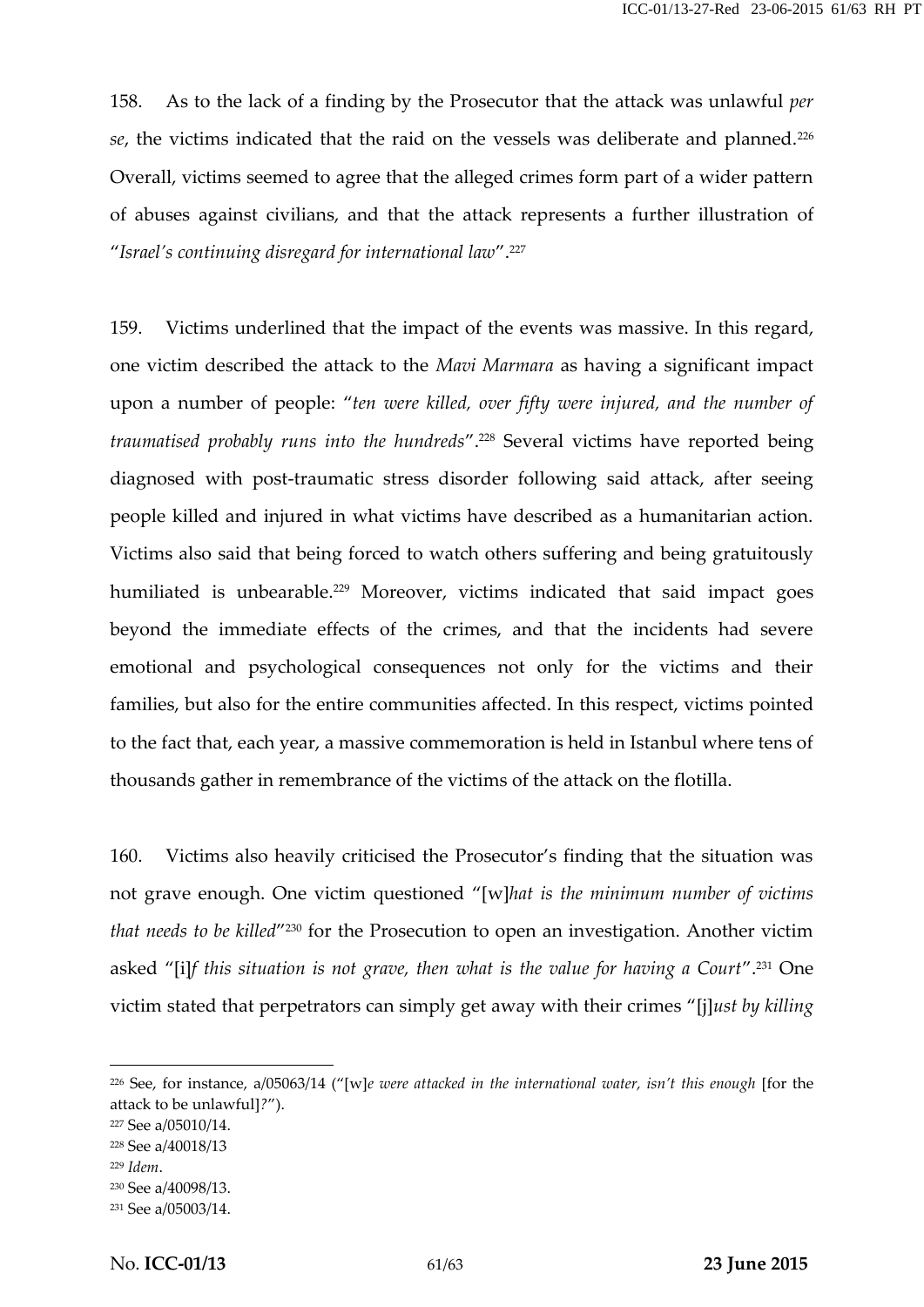158. As to the lack of a finding by the Prosecutor that the attack was unlawful *per* se, the victims indicated that the raid on the vessels was deliberate and planned.<sup>226</sup> Overall, victims seemed to agree that the alleged crimes form part of a wider pattern of abuses against civilians, and that the attack represents a further illustration of "*Israel's continuing disregard for international law*".<sup>227</sup>

159. Victims underlined that the impact of the events was massive. In this regard, one victim described the attack to the *Mavi Marmara* as having a significant impact upon a number of people: "*ten were killed, over fifty were injured, and the number of traumatised probably runs into the hundreds*".<sup>228</sup> Several victims have reported being diagnosed with post-traumatic stress disorder following said attack, after seeing people killed and injured in what victims have described as a humanitarian action. Victims also said that being forced to watch others suffering and being gratuitously humiliated is unbearable.<sup>229</sup> Moreover, victims indicated that said impact goes beyond the immediate effects of the crimes, and that the incidents had severe emotional and psychological consequences not only for the victims and their families, but also for the entire communities affected. In this respect, victims pointed to the fact that, each year, a massive commemoration is held in Istanbul where tens of thousands gather in remembrance of the victims of the attack on the flotilla.

160. Victims also heavily criticised the Prosecutor's finding that the situation was not grave enough. One victim questioned "[w]*hat is the minimum number of victims* that needs to be killed<sup>"230</sup> for the Prosecution to open an investigation. Another victim asked "[i]*f this situation is not grave, then what is the value for having a Court*".<sup>231</sup> One victim stated that perpetrators can simply get away with their crimes "[j]*ust by killing*

<sup>226</sup> See, for instance, a/05063/14 ("[w]*e were attacked in the international water, isn't this enough* [for the attack to be unlawful]*?*").

<sup>227</sup> See a/05010/14.

<sup>228</sup> See a/40018/13

<sup>229</sup> *Idem*.

<sup>230</sup> See a/40098/13.

<sup>231</sup> See a/05003/14.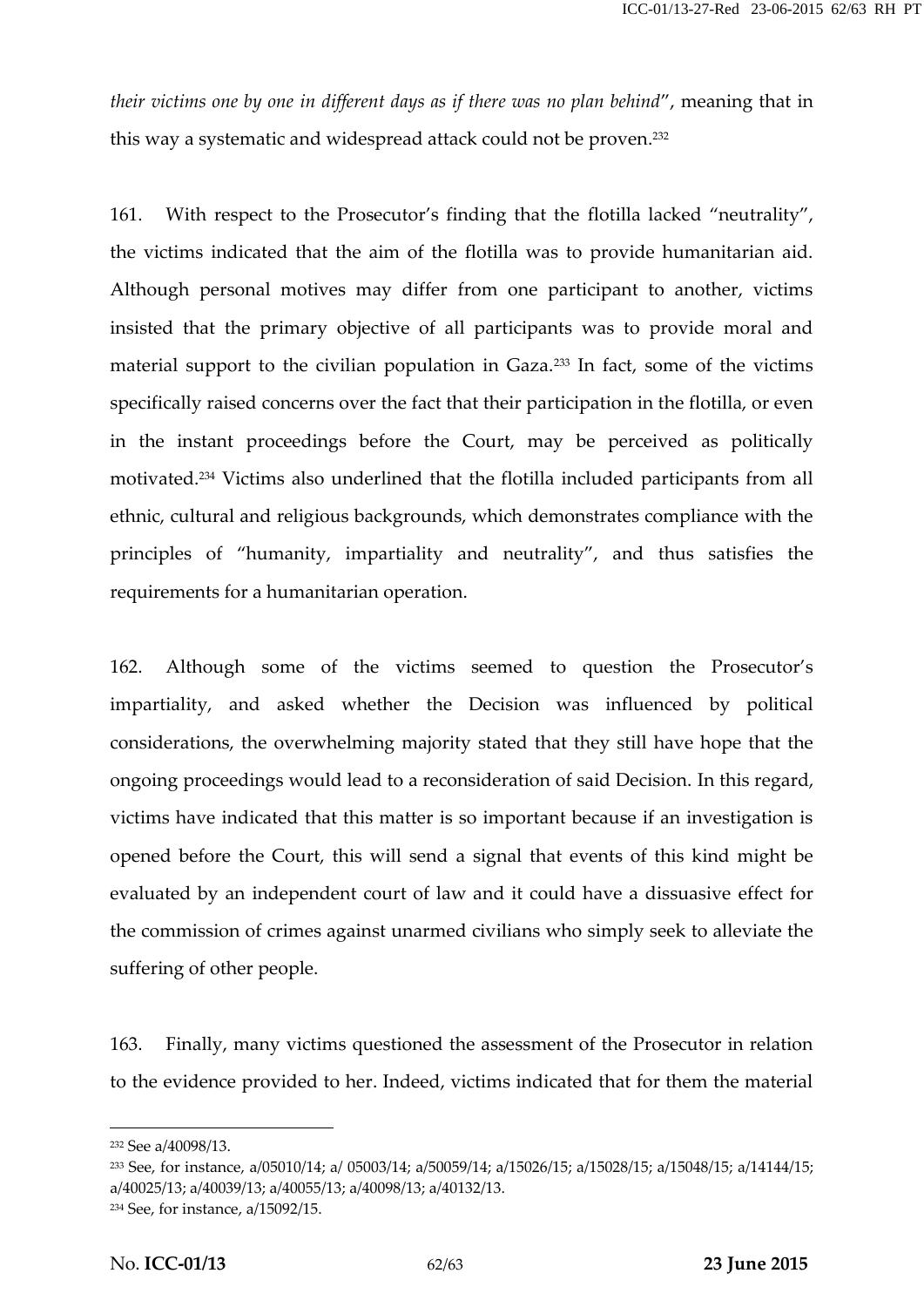*their victims one by one in different days as if there was no plan behind*", meaning that in this way a systematic and widespread attack could not be proven.<sup>232</sup>

161. With respect to the Prosecutor's finding that the flotilla lacked "neutrality", the victims indicated that the aim of the flotilla was to provide humanitarian aid. Although personal motives may differ from one participant to another, victims insisted that the primary objective of all participants was to provide moral and material support to the civilian population in Gaza.<sup>233</sup> In fact, some of the victims specifically raised concerns over the fact that their participation in the flotilla, or even in the instant proceedings before the Court, may be perceived as politically motivated.<sup>234</sup> Victims also underlined that the flotilla included participants from all ethnic, cultural and religious backgrounds, which demonstrates compliance with the principles of "humanity, impartiality and neutrality", and thus satisfies the requirements for a humanitarian operation.

162. Although some of the victims seemed to question the Prosecutor's impartiality, and asked whether the Decision was influenced by political considerations, the overwhelming majority stated that they still have hope that the ongoing proceedings would lead to a reconsideration of said Decision. In this regard, victims have indicated that this matter is so important because if an investigation is opened before the Court, this will send a signal that events of this kind might be evaluated by an independent court of law and it could have a dissuasive effect for the commission of crimes against unarmed civilians who simply seek to alleviate the suffering of other people.

163. Finally, many victims questioned the assessment of the Prosecutor in relation to the evidence provided to her. Indeed, victims indicated that for them the material

<sup>232</sup> See a/40098/13.

<sup>233</sup> See, for instance, a/05010/14; a/ 05003/14; a/50059/14; a/15026/15; a/15028/15; a/15048/15; a/14144/15; a/40025/13; a/40039/13; a/40055/13; a/40098/13; a/40132/13.

<sup>234</sup> See, for instance, a/15092/15.